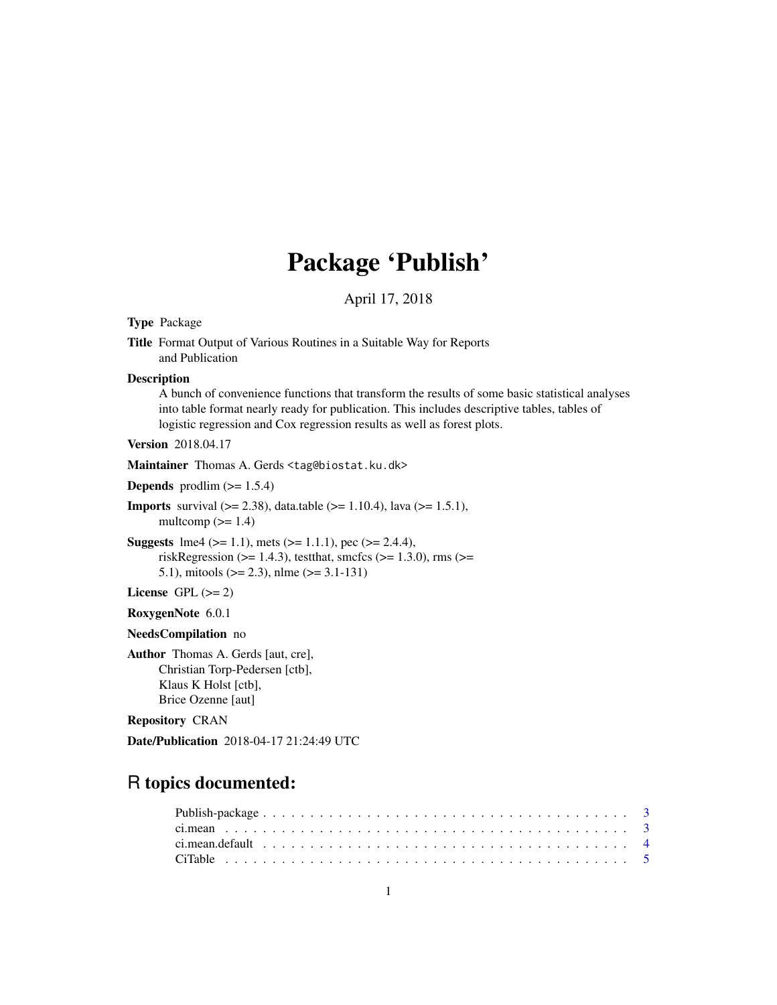# Package 'Publish'

April 17, 2018

<span id="page-0-0"></span>Type Package

Title Format Output of Various Routines in a Suitable Way for Reports and Publication

**Description** 

A bunch of convenience functions that transform the results of some basic statistical analyses into table format nearly ready for publication. This includes descriptive tables, tables of logistic regression and Cox regression results as well as forest plots.

Version 2018.04.17

Maintainer Thomas A. Gerds <tag@biostat.ku.dk>

**Depends** prodlim  $(>= 1.5.4)$ 

**Imports** survival  $(>= 2.38)$ , data.table  $(>= 1.10.4)$ , lava  $(>= 1.5.1)$ , multcomp  $(>= 1.4)$ 

**Suggests** lme4 ( $>= 1.1$ ), mets ( $>= 1.1.1$ ), pec ( $>= 2.4.4$ ), riskRegression ( $>= 1.4.3$ ), testthat, smcfcs ( $>= 1.3.0$ ), rms ( $>=$ 5.1), mitools ( $> = 2.3$ ), nlme ( $> = 3.1-131$ )

License GPL  $(>= 2)$ 

RoxygenNote 6.0.1

NeedsCompilation no

Author Thomas A. Gerds [aut, cre], Christian Torp-Pedersen [ctb], Klaus K Holst [ctb], Brice Ozenne [aut]

Repository CRAN

Date/Publication 2018-04-17 21:24:49 UTC

# R topics documented: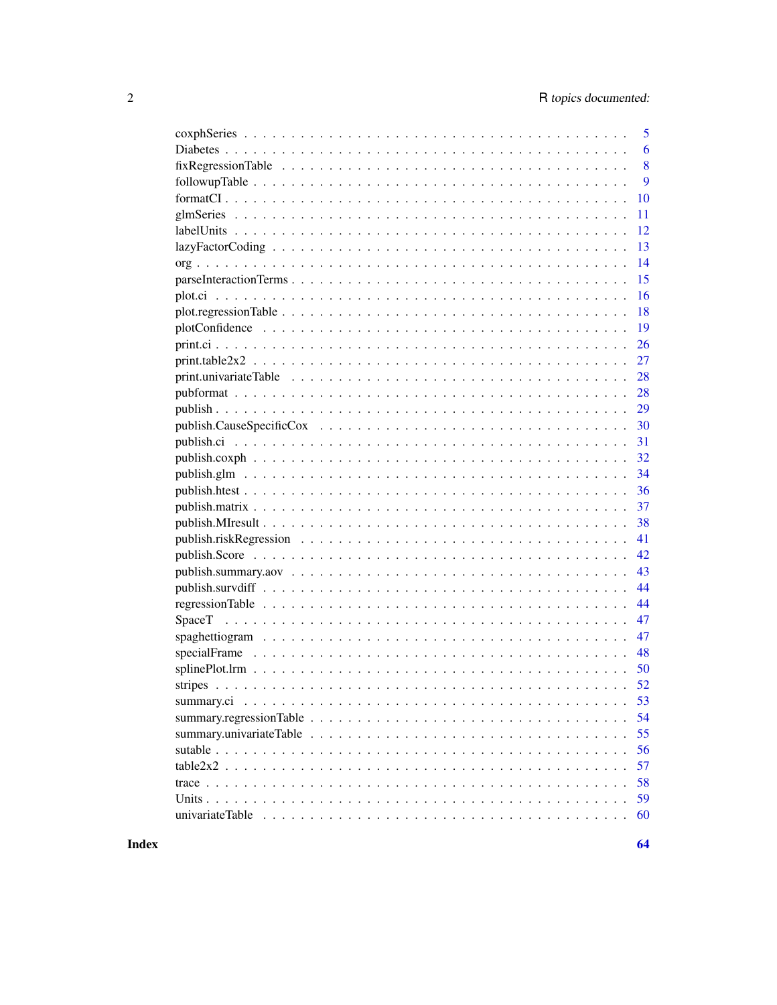|                                                                                                                      | 5  |
|----------------------------------------------------------------------------------------------------------------------|----|
|                                                                                                                      | 6  |
| $fixRegressionTable \dots \dots \dots \dots \dots \dots \dots \dots \dots \dots \dots \dots \dots \dots \dots \dots$ | 8  |
|                                                                                                                      | 9  |
|                                                                                                                      | 10 |
|                                                                                                                      | 11 |
|                                                                                                                      | 12 |
|                                                                                                                      | 13 |
|                                                                                                                      | 14 |
|                                                                                                                      | 15 |
|                                                                                                                      | 16 |
|                                                                                                                      | 18 |
|                                                                                                                      | 19 |
|                                                                                                                      | 26 |
| $print. table2x2 \ldots \ldots \ldots \ldots \ldots \ldots \ldots \ldots \ldots \ldots \ldots \ldots \ldots$         | 27 |
|                                                                                                                      | 28 |
|                                                                                                                      | 28 |
|                                                                                                                      | 29 |
|                                                                                                                      | 30 |
|                                                                                                                      | 31 |
|                                                                                                                      | 32 |
|                                                                                                                      | 34 |
|                                                                                                                      | 36 |
|                                                                                                                      | 37 |
|                                                                                                                      | 38 |
|                                                                                                                      | 41 |
|                                                                                                                      | 42 |
|                                                                                                                      | 43 |
|                                                                                                                      | 44 |
|                                                                                                                      | 44 |
| SpaceT                                                                                                               | 47 |
|                                                                                                                      | 47 |
|                                                                                                                      | 48 |
|                                                                                                                      |    |
|                                                                                                                      |    |
| summary.ci                                                                                                           | 53 |
|                                                                                                                      | 54 |
|                                                                                                                      | 55 |
|                                                                                                                      | 56 |
| $table2x2$                                                                                                           | 57 |
|                                                                                                                      | 58 |
|                                                                                                                      | 59 |
|                                                                                                                      | 60 |
|                                                                                                                      |    |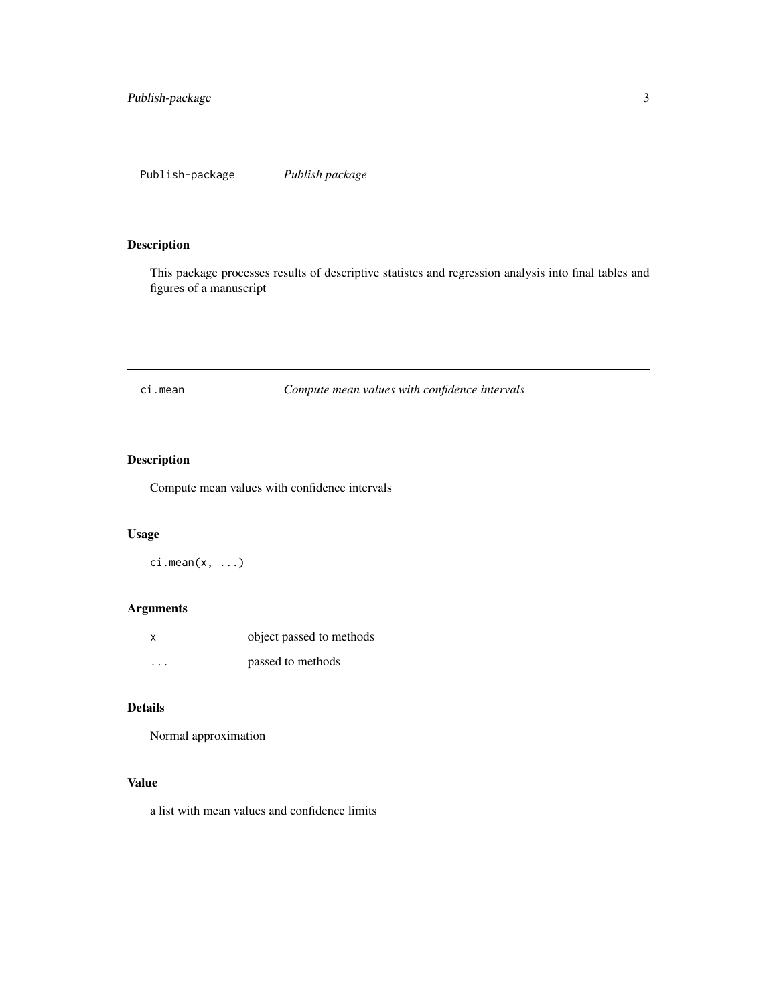<span id="page-2-0"></span>This package processes results of descriptive statistcs and regression analysis into final tables and figures of a manuscript

ci.mean *Compute mean values with confidence intervals*

# Description

Compute mean values with confidence intervals

# Usage

 $ci.macan(x, ...)$ 

# Arguments

| x       | object passed to methods |
|---------|--------------------------|
| $\cdot$ | passed to methods        |

# Details

Normal approximation

# Value

a list with mean values and confidence limits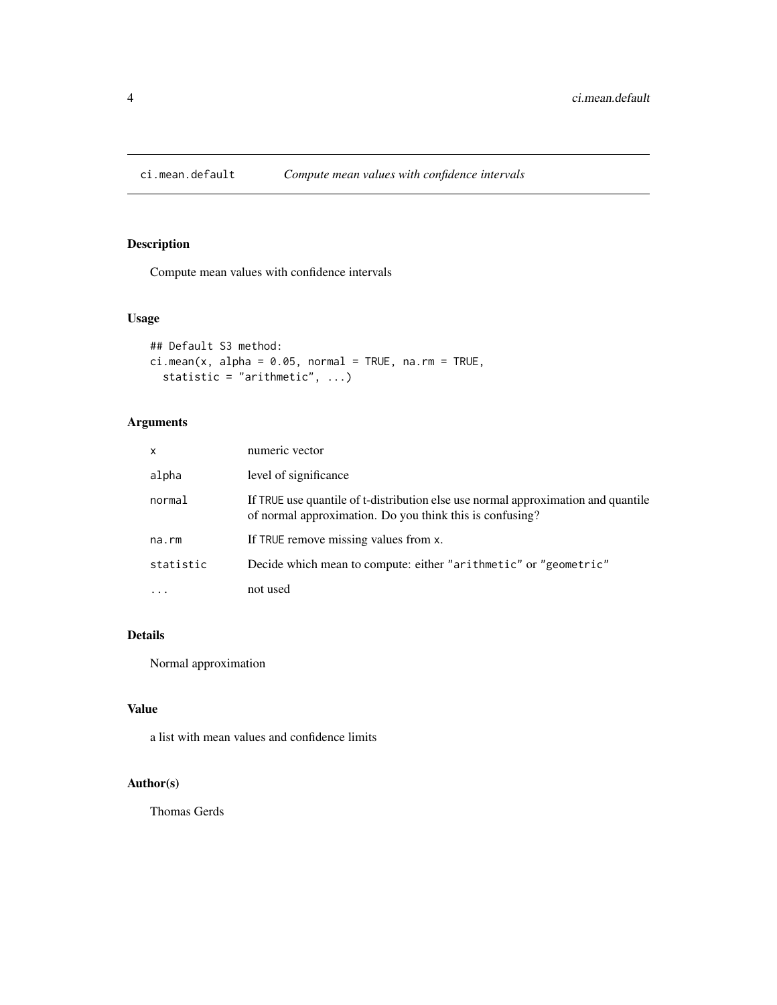<span id="page-3-0"></span>

Compute mean values with confidence intervals

# Usage

```
## Default S3 method:
ci.macan(x, alpha = 0.05, normal = TRUE, na.rm = TRUE,statistic = "arithmetic", ...)
```
# Arguments

| x         | numeric vector                                                                                                                                |
|-----------|-----------------------------------------------------------------------------------------------------------------------------------------------|
| alpha     | level of significance                                                                                                                         |
| normal    | If TRUE use quantile of t-distribution else use normal approximation and quantile<br>of normal approximation. Do you think this is confusing? |
| na.rm     | If TRUE remove missing values from x.                                                                                                         |
| statistic | Decide which mean to compute: either "arithmetic" or "geometric"                                                                              |
| $\ddots$  | not used                                                                                                                                      |

# Details

Normal approximation

#### Value

a list with mean values and confidence limits

#### Author(s)

Thomas Gerds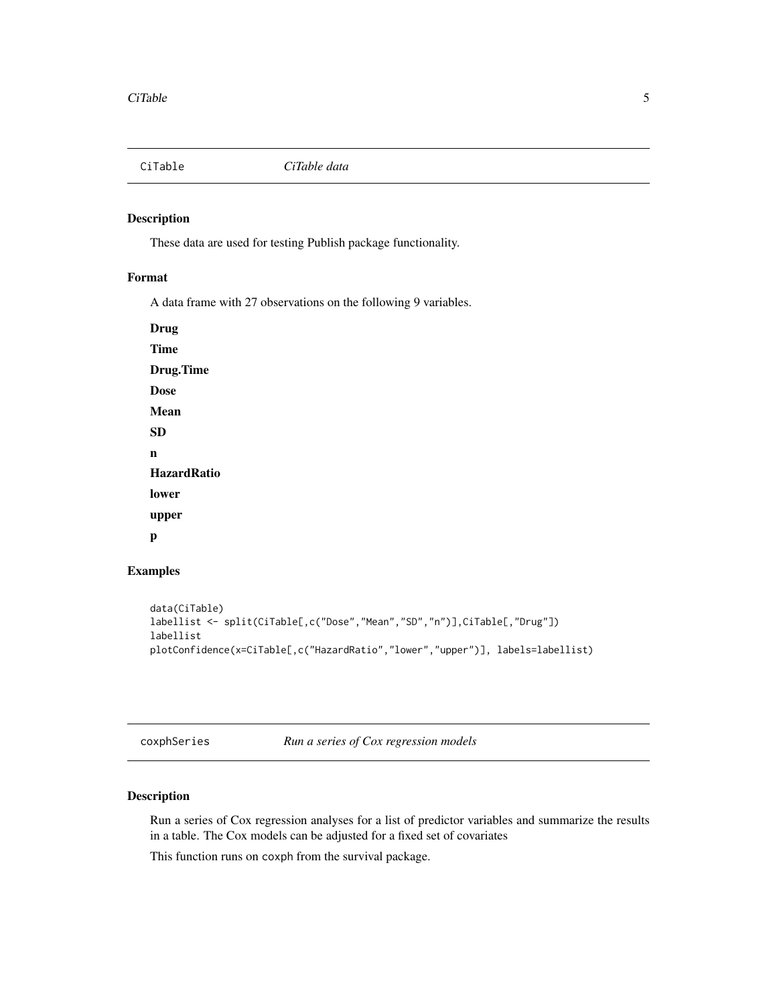<span id="page-4-0"></span>

These data are used for testing Publish package functionality.

# Format

A data frame with 27 observations on the following 9 variables.

Drug Time Drug.Time Dose Mean SD n **HazardRatio** lower upper p

#### Examples

```
data(CiTable)
labellist <- split(CiTable[,c("Dose","Mean","SD","n")],CiTable[,"Drug"])
labellist
plotConfidence(x=CiTable[,c("HazardRatio","lower","upper")], labels=labellist)
```
coxphSeries *Run a series of Cox regression models*

# Description

Run a series of Cox regression analyses for a list of predictor variables and summarize the results in a table. The Cox models can be adjusted for a fixed set of covariates

This function runs on coxph from the survival package.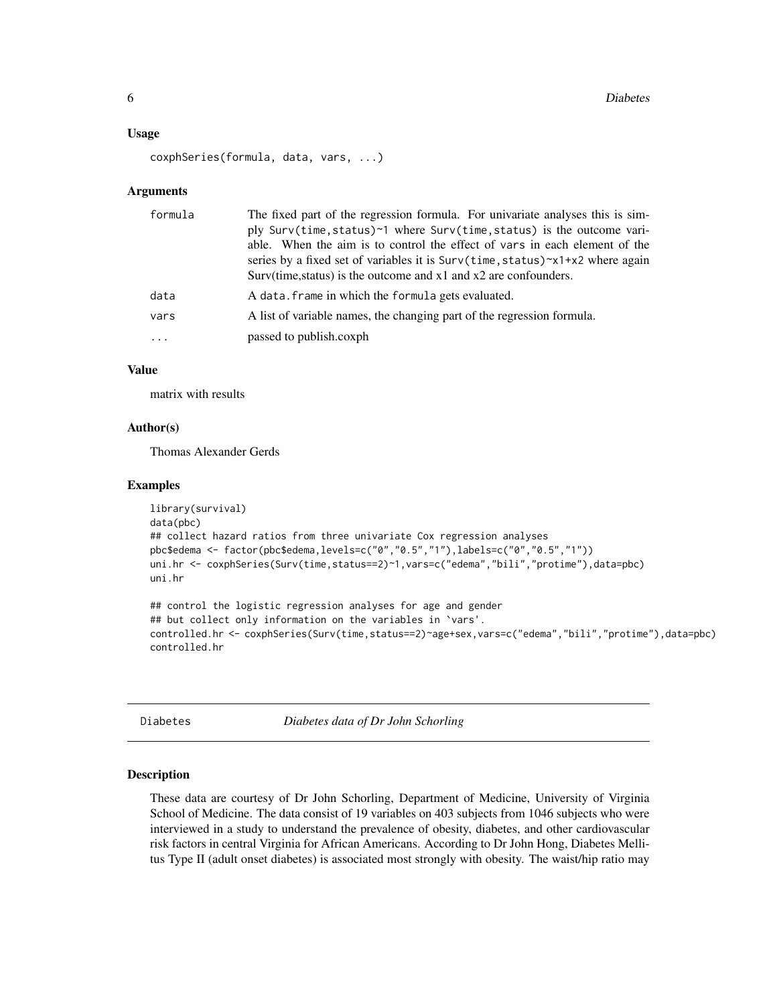#### <span id="page-5-0"></span>Usage

```
coxphSeries(formula, data, vars, ...)
```
#### Arguments

| formula | The fixed part of the regression formula. For univariate analyses this is sim-<br>ply Surv(time, status)~1 where Surv(time, status) is the outcome vari-<br>able. When the aim is to control the effect of vars in each element of the<br>series by a fixed set of variables it is $Surv(time, status) \sim x1+x2$ where again<br>Surv(time, status) is the outcome and x1 and x2 are confounders. |
|---------|----------------------------------------------------------------------------------------------------------------------------------------------------------------------------------------------------------------------------------------------------------------------------------------------------------------------------------------------------------------------------------------------------|
| data    | A data. frame in which the formula gets evaluated.                                                                                                                                                                                                                                                                                                                                                 |
| vars    | A list of variable names, the changing part of the regression formula.                                                                                                                                                                                                                                                                                                                             |
| .       | passed to publish.coxph                                                                                                                                                                                                                                                                                                                                                                            |

# Value

matrix with results

#### Author(s)

Thomas Alexander Gerds

#### Examples

```
library(survival)
data(pbc)
## collect hazard ratios from three univariate Cox regression analyses
pbc$edema <- factor(pbc$edema,levels=c("0","0.5","1"),labels=c("0","0.5","1"))
uni.hr <- coxphSeries(Surv(time,status==2)~1,vars=c("edema","bili","protime"),data=pbc)
uni.hr
## control the logistic regression analyses for age and gender
## but collect only information on the variables in `vars'.
controlled.hr <- coxphSeries(Surv(time,status==2)~age+sex,vars=c("edema","bili","protime"),data=pbc)
controlled.hr
```
Diabetes *Diabetes data of Dr John Schorling*

### Description

These data are courtesy of Dr John Schorling, Department of Medicine, University of Virginia School of Medicine. The data consist of 19 variables on 403 subjects from 1046 subjects who were interviewed in a study to understand the prevalence of obesity, diabetes, and other cardiovascular risk factors in central Virginia for African Americans. According to Dr John Hong, Diabetes Mellitus Type II (adult onset diabetes) is associated most strongly with obesity. The waist/hip ratio may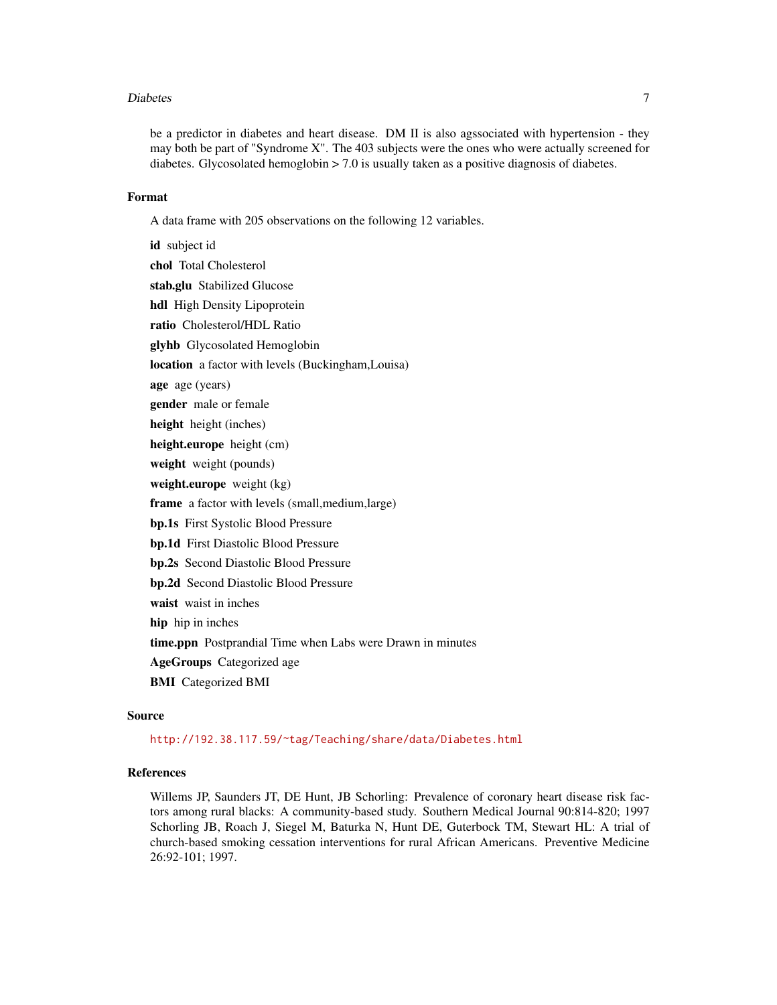#### Diabetes **7**

be a predictor in diabetes and heart disease. DM II is also agssociated with hypertension - they may both be part of "Syndrome X". The 403 subjects were the ones who were actually screened for diabetes. Glycosolated hemoglobin  $> 7.0$  is usually taken as a positive diagnosis of diabetes.

# Format

A data frame with 205 observations on the following 12 variables.

id subject id chol Total Cholesterol stab.glu Stabilized Glucose hdl High Density Lipoprotein ratio Cholesterol/HDL Ratio glyhb Glycosolated Hemoglobin location a factor with levels (Buckingham,Louisa) age age (years) gender male or female height height (inches) height.europe height (cm) weight weight (pounds) weight.europe weight (kg) frame a factor with levels (small,medium,large) bp.1s First Systolic Blood Pressure bp.1d First Diastolic Blood Pressure bp.2s Second Diastolic Blood Pressure bp.2d Second Diastolic Blood Pressure waist waist in inches hip hip in inches time.ppn Postprandial Time when Labs were Drawn in minutes AgeGroups Categorized age

BMI Categorized BMI

#### Source

<http://192.38.117.59/~tag/Teaching/share/data/Diabetes.html>

#### References

Willems JP, Saunders JT, DE Hunt, JB Schorling: Prevalence of coronary heart disease risk factors among rural blacks: A community-based study. Southern Medical Journal 90:814-820; 1997 Schorling JB, Roach J, Siegel M, Baturka N, Hunt DE, Guterbock TM, Stewart HL: A trial of church-based smoking cessation interventions for rural African Americans. Preventive Medicine 26:92-101; 1997.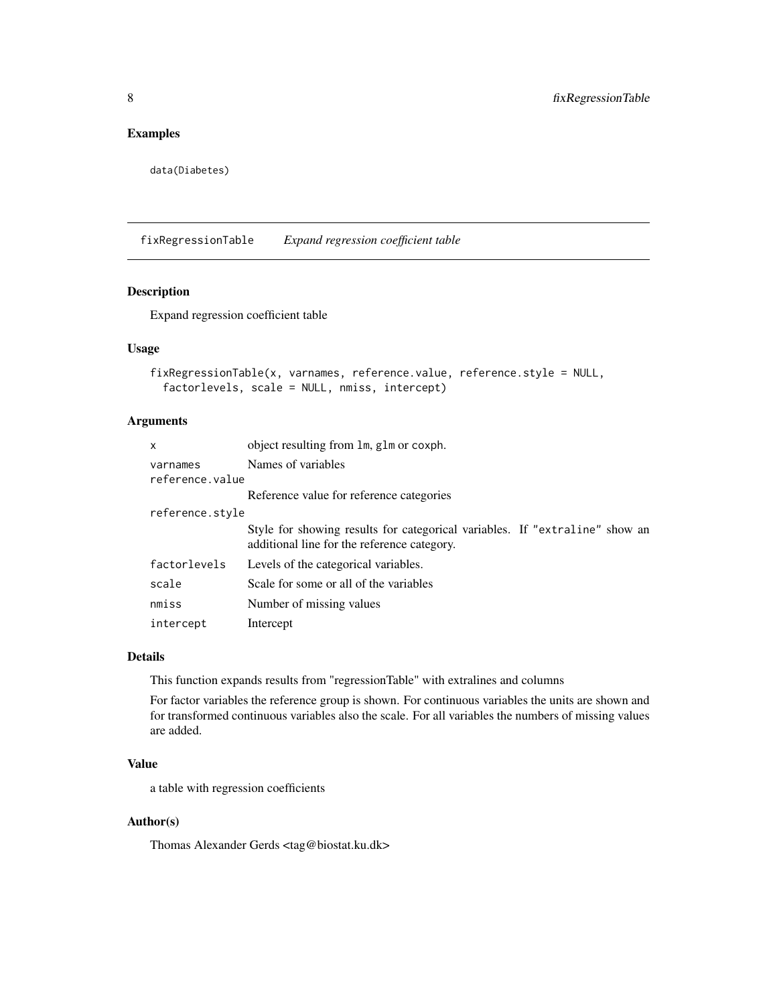# <span id="page-7-0"></span>Examples

data(Diabetes)

fixRegressionTable *Expand regression coefficient table*

# Description

Expand regression coefficient table

# Usage

```
fixRegressionTable(x, varnames, reference.value, reference.style = NULL,
 factorlevels, scale = NULL, nmiss, intercept)
```
#### Arguments

| x                           | object resulting from 1m, g1m or coxph.                                                                                    |
|-----------------------------|----------------------------------------------------------------------------------------------------------------------------|
| varnames<br>reference.value | Names of variables                                                                                                         |
|                             | Reference value for reference categories                                                                                   |
| reference.style             |                                                                                                                            |
|                             | Style for showing results for categorical variables. If "extraline" show an<br>additional line for the reference category. |
| factorlevels                | Levels of the categorical variables.                                                                                       |
| scale                       | Scale for some or all of the variables                                                                                     |
| nmiss                       | Number of missing values                                                                                                   |
| intercept                   | Intercept                                                                                                                  |

#### Details

This function expands results from "regressionTable" with extralines and columns

For factor variables the reference group is shown. For continuous variables the units are shown and for transformed continuous variables also the scale. For all variables the numbers of missing values are added.

#### Value

a table with regression coefficients

### Author(s)

Thomas Alexander Gerds <tag@biostat.ku.dk>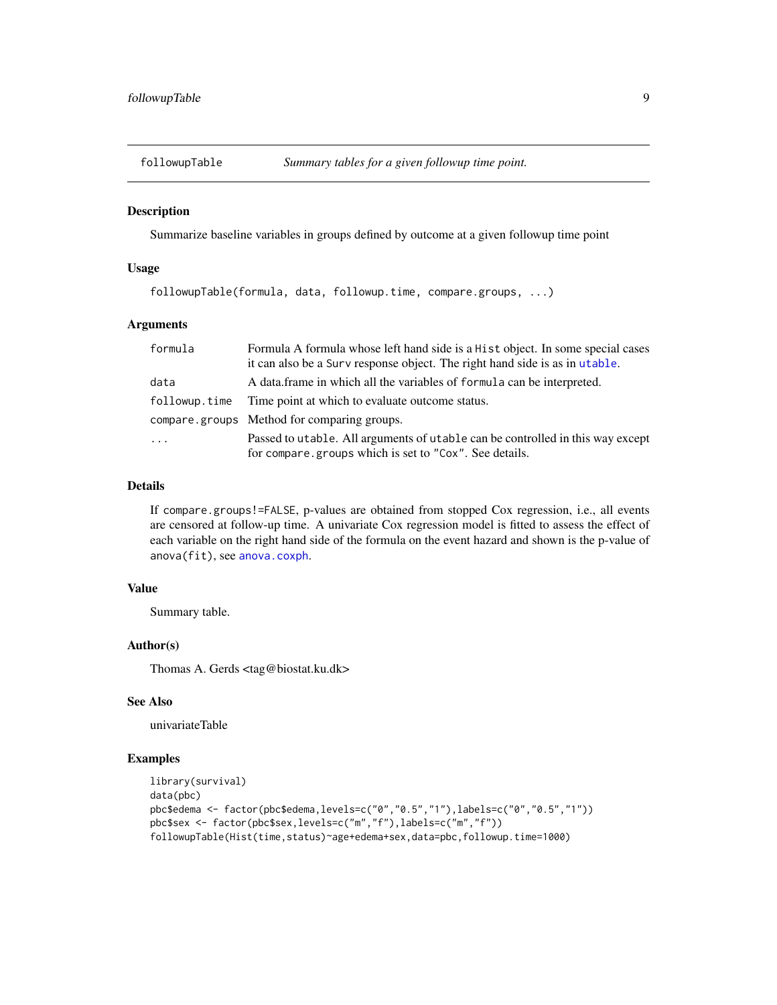<span id="page-8-0"></span>

Summarize baseline variables in groups defined by outcome at a given followup time point

#### Usage

followupTable(formula, data, followup.time, compare.groups, ...)

#### Arguments

| formula       | Formula A formula whose left hand side is a Hist object. In some special cases<br>it can also be a Surv response object. The right hand side is as in utable. |
|---------------|---------------------------------------------------------------------------------------------------------------------------------------------------------------|
| data          | A data frame in which all the variables of formula can be interpreted.                                                                                        |
| followup.time | Time point at which to evaluate outcome status.                                                                                                               |
|               | compare groups Method for comparing groups.                                                                                                                   |
| $\ddots$ .    | Passed to utable. All arguments of utable can be controlled in this way except<br>for compare.groups which is set to "Cox". See details.                      |

#### Details

If compare.groups!=FALSE, p-values are obtained from stopped Cox regression, i.e., all events are censored at follow-up time. A univariate Cox regression model is fitted to assess the effect of each variable on the right hand side of the formula on the event hazard and shown is the p-value of anova(fit), see [anova.coxph](#page-0-0).

#### Value

Summary table.

#### Author(s)

Thomas A. Gerds <tag@biostat.ku.dk>

# See Also

univariateTable

```
library(survival)
data(pbc)
pbc$edema <- factor(pbc$edema,levels=c("0","0.5","1"),labels=c("0","0.5","1"))
pbc$sex <- factor(pbc$sex,levels=c("m","f"),labels=c("m","f"))
followupTable(Hist(time,status)~age+edema+sex,data=pbc,followup.time=1000)
```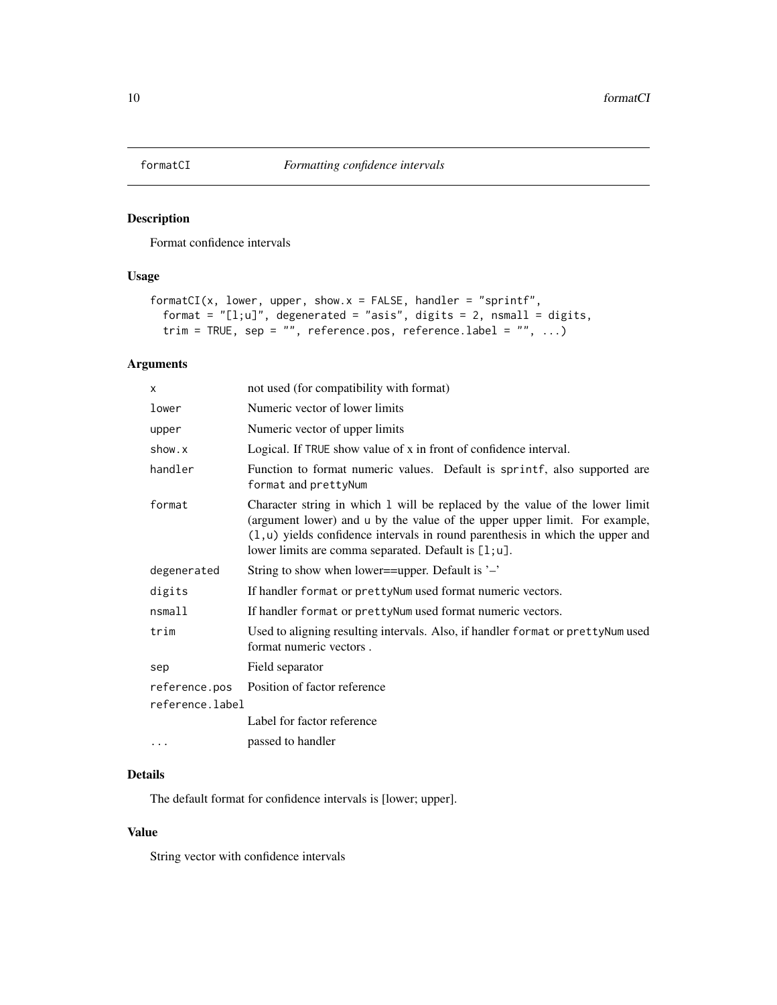<span id="page-9-1"></span><span id="page-9-0"></span>

Format confidence intervals

# Usage

```
formatCI(x, lower, upper, show.x = FALSE, handler = "sprintf",
  format = "[1;u]", degenerated = "asis", digits = 2, nsmall = digits,
  trim = TRUE, sep = "", reference.pos, reference.label = "", ...)
```
# Arguments

| X                                | not used (for compatibility with format)                                                                                                                                                                                                                                                                  |
|----------------------------------|-----------------------------------------------------------------------------------------------------------------------------------------------------------------------------------------------------------------------------------------------------------------------------------------------------------|
| lower                            | Numeric vector of lower limits                                                                                                                                                                                                                                                                            |
| upper                            | Numeric vector of upper limits                                                                                                                                                                                                                                                                            |
| show.x                           | Logical. If TRUE show value of x in front of confidence interval.                                                                                                                                                                                                                                         |
| handler                          | Function to format numeric values. Default is sprintf, also supported are<br>format and prettyNum                                                                                                                                                                                                         |
| format                           | Character string in which 1 will be replaced by the value of the lower limit<br>(argument lower) and u by the value of the upper upper limit. For example,<br>$(1, u)$ yields confidence intervals in round parenthesis in which the upper and<br>lower limits are comma separated. Default is $[1; u]$ . |
| degenerated                      | String to show when lower==upper. Default is $\cdot$ –'                                                                                                                                                                                                                                                   |
| digits                           | If handler format or prettyNum used format numeric vectors.                                                                                                                                                                                                                                               |
| nsmall                           | If handler format or pretty Num used format numeric vectors.                                                                                                                                                                                                                                              |
| trim                             | Used to aligning resulting intervals. Also, if handler format or pretty Num used<br>format numeric vectors.                                                                                                                                                                                               |
| sep                              | Field separator                                                                                                                                                                                                                                                                                           |
| reference.pos<br>reference.label | Position of factor reference                                                                                                                                                                                                                                                                              |
|                                  | Label for factor reference                                                                                                                                                                                                                                                                                |
| .                                | passed to handler                                                                                                                                                                                                                                                                                         |

# Details

The default format for confidence intervals is [lower; upper].

# Value

String vector with confidence intervals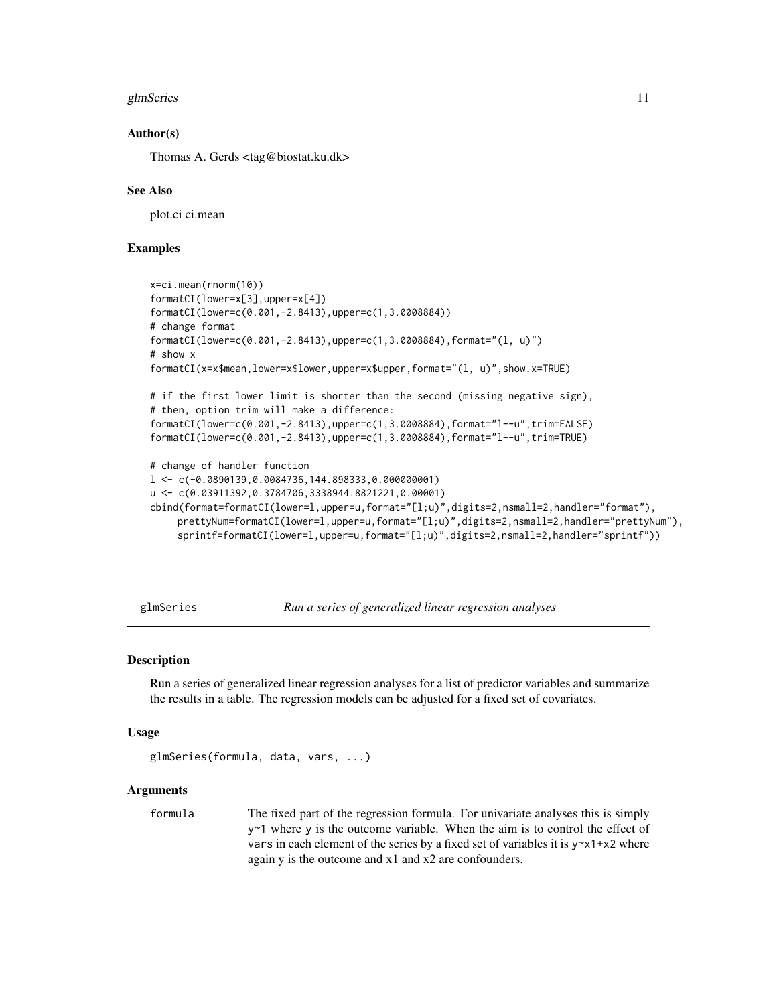#### <span id="page-10-0"></span>glmSeries 11

#### Author(s)

Thomas A. Gerds <tag@biostat.ku.dk>

#### See Also

plot.ci ci.mean

### Examples

```
x=ci.mean(rnorm(10))
formatCI(lower=x[3],upper=x[4])
formatCI(lower=c(0.001,-2.8413),upper=c(1,3.0008884))
# change format
formatCI(lower=c(0.001,-2.8413),upper=c(1,3.0008884),format="(l, u)")
# show x
formatCI(x=x$mean,lower=x$lower,upper=x$upper,format="(l, u)",show.x=TRUE)
# if the first lower limit is shorter than the second (missing negative sign),
# then, option trim will make a difference:
formatCI(lower=c(0.001,-2.8413),upper=c(1,3.0008884),format="l--u",trim=FALSE)
formatCI(lower=c(0.001,-2.8413),upper=c(1,3.0008884),format="l--u",trim=TRUE)
# change of handler function
l < -c(-0.0890139, 0.0084736, 144.898333, 0.000000001)u <- c(0.03911392,0.3784706,3338944.8821221,0.00001)
cbind(format=formatCI(lower=l,upper=u,format="[l;u)",digits=2,nsmall=2,handler="format"),
    prettyNum=formatCI(lower=l,upper=u,format="[l;u)",digits=2,nsmall=2,handler="prettyNum"),
    sprintf=formatCI(lower=l,upper=u,format="[l;u)",digits=2,nsmall=2,handler="sprintf"))
```
glmSeries *Run a series of generalized linear regression analyses*

#### **Description**

Run a series of generalized linear regression analyses for a list of predictor variables and summarize the results in a table. The regression models can be adjusted for a fixed set of covariates.

# Usage

```
glmSeries(formula, data, vars, ...)
```
#### Arguments

formula The fixed part of the regression formula. For univariate analyses this is simply y~1 where y is the outcome variable. When the aim is to control the effect of vars in each element of the series by a fixed set of variables it is  $y \sim x1 + x2$  where again y is the outcome and x1 and x2 are confounders.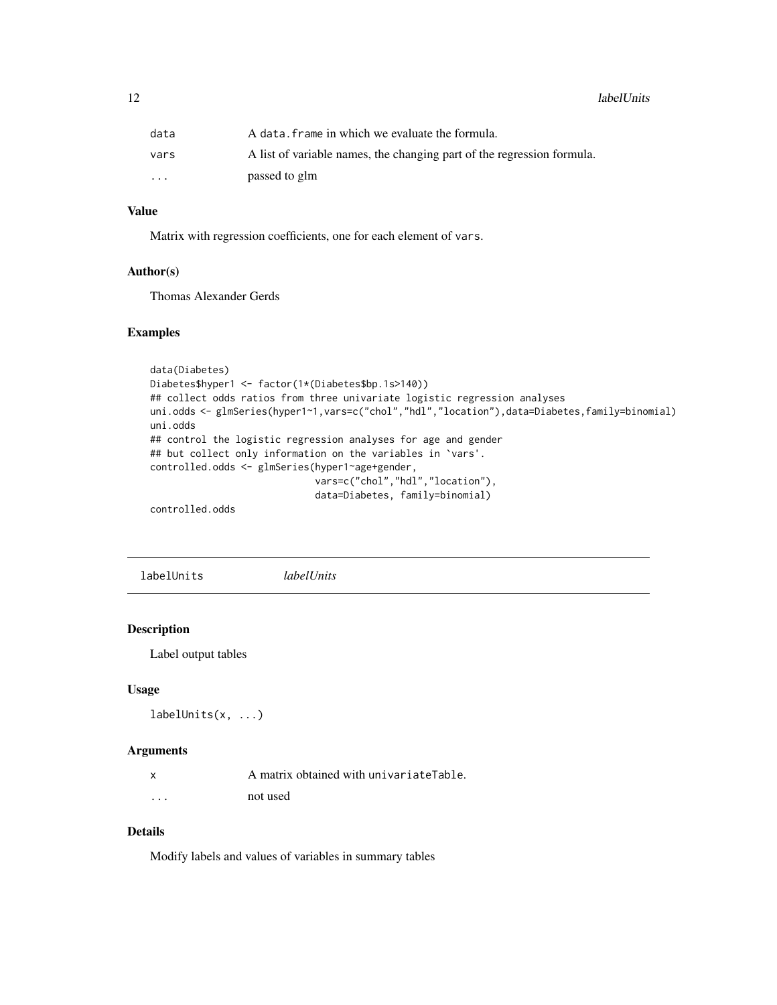<span id="page-11-0"></span>12 labelUnits and the set of the set of the set of the set of the set of the set of the set of the set of the set of the set of the set of the set of the set of the set of the set of the set of the set of the set of the se

| data     | A data, frame in which we evaluate the formula.                        |
|----------|------------------------------------------------------------------------|
| vars     | A list of variable names, the changing part of the regression formula. |
| $\cdots$ | passed to glm                                                          |

# Value

Matrix with regression coefficients, one for each element of vars.

### Author(s)

Thomas Alexander Gerds

#### Examples

```
data(Diabetes)
Diabetes$hyper1 <- factor(1*(Diabetes$bp.1s>140))
## collect odds ratios from three univariate logistic regression analyses
uni.odds <- glmSeries(hyper1~1, vars=c("chol","hdl","location"), data=Diabetes, family=binomial)
uni.odds
## control the logistic regression analyses for age and gender
## but collect only information on the variables in `vars'.
controlled.odds <- glmSeries(hyper1~age+gender,
                             vars=c("chol","hdl","location"),
                             data=Diabetes, family=binomial)
```
controlled.odds

labelUnits *labelUnits*

#### Description

Label output tables

#### Usage

```
labelUnits(x, ...)
```
#### Arguments

|         | A matrix obtained with univariateTable. |
|---------|-----------------------------------------|
| $\cdot$ | not used                                |

# Details

Modify labels and values of variables in summary tables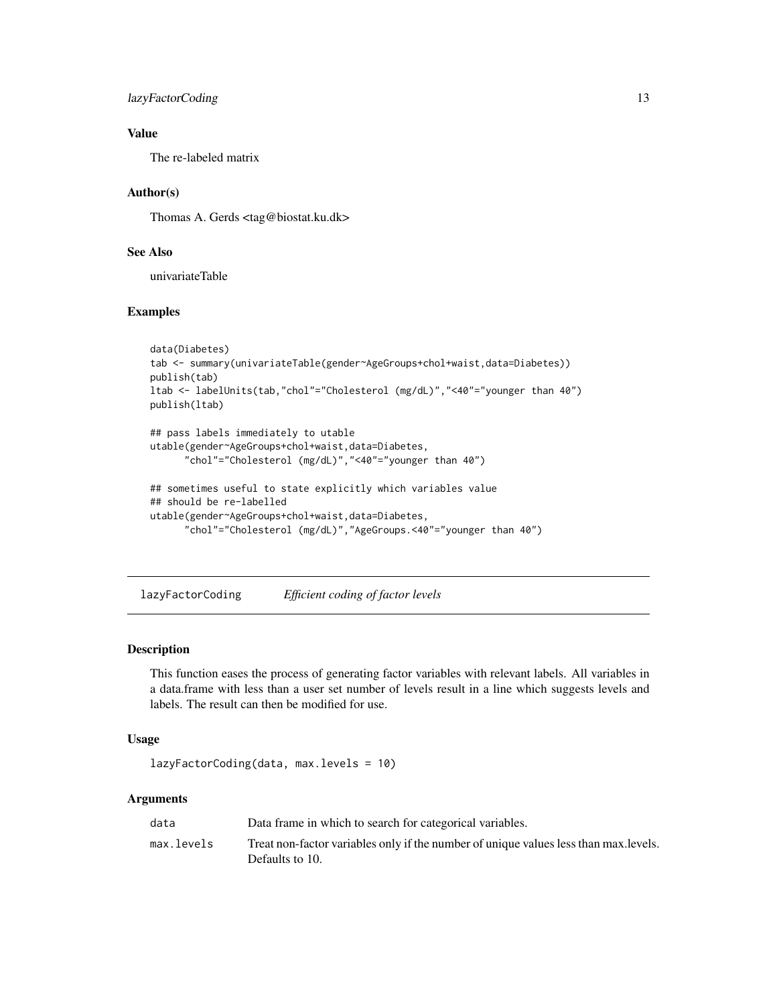# <span id="page-12-0"></span>lazyFactorCoding 13

# Value

The re-labeled matrix

#### Author(s)

Thomas A. Gerds <tag@biostat.ku.dk>

# See Also

univariateTable

# Examples

```
data(Diabetes)
tab <- summary(univariateTable(gender~AgeGroups+chol+waist,data=Diabetes))
publish(tab)
ltab <- labelUnits(tab,"chol"="Cholesterol (mg/dL)","<40"="younger than 40")
publish(ltab)
## pass labels immediately to utable
utable(gender~AgeGroups+chol+waist,data=Diabetes,
      "chol"="Cholesterol (mg/dL)","<40"="younger than 40")
## sometimes useful to state explicitly which variables value
## should be re-labelled
utable(gender~AgeGroups+chol+waist,data=Diabetes,
      "chol"="Cholesterol (mg/dL)","AgeGroups.<40"="younger than 40")
```
lazyFactorCoding *Efficient coding of factor levels*

# Description

This function eases the process of generating factor variables with relevant labels. All variables in a data.frame with less than a user set number of levels result in a line which suggests levels and labels. The result can then be modified for use.

#### Usage

```
lazyFactorCoding(data, max.levels = 10)
```
#### Arguments

| data       | Data frame in which to search for categorical variables.                                                 |
|------------|----------------------------------------------------------------------------------------------------------|
| max.levels | Treat non-factor variables only if the number of unique values less than max. levels.<br>Defaults to 10. |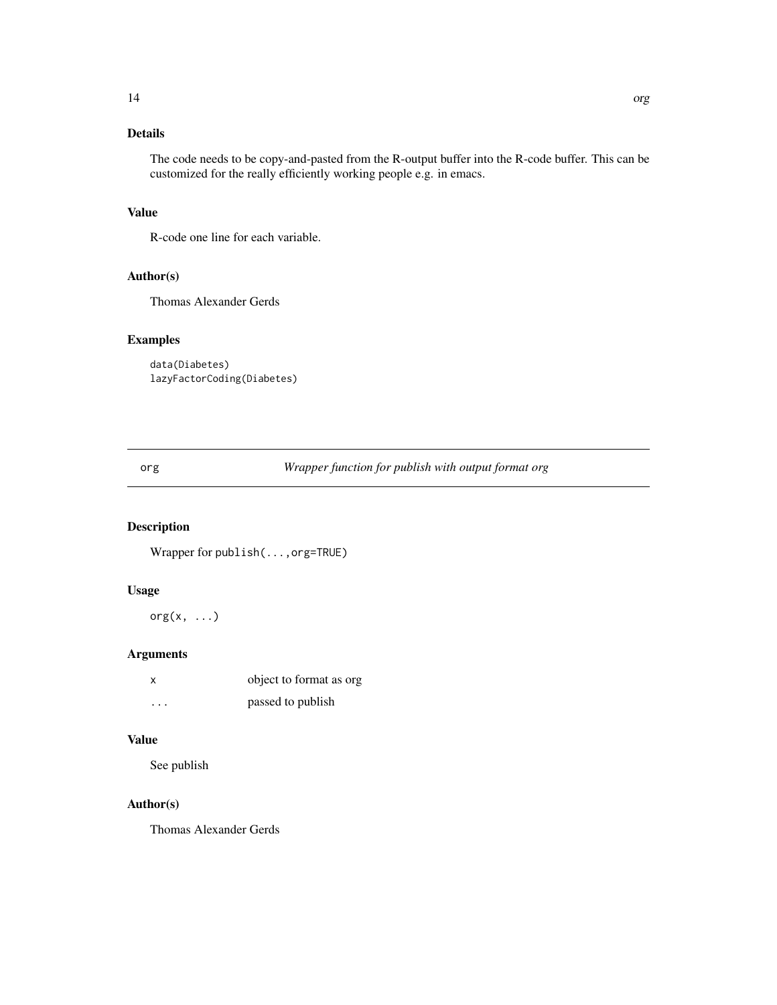# <span id="page-13-0"></span>Details

The code needs to be copy-and-pasted from the R-output buffer into the R-code buffer. This can be customized for the really efficiently working people e.g. in emacs.

# Value

R-code one line for each variable.

# Author(s)

Thomas Alexander Gerds

# Examples

```
data(Diabetes)
lazyFactorCoding(Diabetes)
```
org *Wrapper function for publish with output format org*

# Description

Wrapper for publish(...,org=TRUE)

# Usage

 $org(x, \ldots)$ 

# Arguments

| x                       | object to format as org |
|-------------------------|-------------------------|
| $\cdot$ $\cdot$ $\cdot$ | passed to publish       |

#### Value

See publish

# Author(s)

Thomas Alexander Gerds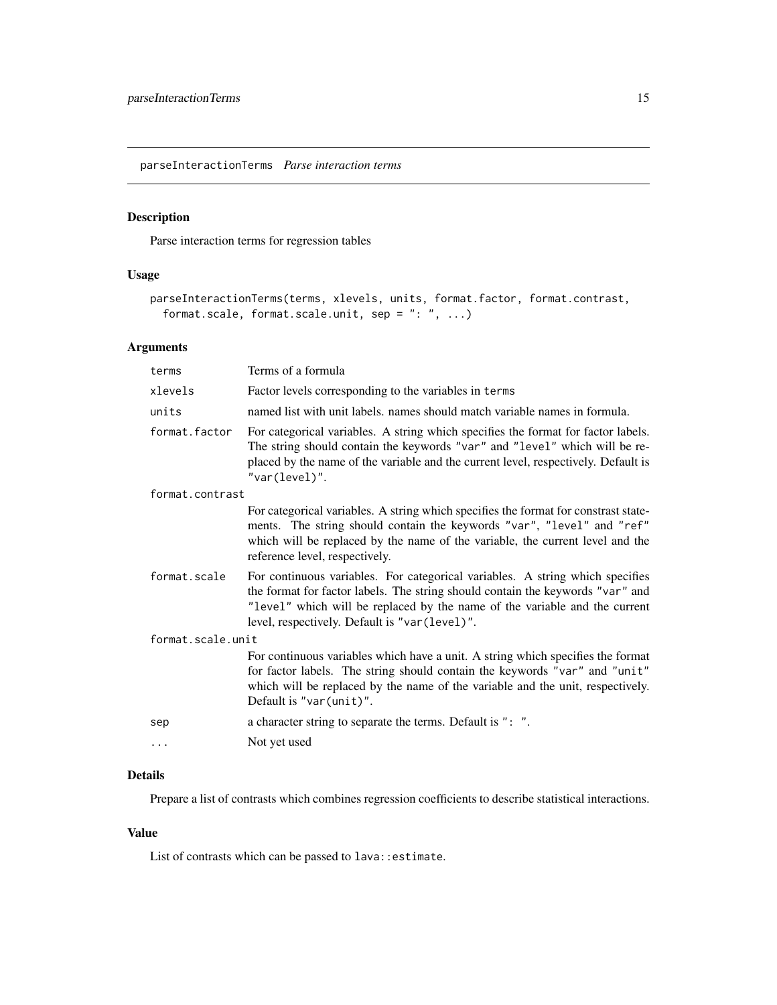<span id="page-14-0"></span>parseInteractionTerms *Parse interaction terms*

# Description

Parse interaction terms for regression tables

# Usage

```
parseInteractionTerms(terms, xlevels, units, format.factor, format.contrast,
  format.scale, format.scale.unit, sep = ": ", ...)
```
# Arguments

| Terms of a formula                                                                                                                                                                                                                                                                              |
|-------------------------------------------------------------------------------------------------------------------------------------------------------------------------------------------------------------------------------------------------------------------------------------------------|
| Factor levels corresponding to the variables in terms                                                                                                                                                                                                                                           |
| named list with unit labels, names should match variable names in formula.                                                                                                                                                                                                                      |
| For categorical variables. A string which specifies the format for factor labels.<br>The string should contain the keywords "var" and "level" which will be re-<br>placed by the name of the variable and the current level, respectively. Default is<br>"var(level)".                          |
| format.contrast                                                                                                                                                                                                                                                                                 |
| For categorical variables. A string which specifies the format for constrast state-<br>ments. The string should contain the keywords "var", "level" and "ref"<br>which will be replaced by the name of the variable, the current level and the<br>reference level, respectively.                |
| For continuous variables. For categorical variables. A string which specifies<br>the format for factor labels. The string should contain the keywords "var" and<br>"level" which will be replaced by the name of the variable and the current<br>level, respectively. Default is "var (level)". |
| format.scale.unit                                                                                                                                                                                                                                                                               |
| For continuous variables which have a unit. A string which specifies the format<br>for factor labels. The string should contain the keywords "var" and "unit"<br>which will be replaced by the name of the variable and the unit, respectively.<br>Default is "var(unit)".                      |
| a character string to separate the terms. Default is ": ".                                                                                                                                                                                                                                      |
| Not yet used                                                                                                                                                                                                                                                                                    |
|                                                                                                                                                                                                                                                                                                 |

# Details

Prepare a list of contrasts which combines regression coefficients to describe statistical interactions.

# Value

List of contrasts which can be passed to lava:: estimate.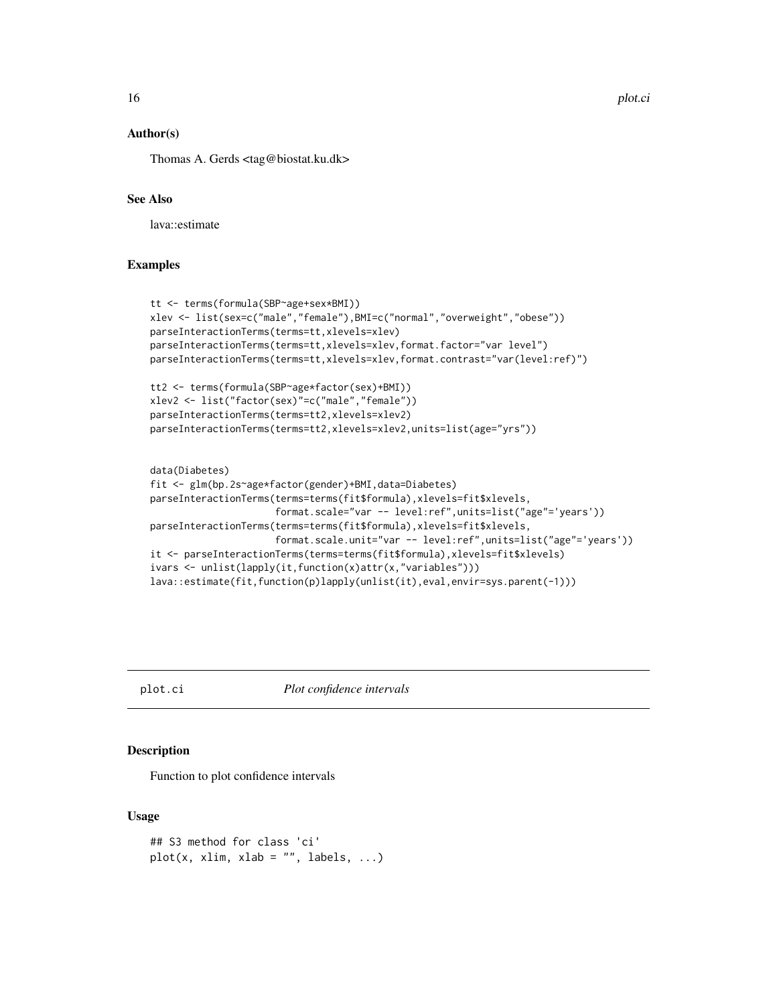#### <span id="page-15-0"></span>Author(s)

Thomas A. Gerds <tag@biostat.ku.dk>

#### See Also

lava::estimate

#### Examples

```
tt <- terms(formula(SBP~age+sex*BMI))
xlev <- list(sex=c("male","female"),BMI=c("normal","overweight","obese"))
parseInteractionTerms(terms=tt,xlevels=xlev)
parseInteractionTerms(terms=tt,xlevels=xlev,format.factor="var level")
parseInteractionTerms(terms=tt,xlevels=xlev,format.contrast="var(level:ref)")
tt2 <- terms(formula(SBP~age*factor(sex)+BMI))
xlev2 <- list("factor(sex)"=c("male","female"))
parseInteractionTerms(terms=tt2,xlevels=xlev2)
parseInteractionTerms(terms=tt2,xlevels=xlev2,units=list(age="yrs"))
data(Diabetes)
fit <- glm(bp.2s~age*factor(gender)+BMI,data=Diabetes)
parseInteractionTerms(terms=terms(fit$formula),xlevels=fit$xlevels,
                      format.scale="var -- level:ref",units=list("age"='years'))
```

```
parseInteractionTerms(terms=terms(fit$formula),xlevels=fit$xlevels,
                     format.scale.unit="var -- level:ref",units=list("age"='years'))
it <- parseInteractionTerms(terms=terms(fit$formula),xlevels=fit$xlevels)
ivars <- unlist(lapply(it,function(x)attr(x,"variables")))
lava::estimate(fit,function(p)lapply(unlist(it),eval,envir=sys.parent(-1)))
```
plot.ci *Plot confidence intervals*

#### Description

Function to plot confidence intervals

#### Usage

```
## S3 method for class 'ci'
plot(x, xlim, xlab = "", labels, ...)
```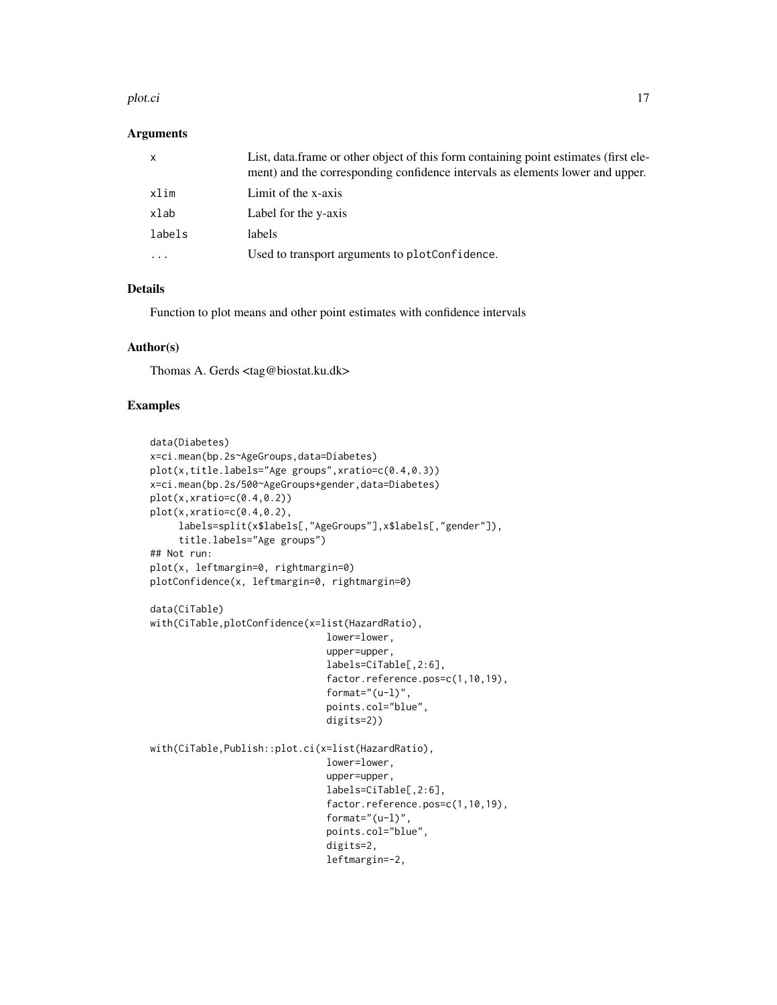#### plot.ci ili alta superiori il suome superiori il 17 della superiori il 17 della superiori il 17 della superiori il 17 della superiori il 17 della superiori il 17 della superiori il 17 della superiori il 17 della superiori

#### **Arguments**

| $\mathsf{x}$ | List, data frame or other object of this form containing point estimates (first ele-<br>ment) and the corresponding confidence intervals as elements lower and upper. |
|--------------|-----------------------------------------------------------------------------------------------------------------------------------------------------------------------|
| xlim         | Limit of the x-axis                                                                                                                                                   |
| xlab         | Label for the y-axis                                                                                                                                                  |
| labels       | labels                                                                                                                                                                |
|              | Used to transport arguments to plotConfidence.                                                                                                                        |

# Details

Function to plot means and other point estimates with confidence intervals

#### Author(s)

Thomas A. Gerds <tag@biostat.ku.dk>

```
data(Diabetes)
x=ci.mean(bp.2s~AgeGroups,data=Diabetes)
plot(x,title.labels="Age groups",xratio=c(0.4,0.3))
x=ci.mean(bp.2s/500~AgeGroups+gender,data=Diabetes)
plot(x,xratio=c(0.4,0.2))
plot(x,xratio=c(0.4,0.2),
     labels=split(x$labels[,"AgeGroups"],x$labels[,"gender"]),
     title.labels="Age groups")
## Not run:
plot(x, leftmargin=0, rightmargin=0)
plotConfidence(x, leftmargin=0, rightmargin=0)
data(CiTable)
with(CiTable,plotConfidence(x=list(HazardRatio),
                               lower=lower,
                               upper=upper,
                               labels=CiTable[,2:6],
                               factor.reference.pos=c(1,10,19),
                               format="(u-1)",
                               points.col="blue",
                               digits=2))
with(CiTable,Publish::plot.ci(x=list(HazardRatio),
                               lower=lower,
                               upper=upper,
                               labels=CiTable[,2:6],
                               factor.reference.pos=c(1,10,19),
                               format="(u-l)",
                               points.col="blue",
                               digits=2,
                               leftmargin=-2,
```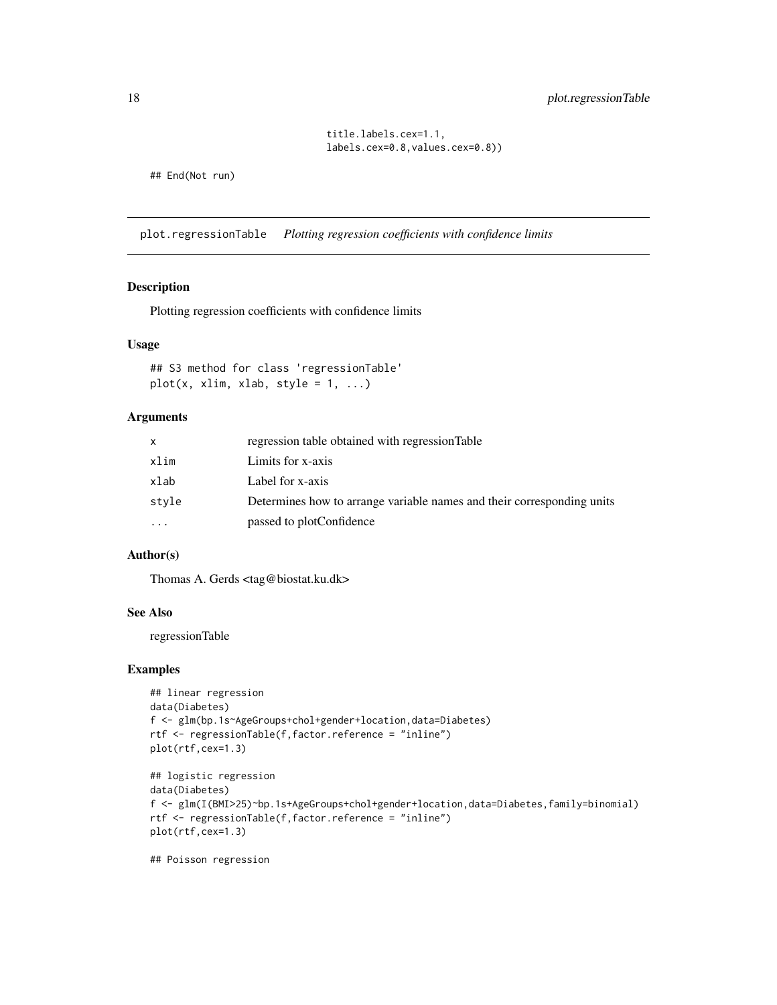# <span id="page-17-0"></span>18 plot.regressionTable

title.labels.cex=1.1, labels.cex=0.8,values.cex=0.8))

## End(Not run)

plot.regressionTable *Plotting regression coefficients with confidence limits*

#### Description

Plotting regression coefficients with confidence limits

#### Usage

## S3 method for class 'regressionTable'  $plot(x, xlim, xlab, style = 1, ...)$ 

# Arguments

|           | regression table obtained with regression Table                        |
|-----------|------------------------------------------------------------------------|
| xlim      | Limits for x-axis                                                      |
| xlab      | Label for x-axis                                                       |
| stvle     | Determines how to arrange variable names and their corresponding units |
| $\ddotsc$ | passed to plotConfidence                                               |

# Author(s)

Thomas A. Gerds <tag@biostat.ku.dk>

#### See Also

regressionTable

#### Examples

```
## linear regression
data(Diabetes)
f <- glm(bp.1s~AgeGroups+chol+gender+location,data=Diabetes)
rtf <- regressionTable(f,factor.reference = "inline")
plot(rtf,cex=1.3)
## logistic regression
data(Diabetes)
f <- glm(I(BMI>25)~bp.1s+AgeGroups+chol+gender+location,data=Diabetes,family=binomial)
rtf <- regressionTable(f,factor.reference = "inline")
plot(rtf,cex=1.3)
```
## Poisson regression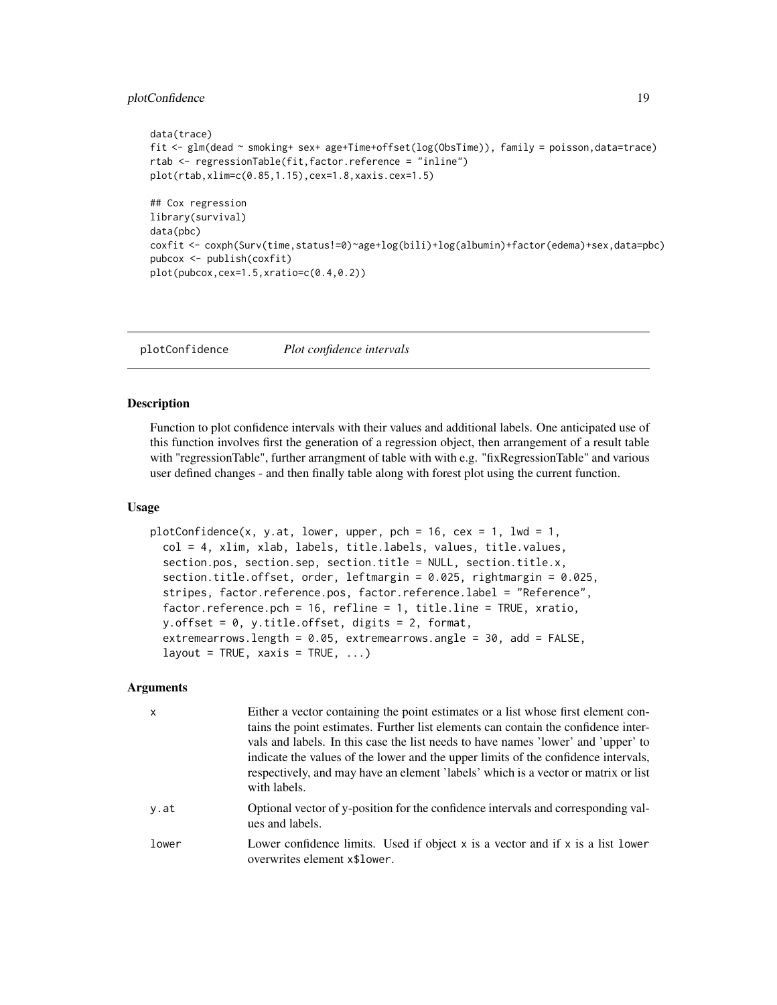# <span id="page-18-0"></span>plotConfidence 19

```
data(trace)
fit <- glm(dead ~ smoking+ sex+ age+Time+offset(log(ObsTime)), family = poisson,data=trace)
rtab <- regressionTable(fit,factor.reference = "inline")
plot(rtab,xlim=c(0.85,1.15),cex=1.8,xaxis.cex=1.5)
## Cox regression
library(survival)
data(pbc)
coxfit <- coxph(Surv(time,status!=0)~age+log(bili)+log(albumin)+factor(edema)+sex,data=pbc)
pubcox <- publish(coxfit)
plot(pubcox,cex=1.5,xratio=c(0.4,0.2))
```
plotConfidence *Plot confidence intervals*

#### Description

Function to plot confidence intervals with their values and additional labels. One anticipated use of this function involves first the generation of a regression object, then arrangement of a result table with "regressionTable", further arrangment of table with with e.g. "fixRegressionTable" and various user defined changes - and then finally table along with forest plot using the current function.

# Usage

```
plotConfidence(x, y.at, lower, upper, pch = 16, cex = 1, lwd = 1,
 col = 4, xlim, xlab, labels, title.labels, values, title.values,
  section.pos, section.sep, section.title = NULL, section.title.x,
  section.title.offset, order, leftmargin = 0.025, rightmargin = 0.025,
  stripes, factor.reference.pos, factor.reference.label = "Reference",
 factor.reference.pch = 16, refline = 1, title.line = TRUE, xratio,
 y.offset = 0, y.title.offset, digits = 2, format,
  extremearrows.length = 0.05, extremearrows.angle = 30, add = FALSE,
  layout = TRUE, xaxis = TRUE, ...
```
# Arguments

| $\mathsf{x}$ | Either a vector containing the point estimates or a list whose first element con-<br>tains the point estimates. Further list elements can contain the confidence inter-<br>vals and labels. In this case the list needs to have names 'lower' and 'upper' to<br>indicate the values of the lower and the upper limits of the confidence intervals,<br>respectively, and may have an element 'labels' which is a vector or matrix or list<br>with labels. |
|--------------|----------------------------------------------------------------------------------------------------------------------------------------------------------------------------------------------------------------------------------------------------------------------------------------------------------------------------------------------------------------------------------------------------------------------------------------------------------|
| y.at         | Optional vector of y-position for the confidence intervals and corresponding val-<br>ues and labels.                                                                                                                                                                                                                                                                                                                                                     |
| lower        | Lower confidence limits. Used if object $x$ is a vector and if $x$ is a list lower<br>overwrites element x\$1 ower.                                                                                                                                                                                                                                                                                                                                      |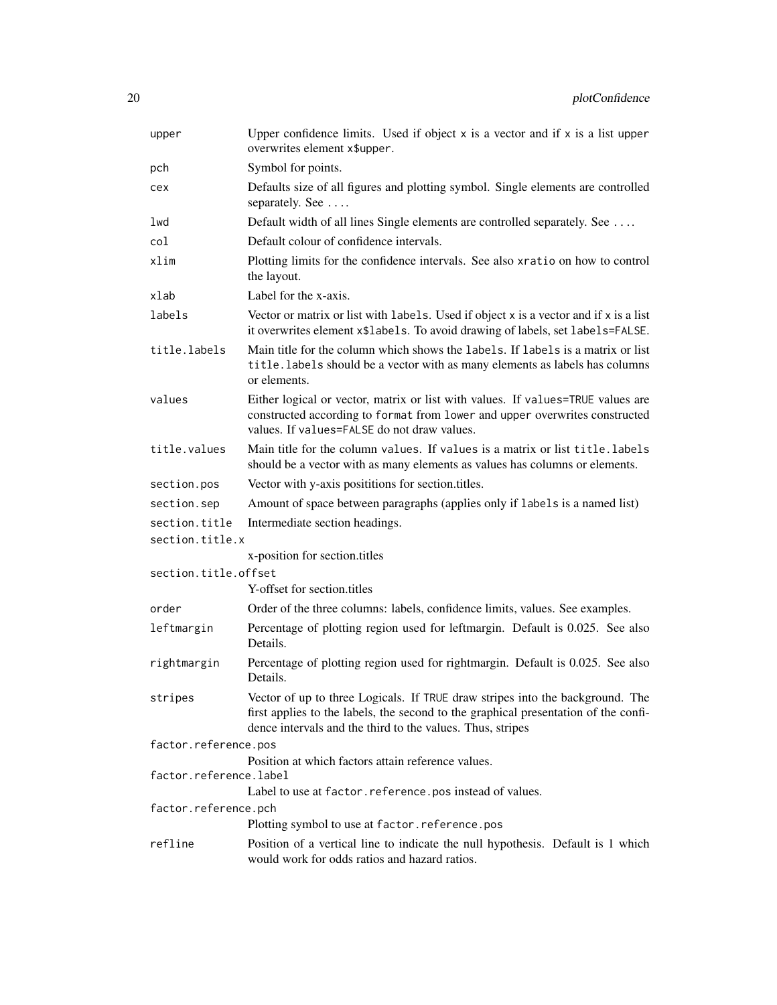| upper                  | Upper confidence limits. Used if object $x$ is a vector and if $x$ is a list upper<br>overwrites element x\$upper.                                                                                                                 |
|------------------------|------------------------------------------------------------------------------------------------------------------------------------------------------------------------------------------------------------------------------------|
| pch                    | Symbol for points.                                                                                                                                                                                                                 |
| cex                    | Defaults size of all figures and plotting symbol. Single elements are controlled<br>separately. See                                                                                                                                |
| lwd                    | Default width of all lines Single elements are controlled separately. See                                                                                                                                                          |
| col                    | Default colour of confidence intervals.                                                                                                                                                                                            |
| xlim                   | Plotting limits for the confidence intervals. See also xratio on how to control<br>the layout.                                                                                                                                     |
| xlab                   | Label for the x-axis.                                                                                                                                                                                                              |
| labels                 | Vector or matrix or list with labels. Used if object x is a vector and if x is a list<br>it overwrites element x\$labels. To avoid drawing of labels, set labels=FALSE.                                                            |
| title.labels           | Main title for the column which shows the labels. If labels is a matrix or list<br>title. labels should be a vector with as many elements as labels has columns<br>or elements.                                                    |
| values                 | Either logical or vector, matrix or list with values. If values=TRUE values are<br>constructed according to format from lower and upper overwrites constructed<br>values. If values=FALSE do not draw values.                      |
| title.values           | Main title for the column values. If values is a matrix or list title. labels<br>should be a vector with as many elements as values has columns or elements.                                                                       |
| section.pos            | Vector with y-axis posititions for section.titles.                                                                                                                                                                                 |
| section.sep            | Amount of space between paragraphs (applies only if labels is a named list)                                                                                                                                                        |
| section.title          | Intermediate section headings.                                                                                                                                                                                                     |
| section.title.x        |                                                                                                                                                                                                                                    |
|                        | x-position for section.titles                                                                                                                                                                                                      |
| section.title.offset   | Y-offset for section.titles                                                                                                                                                                                                        |
| order                  |                                                                                                                                                                                                                                    |
| leftmargin             | Order of the three columns: labels, confidence limits, values. See examples.<br>Percentage of plotting region used for leftmargin. Default is 0.025. See also<br>Details.                                                          |
| rightmargin            | Percentage of plotting region used for rightmargin. Default is 0.025. See also<br>Details.                                                                                                                                         |
| stripes                | Vector of up to three Logicals. If TRUE draw stripes into the background. The<br>first applies to the labels, the second to the graphical presentation of the confi-<br>dence intervals and the third to the values. Thus, stripes |
| factor.reference.pos   |                                                                                                                                                                                                                                    |
| factor.reference.label | Position at which factors attain reference values.                                                                                                                                                                                 |
|                        | Label to use at factor. reference. pos instead of values.                                                                                                                                                                          |
| factor.reference.pch   | Plotting symbol to use at factor.reference.pos                                                                                                                                                                                     |
|                        |                                                                                                                                                                                                                                    |
| refline                | Position of a vertical line to indicate the null hypothesis. Default is 1 which<br>would work for odds ratios and hazard ratios.                                                                                                   |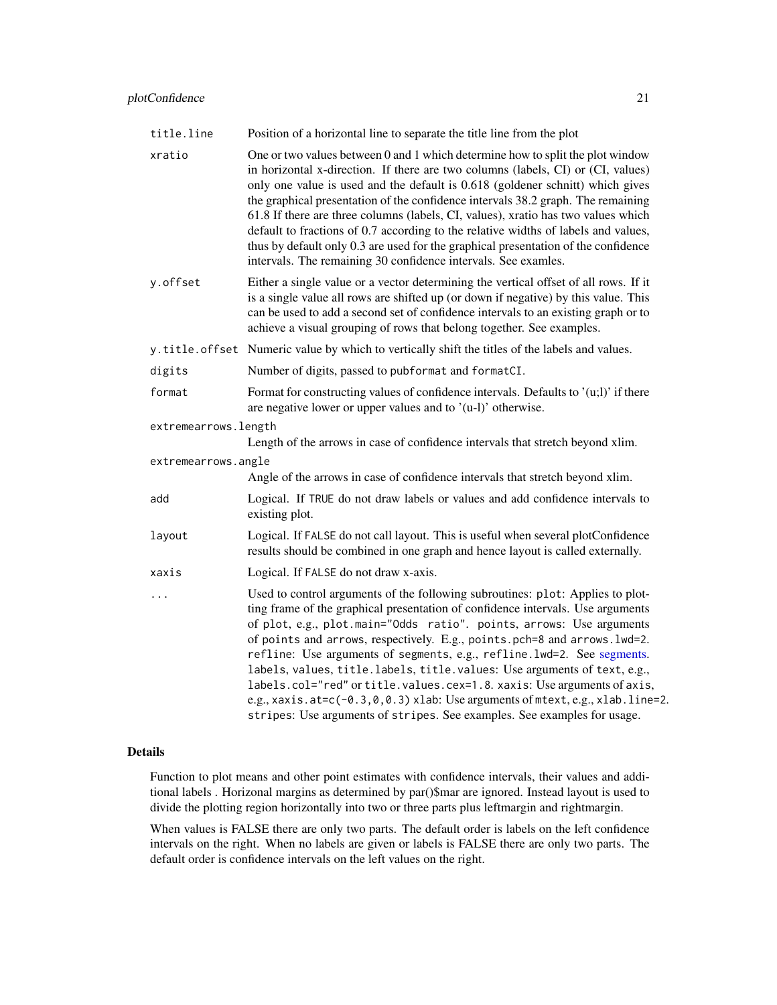<span id="page-20-0"></span>

|  | title.line | Position of a horizontal line to separate the title line from the plot |  |
|--|------------|------------------------------------------------------------------------|--|
|--|------------|------------------------------------------------------------------------|--|

- xratio One or two values between 0 and 1 which determine how to split the plot window in horizontal x-direction. If there are two columns (labels, CI) or (CI, values) only one value is used and the default is 0.618 (goldener schnitt) which gives the graphical presentation of the confidence intervals 38.2 graph. The remaining 61.8 If there are three columns (labels, CI, values), xratio has two values which default to fractions of 0.7 according to the relative widths of labels and values, thus by default only 0.3 are used for the graphical presentation of the confidence intervals. The remaining 30 confidence intervals. See examles.
- y.offset Either a single value or a vector determining the vertical offset of all rows. If it is a single value all rows are shifted up (or down if negative) by this value. This can be used to add a second set of confidence intervals to an existing graph or to achieve a visual grouping of rows that belong together. See examples.

y.title.offset Numeric value by which to vertically shift the titles of the labels and values.

- digits Number of digits, passed to pubformat and formatCI.
- format Format for constructing values of confidence intervals. Defaults to  $'(u;l)$  if there are negative lower or upper values and to '(u-l)' otherwise.

extremearrows.length

Length of the arrows in case of confidence intervals that stretch beyond xlim.

extremearrows.angle Angle of the arrows in case of confidence intervals that stretch beyond xlim. add Logical. If TRUE do not draw labels or values and add confidence intervals to existing plot. layout Logical. If FALSE do not call layout. This is useful when several plotConfidence results should be combined in one graph and hence layout is called externally. xaxis Logical. If FALSE do not draw x-axis. ... Used to control arguments of the following subroutines: plot: Applies to plotting frame of the graphical presentation of confidence intervals. Use arguments of plot, e.g., plot.main="Odds ratio". points, arrows: Use arguments of points and arrows, respectively. E.g., points.pch=8 and arrows.lwd=2. refline: Use arguments of segments, e.g., refline.lwd=2. See [segments.](#page-0-0) labels, values, title.labels, title.values: Use arguments of text, e.g., labels.col="red" or title.values.cex=1.8. xaxis: Use arguments of axis, e.g., xaxis.at= $c(-0.3, 0, 0.3)$  xlab: Use arguments of mtext, e.g., xlab.line=2. stripes: Use arguments of stripes. See examples. See examples for usage.

#### Details

Function to plot means and other point estimates with confidence intervals, their values and additional labels . Horizonal margins as determined by par()\$mar are ignored. Instead layout is used to divide the plotting region horizontally into two or three parts plus leftmargin and rightmargin.

When values is FALSE there are only two parts. The default order is labels on the left confidence intervals on the right. When no labels are given or labels is FALSE there are only two parts. The default order is confidence intervals on the left values on the right.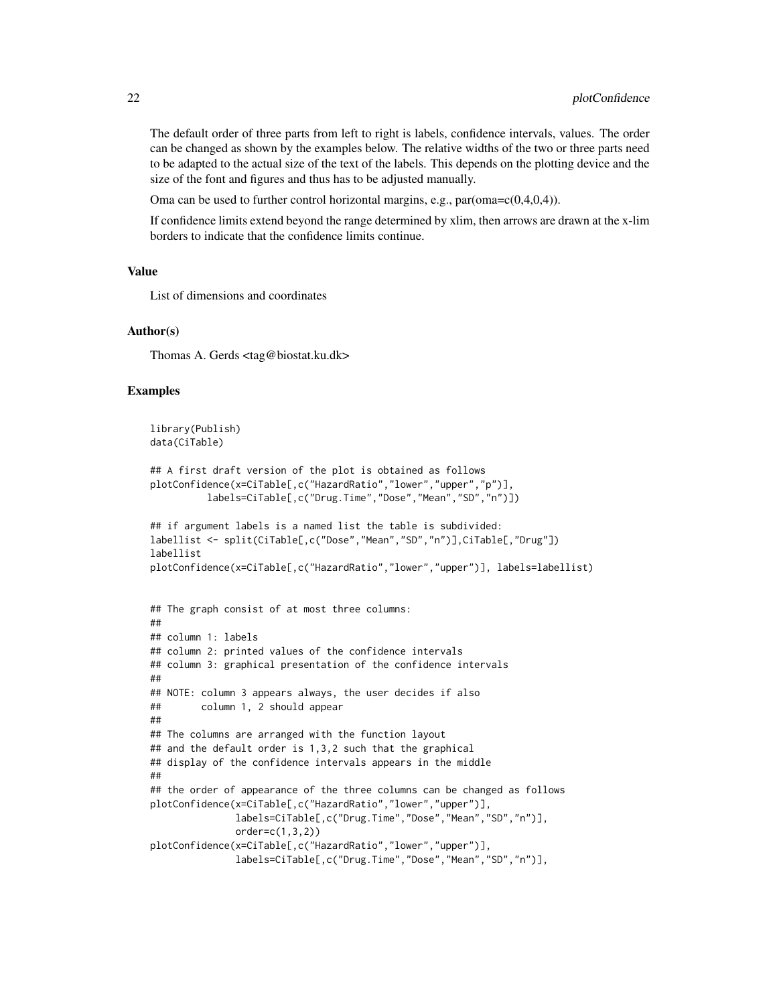The default order of three parts from left to right is labels, confidence intervals, values. The order can be changed as shown by the examples below. The relative widths of the two or three parts need to be adapted to the actual size of the text of the labels. This depends on the plotting device and the size of the font and figures and thus has to be adjusted manually.

Oma can be used to further control horizontal margins, e.g.,  $par(oma = c(0,4,0,4))$ .

If confidence limits extend beyond the range determined by xlim, then arrows are drawn at the x-lim borders to indicate that the confidence limits continue.

#### Value

List of dimensions and coordinates

#### Author(s)

Thomas A. Gerds <tag@biostat.ku.dk>

```
library(Publish)
data(CiTable)
## A first draft version of the plot is obtained as follows
plotConfidence(x=CiTable[,c("HazardRatio","lower","upper","p")],
         labels=CiTable[,c("Drug.Time","Dose","Mean","SD","n")])
## if argument labels is a named list the table is subdivided:
labellist <- split(CiTable[,c("Dose","Mean","SD","n")],CiTable[,"Drug"])
labellist
plotConfidence(x=CiTable[,c("HazardRatio","lower","upper")], labels=labellist)
## The graph consist of at most three columns:
##
## column 1: labels
## column 2: printed values of the confidence intervals
## column 3: graphical presentation of the confidence intervals
##
## NOTE: column 3 appears always, the user decides if also
## column 1, 2 should appear
##
## The columns are arranged with the function layout
## and the default order is 1,3,2 such that the graphical
## display of the confidence intervals appears in the middle
##
## the order of appearance of the three columns can be changed as follows
plotConfidence(x=CiTable[,c("HazardRatio","lower","upper")],
               labels=CiTable[,c("Drug.Time","Dose","Mean","SD","n")],
               order=c(1,3,2))
plotConfidence(x=CiTable[,c("HazardRatio","lower","upper")],
               labels=CiTable[,c("Drug.Time","Dose","Mean","SD","n")],
```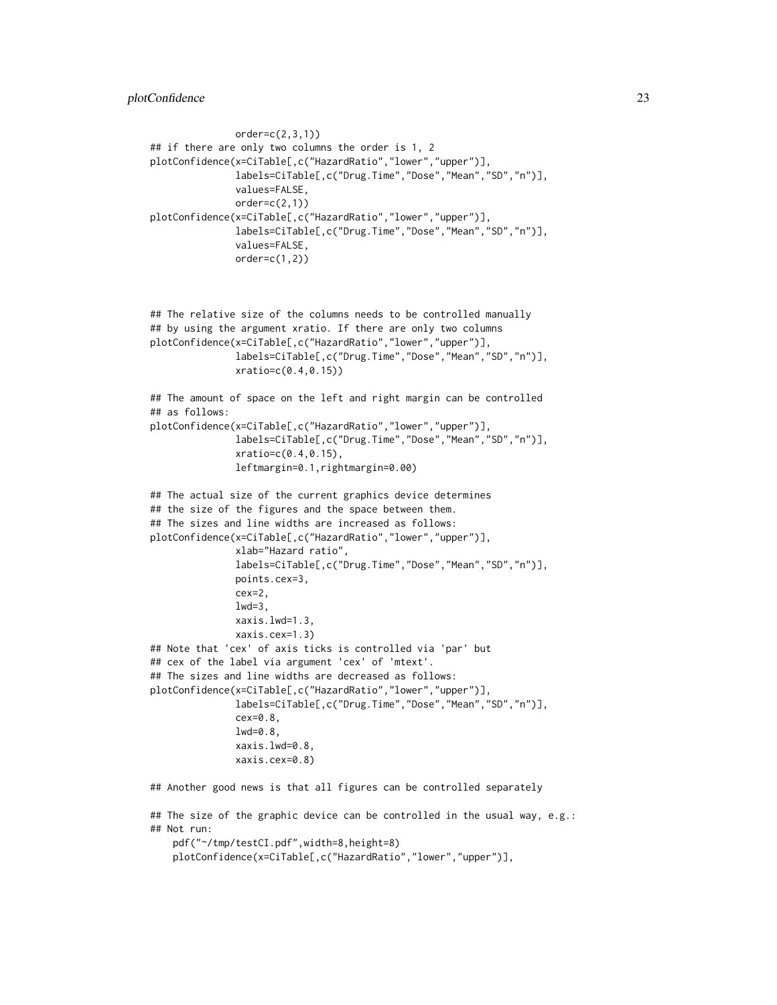```
order=c(2,3,1))
## if there are only two columns the order is 1, 2
plotConfidence(x=CiTable[,c("HazardRatio","lower","upper")],
               labels=CiTable[,c("Drug.Time","Dose","Mean","SD","n")],
              values=FALSE,
              order=c(2,1))plotConfidence(x=CiTable[,c("HazardRatio","lower","upper")],
              labels=CiTable[,c("Drug.Time","Dose","Mean","SD","n")],
              values=FALSE,
              order=c(1,2))
```

```
## The relative size of the columns needs to be controlled manually
## by using the argument xratio. If there are only two columns
plotConfidence(x=CiTable[,c("HazardRatio","lower","upper")],
              labels=CiTable[,c("Drug.Time","Dose","Mean","SD","n")],
              xratio=c(0.4,0.15))
```

```
## The amount of space on the left and right margin can be controlled
## as follows:
plotConfidence(x=CiTable[,c("HazardRatio","lower","upper")],
              labels=CiTable[,c("Drug.Time","Dose","Mean","SD","n")],
```

```
xratio=c(0.4,0.15),
leftmargin=0.1,rightmargin=0.00)
```

```
## The actual size of the current graphics device determines
## the size of the figures and the space between them.
## The sizes and line widths are increased as follows:
plotConfidence(x=CiTable[,c("HazardRatio","lower","upper")],
              xlab="Hazard ratio",
               labels=CiTable[,c("Drug.Time","Dose","Mean","SD","n")],
               points.cex=3,
              cex=2,
              1wd=3,
              xaxis.lwd=1.3,
              xaxis.cex=1.3)
## Note that 'cex' of axis ticks is controlled via 'par' but
## cex of the label via argument 'cex' of 'mtext'.
## The sizes and line widths are decreased as follows:
plotConfidence(x=CiTable[,c("HazardRatio","lower","upper")],
               labels=CiTable[,c("Drug.Time","Dose","Mean","SD","n")],
               cex=0.8lwd=0.8,
               xaxis.lwd=0.8,
               xaxis.cex=0.8)
```
## Another good news is that all figures can be controlled separately

```
## The size of the graphic device can be controlled in the usual way, e.g.:
## Not run:
    pdf("~/tmp/testCI.pdf",width=8,height=8)
   plotConfidence(x=CiTable[,c("HazardRatio","lower","upper")],
```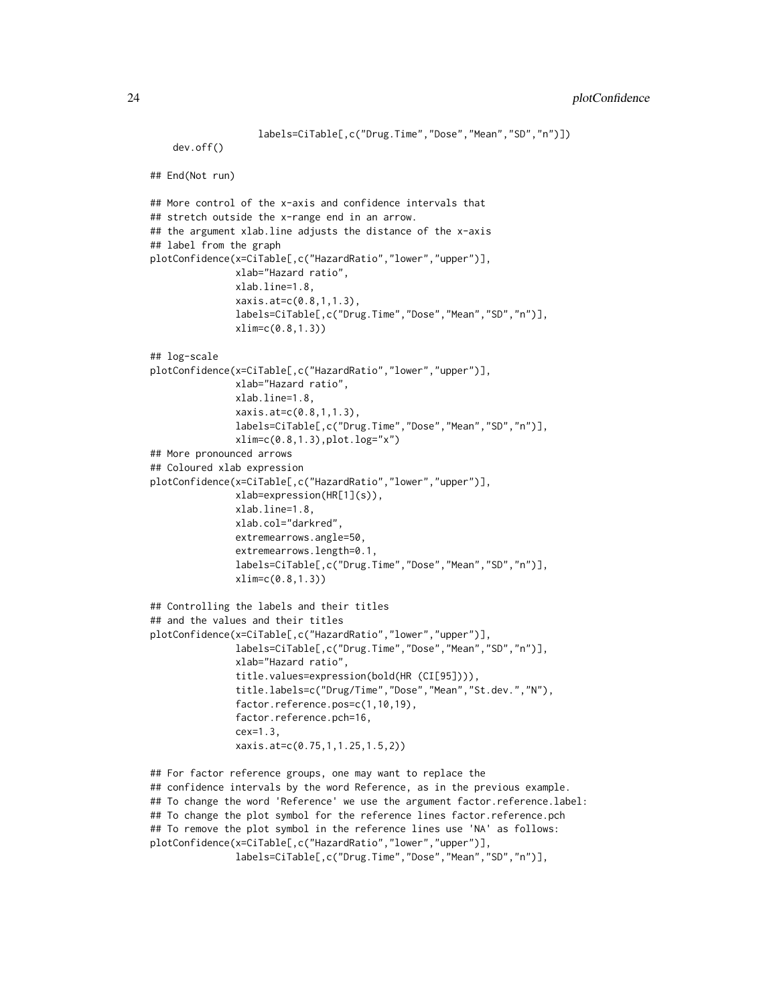```
labels=CiTable[,c("Drug.Time","Dose","Mean","SD","n")])
    dev.off()
## End(Not run)
## More control of the x-axis and confidence intervals that
## stretch outside the x-range end in an arrow.
## the argument xlab.line adjusts the distance of the x-axis
## label from the graph
plotConfidence(x=CiTable[,c("HazardRatio","lower","upper")],
              xlab="Hazard ratio",
              xlab.line=1.8,
               xaxis.at=c(0.8,1,1.3),
               labels=CiTable[,c("Drug.Time","Dose","Mean","SD","n")],
               xlim=c(0.8,1.3))
## log-scale
plotConfidence(x=CiTable[,c("HazardRatio","lower","upper")],
              xlab="Hazard ratio",
               xlab.line=1.8,
              xaxis.at=c(0.8,1,1.3),
               labels=CiTable[,c("Drug.Time","Dose","Mean","SD","n")],
               xlim=c(0.8,1.3),plot.log="x")
## More pronounced arrows
## Coloured xlab expression
plotConfidence(x=CiTable[,c("HazardRatio","lower","upper")],
               xlab=expression(HR[1](s)),
               xlab.line=1.8,
               xlab.col="darkred",
               extremearrows.angle=50,
               extremearrows.length=0.1,
               labels=CiTable[,c("Drug.Time","Dose","Mean","SD","n")],
              xlim=c(0.8,1.3))
## Controlling the labels and their titles
## and the values and their titles
plotConfidence(x=CiTable[,c("HazardRatio","lower","upper")],
               labels=CiTable[,c("Drug.Time","Dose","Mean","SD","n")],
               xlab="Hazard ratio",
               title.values=expression(bold(HR (CI[95]))),
               title.labels=c("Drug/Time","Dose","Mean","St.dev.","N"),
               factor.reference.pos=c(1,10,19),
               factor.reference.pch=16,
               cex=1.3,
              xaxis.at=c(0.75,1,1.25,1.5,2))
## For factor reference groups, one may want to replace the
## confidence intervals by the word Reference, as in the previous example.
## To change the word 'Reference' we use the argument factor.reference.label:
## To change the plot symbol for the reference lines factor.reference.pch
## To remove the plot symbol in the reference lines use 'NA' as follows:
```

```
plotConfidence(x=CiTable[,c("HazardRatio","lower","upper")],
```

```
labels=CiTable[,c("Drug.Time","Dose","Mean","SD","n")],
```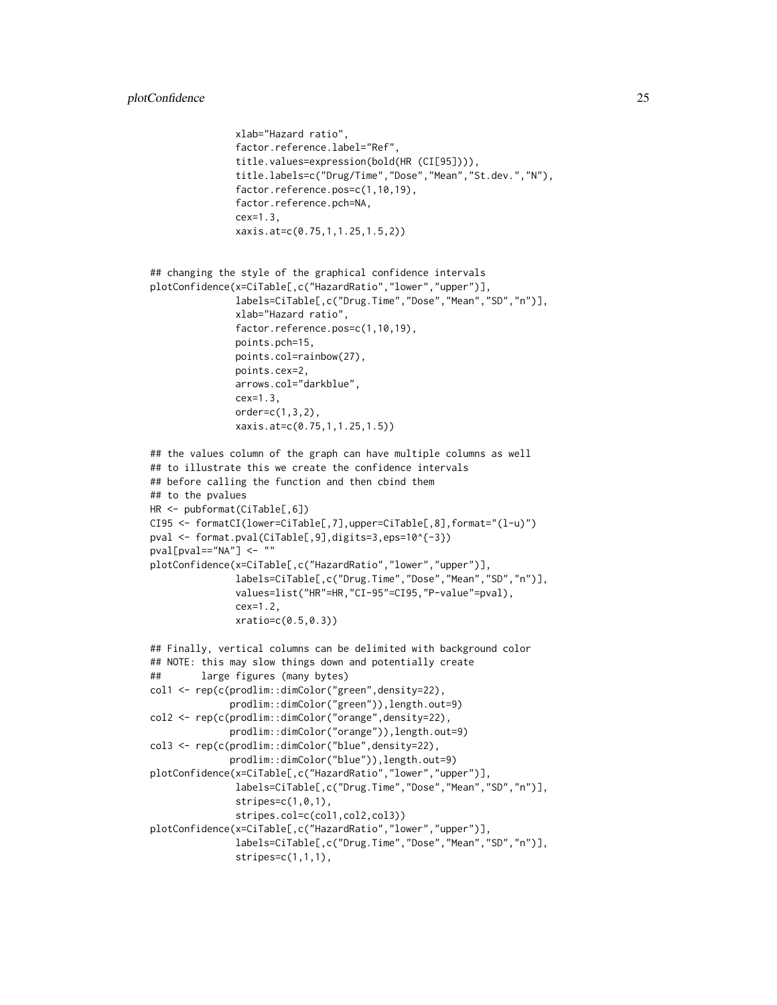```
xlab="Hazard ratio",
               factor.reference.label="Ref",
               title.values=expression(bold(HR (CI[95]))),
               title.labels=c("Drug/Time","Dose","Mean","St.dev.","N"),
               factor.reference.pos=c(1,10,19),
               factor.reference.pch=NA,
               cex=1.3,
               xaxis.at=c(0.75,1,1.25,1.5,2))
## changing the style of the graphical confidence intervals
plotConfidence(x=CiTable[,c("HazardRatio","lower","upper")],
               labels=CiTable[,c("Drug.Time","Dose","Mean","SD","n")],
               xlab="Hazard ratio",
               factor.reference.pos=c(1,10,19),
               points.pch=15,
               points.col=rainbow(27),
               points.cex=2,
               arrows.col="darkblue",
               cex=1.3,
               order=c(1,3,2),
               xaxis.at=c(0.75,1,1.25,1.5))
## the values column of the graph can have multiple columns as well
## to illustrate this we create the confidence intervals
## before calling the function and then cbind them
## to the pvalues
HR <- pubformat(CiTable[,6])
CI95 <- formatCI(lower=CiTable[,7],upper=CiTable[,8],format="(l-u)")
pval <- format.pval(CiTable[,9],digits=3,eps=10^{-3})
pval[pval=="NA"] <- ""
plotConfidence(x=CiTable[,c("HazardRatio","lower","upper")],
               labels=CiTable[,c("Drug.Time","Dose","Mean","SD","n")],
               values=list("HR"=HR,"CI-95"=CI95,"P-value"=pval),
               cex=1.2,
              xratio=c(0.5,0.3))
## Finally, vertical columns can be delimited with background color
## NOTE: this may slow things down and potentially create
## large figures (many bytes)
col1 <- rep(c(prodlim::dimColor("green",density=22),
              prodlim::dimColor("green")),length.out=9)
col2 <- rep(c(prodlim::dimColor("orange",density=22),
              prodlim::dimColor("orange")),length.out=9)
col3 <- rep(c(prodlim::dimColor("blue",density=22),
              prodlim::dimColor("blue")),length.out=9)
plotConfidence(x=CiTable[,c("HazardRatio","lower","upper")],
               labels=CiTable[,c("Drug.Time","Dose","Mean","SD","n")],
               stripes=c(1,0,1),
               stripes.col=c(col1,col2,col3))
plotConfidence(x=CiTable[,c("HazardRatio","lower","upper")],
               labels=CiTable[,c("Drug.Time","Dose","Mean","SD","n")],
               stripes=c(1,1,1),
```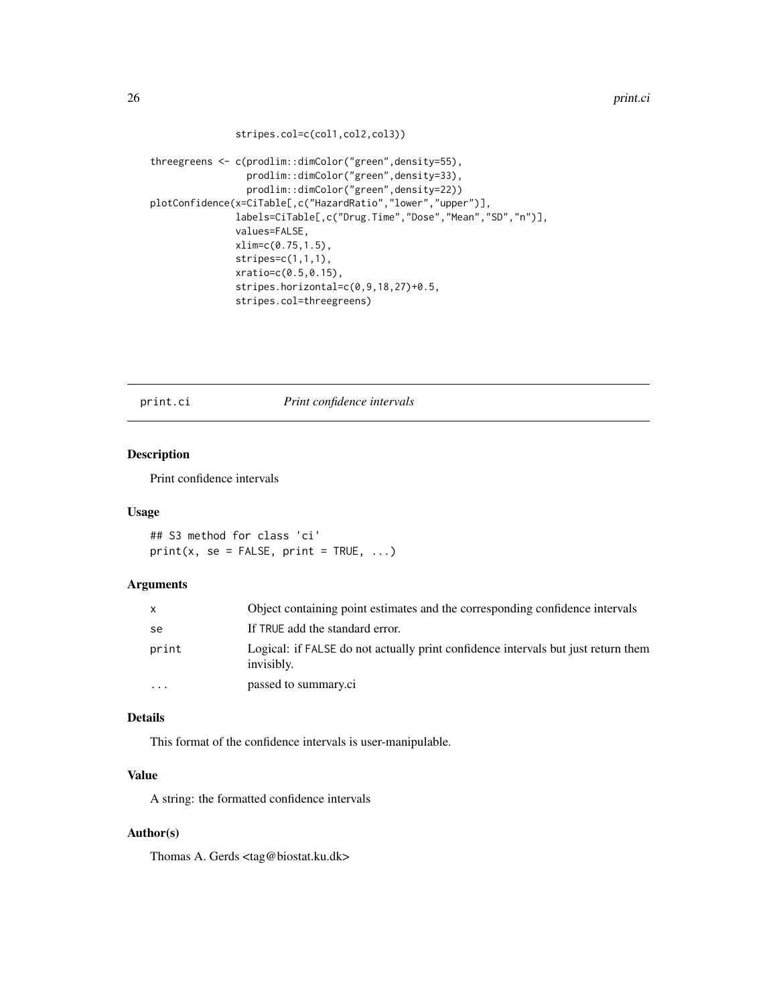```
stripes.col=c(col1,col2,col3))
```

```
threegreens <- c(prodlim::dimColor("green",density=55),
                 prodlim::dimColor("green",density=33),
                 prodlim::dimColor("green",density=22))
plotConfidence(x=CiTable[,c("HazardRatio","lower","upper")],
               labels=CiTable[,c("Drug.Time","Dose","Mean","SD","n")],
               values=FALSE,
              xlim=c(0.75,1.5),
               stripes=c(1,1,1),
               xratio=c(0.5,0.15),
               stripes.horizontal=c(0,9,18,27)+0.5,
               stripes.col=threegreens)
```
print.ci *Print confidence intervals*

#### Description

Print confidence intervals

#### Usage

## S3 method for class 'ci'  $print(x, se = FALSE, print = TRUE, ...)$ 

#### Arguments

| X        | Object containing point estimates and the corresponding confidence intervals                    |
|----------|-------------------------------------------------------------------------------------------------|
| se       | If TRUE add the standard error.                                                                 |
| print    | Logical: if FALSE do not actually print confidence intervals but just return them<br>invisibly. |
| $\cdots$ | passed to summary.ci                                                                            |

# Details

This format of the confidence intervals is user-manipulable.

## Value

A string: the formatted confidence intervals

# Author(s)

Thomas A. Gerds <tag@biostat.ku.dk>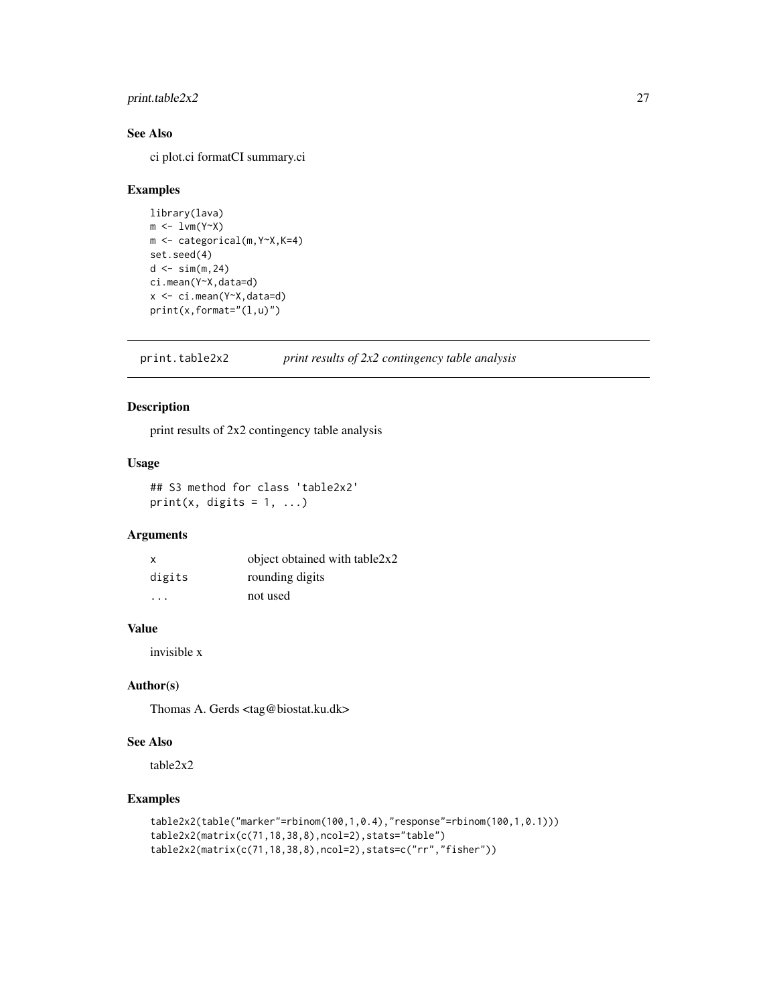# <span id="page-26-0"></span>print.table2x2 27

# See Also

ci plot.ci formatCI summary.ci

#### Examples

```
library(lava)
m \leftarrow 1vm(Y \sim X)m <- categorical(m,Y~X,K=4)
set.seed(4)
d \leq \sin(m, 24)ci.mean(Y~X,data=d)
x <- ci.mean(Y~X,data=d)
print(x,format="(l,u)")
```
print.table2x2 *print results of 2x2 contingency table analysis*

# Description

print results of 2x2 contingency table analysis

# Usage

## S3 method for class 'table2x2'  $print(x, digits = 1, ...)$ 

#### Arguments

| x       | object obtained with table2x2 |
|---------|-------------------------------|
| digits  | rounding digits               |
| $\cdot$ | not used                      |

# Value

invisible x

# Author(s)

Thomas A. Gerds <tag@biostat.ku.dk>

# See Also

table2x2

```
table2x2(table("marker"=rbinom(100,1,0.4),"response"=rbinom(100,1,0.1)))
table2x2(matrix(c(71,18,38,8),ncol=2),stats="table")
table2x2(matrix(c(71,18,38,8),ncol=2),stats=c("rr","fisher"))
```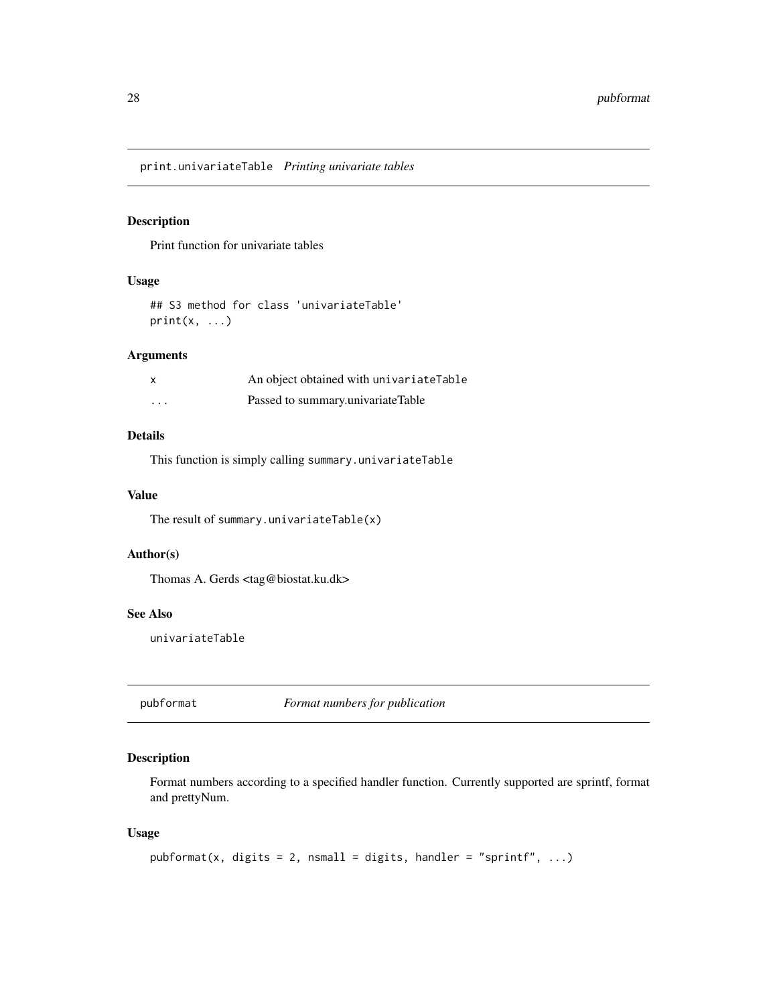<span id="page-27-0"></span>print.univariateTable *Printing univariate tables*

# Description

Print function for univariate tables

# Usage

## S3 method for class 'univariateTable' print(x, ...)

# Arguments

| $\boldsymbol{\mathsf{x}}$ | An object obtained with univariateTable |
|---------------------------|-----------------------------------------|
| $\cdots$                  | Passed to summary.univariateTable       |

# Details

This function is simply calling summary.univariateTable

#### Value

The result of summary.univariateTable(x)

# Author(s)

Thomas A. Gerds <tag@biostat.ku.dk>

#### See Also

univariateTable

pubformat *Format numbers for publication*

# Description

Format numbers according to a specified handler function. Currently supported are sprintf, format and prettyNum.

# Usage

```
public\npath( x, digits = 2, nsmall = digits, handler = "spring" , ... )
```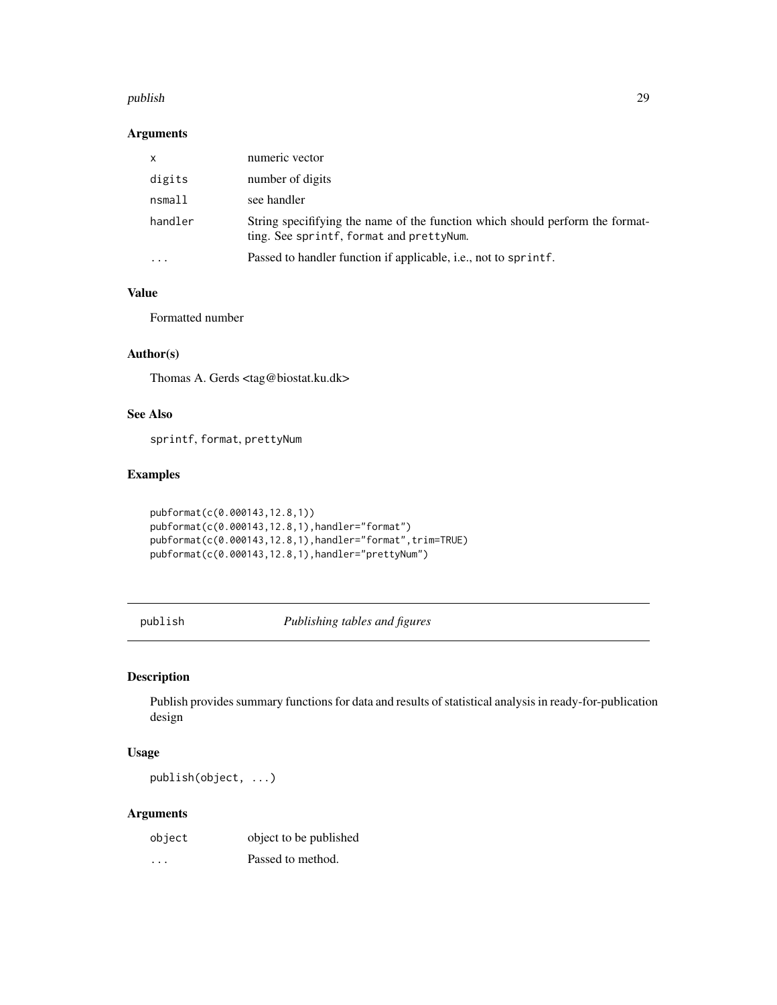#### <span id="page-28-0"></span>publish 29

#### Arguments

| x         | numeric vector                                                                                                             |
|-----------|----------------------------------------------------------------------------------------------------------------------------|
| digits    | number of digits                                                                                                           |
| nsmall    | see handler                                                                                                                |
| handler   | String specifitying the name of the function which should perform the format-<br>ting. See sprintf, format and pretty Num. |
| $\ddotsc$ | Passed to handler function if applicable, <i>i.e.</i> , not to sprintf.                                                    |

# Value

Formatted number

# Author(s)

Thomas A. Gerds <tag@biostat.ku.dk>

# See Also

sprintf, format, prettyNum

# Examples

```
pubformat(c(0.000143,12.8,1))
pubformat(c(0.000143,12.8,1),handler="format")
pubformat(c(0.000143,12.8,1),handler="format",trim=TRUE)
pubformat(c(0.000143,12.8,1),handler="prettyNum")
```
publish *Publishing tables and figures*

# Description

Publish provides summary functions for data and results of statistical analysis in ready-for-publication design

# Usage

publish(object, ...)

# Arguments

| object | object to be published |
|--------|------------------------|
| .      | Passed to method.      |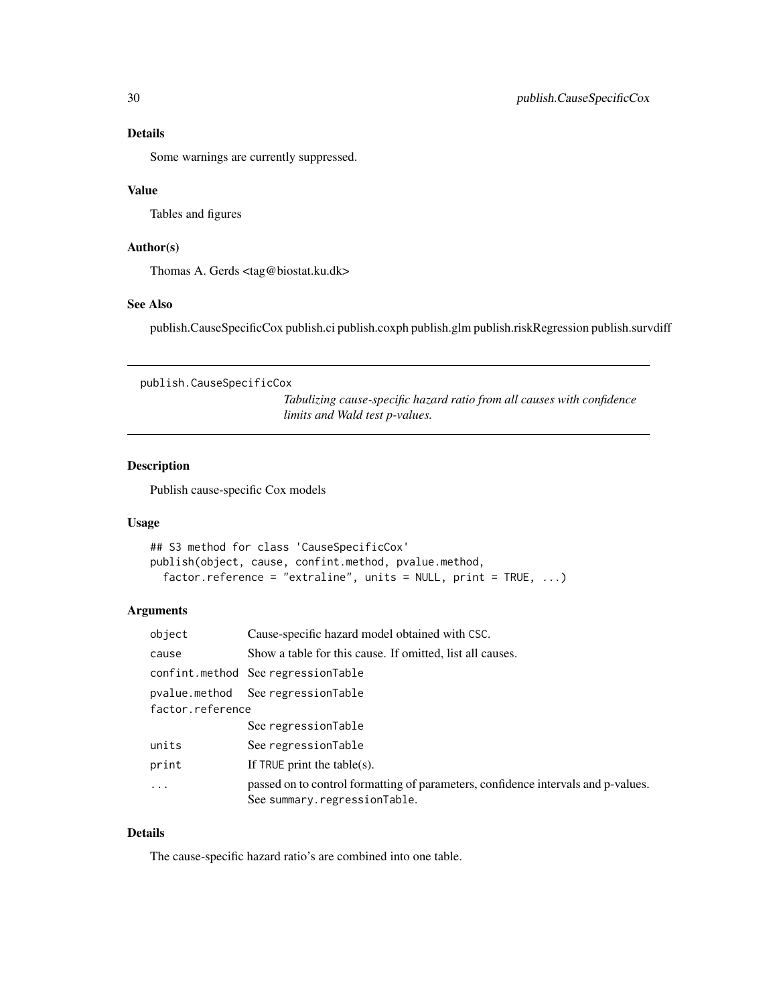# Details

Some warnings are currently suppressed.

#### Value

Tables and figures

### Author(s)

Thomas A. Gerds <tag@biostat.ku.dk>

# See Also

publish.CauseSpecificCox publish.ci publish.coxph publish.glm publish.riskRegression publish.survdiff

publish.CauseSpecificCox

*Tabulizing cause-specific hazard ratio from all causes with confidence limits and Wald test p-values.*

#### Description

Publish cause-specific Cox models

# Usage

```
## S3 method for class 'CauseSpecificCox'
publish(object, cause, confint.method, pvalue.method,
  factor.reference = "extraline", units = NULL, print = TRUE, ...)
```
# Arguments

| object           | Cause-specific hazard model obtained with CSC.                                                                    |
|------------------|-------------------------------------------------------------------------------------------------------------------|
| cause            | Show a table for this cause. If omitted, list all causes.                                                         |
|                  | confint.method SeeregressionTable                                                                                 |
|                  | pvalue.method  See regressionTable                                                                                |
| factor.reference |                                                                                                                   |
|                  | See regressionTable                                                                                               |
| units            | See regressionTable                                                                                               |
| print            | If TRUE print the table(s).                                                                                       |
| .                | passed on to control formatting of parameters, confidence intervals and p-values.<br>See summary.regressionTable. |

#### Details

The cause-specific hazard ratio's are combined into one table.

<span id="page-29-0"></span>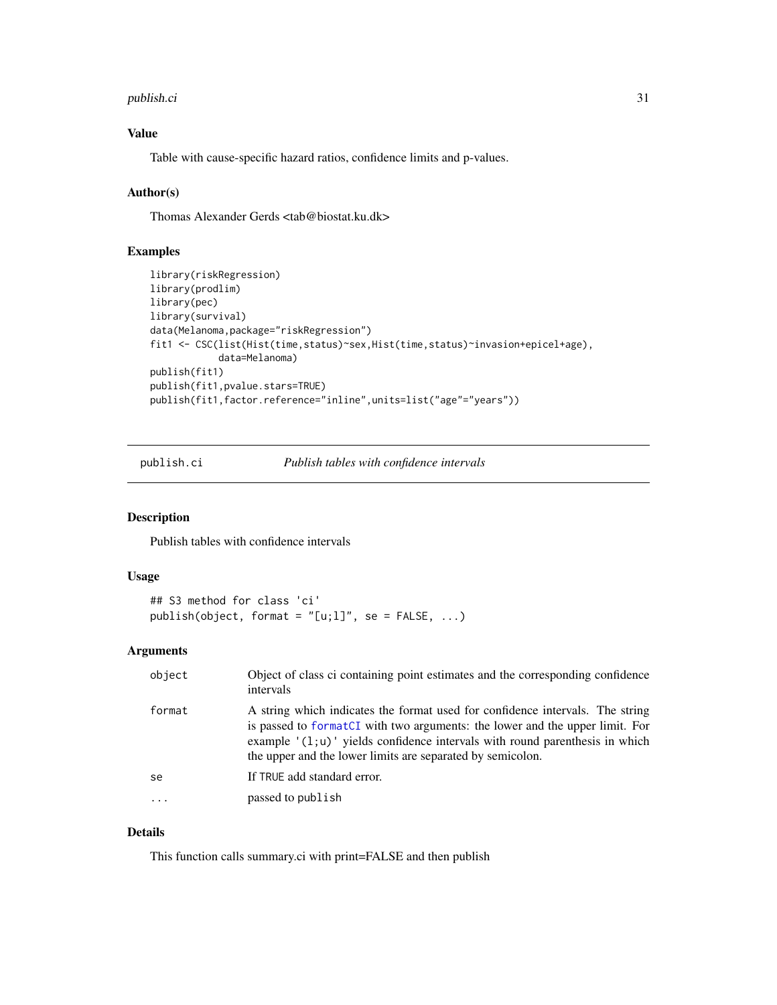#### <span id="page-30-0"></span>publish.ci 31

# Value

Table with cause-specific hazard ratios, confidence limits and p-values.

# Author(s)

Thomas Alexander Gerds <tab@biostat.ku.dk>

# Examples

```
library(riskRegression)
library(prodlim)
library(pec)
library(survival)
data(Melanoma,package="riskRegression")
fit1 <- CSC(list(Hist(time,status)~sex,Hist(time,status)~invasion+epicel+age),
            data=Melanoma)
publish(fit1)
publish(fit1,pvalue.stars=TRUE)
publish(fit1,factor.reference="inline",units=list("age"="years"))
```
publish.ci *Publish tables with confidence intervals*

# Description

Publish tables with confidence intervals

#### Usage

```
## S3 method for class 'ci'
publish(object, format = "[u;1]", se = FALSE, ...)
```
# Arguments

| object | Object of class ci containing point estimates and the corresponding confidence<br>intervals                                                                                                                                                                                                                 |
|--------|-------------------------------------------------------------------------------------------------------------------------------------------------------------------------------------------------------------------------------------------------------------------------------------------------------------|
| format | A string which indicates the format used for confidence intervals. The string<br>is passed to formatCI with two arguments: the lower and the upper limit. For<br>example $'(1;u)$ yields confidence intervals with round parenthesis in which<br>the upper and the lower limits are separated by semicolon. |
| se     | If TRUE add standard error.                                                                                                                                                                                                                                                                                 |
|        | passed to publish                                                                                                                                                                                                                                                                                           |

# Details

This function calls summary.ci with print=FALSE and then publish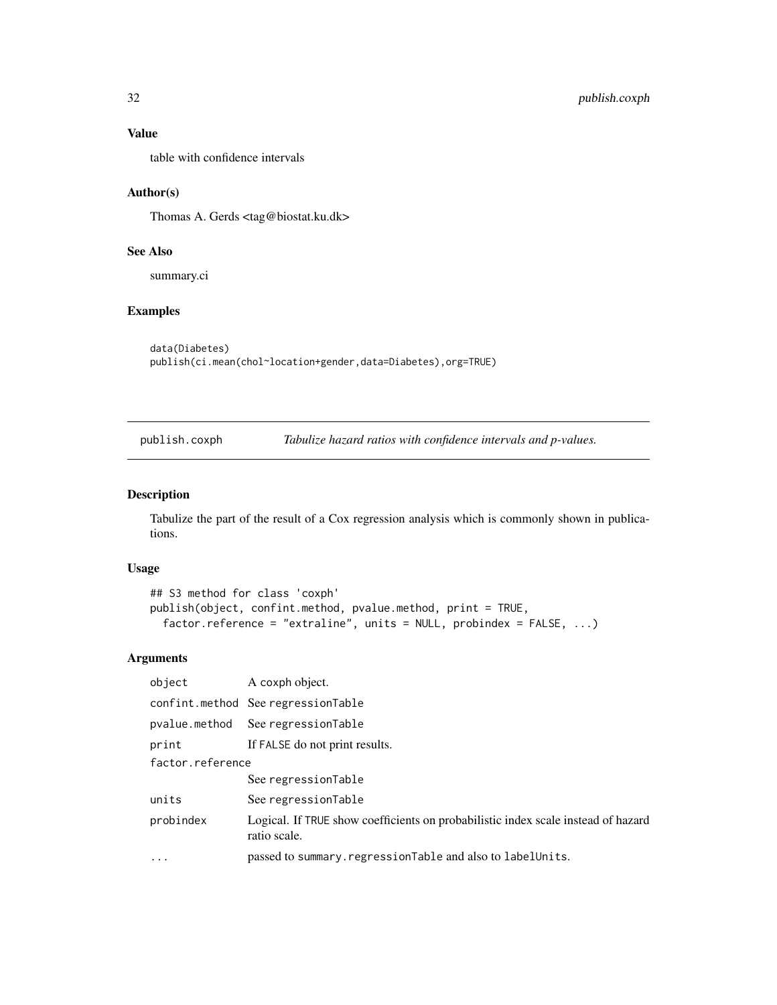# Value

table with confidence intervals

#### Author(s)

Thomas A. Gerds <tag@biostat.ku.dk>

# See Also

summary.ci

#### Examples

```
data(Diabetes)
publish(ci.mean(chol~location+gender,data=Diabetes),org=TRUE)
```
publish.coxph *Tabulize hazard ratios with confidence intervals and p-values.*

# Description

Tabulize the part of the result of a Cox regression analysis which is commonly shown in publications.

#### Usage

```
## S3 method for class 'coxph'
publish(object, confint.method, pvalue.method, print = TRUE,
 factor.reference = "extraline", units = NULL, probindex = FALSE, ...)
```
# Arguments

| object           | A coxph object.                                                                                   |
|------------------|---------------------------------------------------------------------------------------------------|
|                  | confint.method See regressionTable                                                                |
|                  | pvalue.method See regressionTable                                                                 |
| print            | If FALSE do not print results.                                                                    |
| factor.reference |                                                                                                   |
|                  | See regressionTable                                                                               |
| units            | See regressionTable                                                                               |
| probindex        | Logical. If TRUE show coefficients on probabilistic index scale instead of hazard<br>ratio scale. |
| .                | passed to summary. regressionTable and also to labelUnits.                                        |

<span id="page-31-0"></span>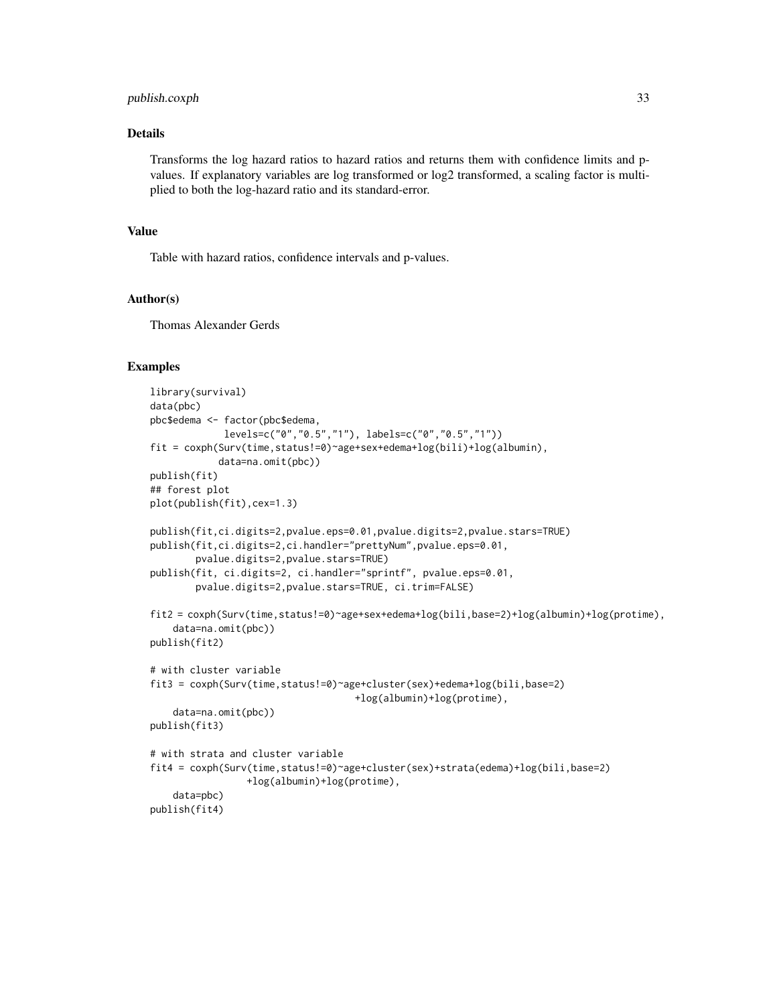# publish.coxph 33

# Details

Transforms the log hazard ratios to hazard ratios and returns them with confidence limits and pvalues. If explanatory variables are log transformed or log2 transformed, a scaling factor is multiplied to both the log-hazard ratio and its standard-error.

#### Value

Table with hazard ratios, confidence intervals and p-values.

#### Author(s)

Thomas Alexander Gerds

```
library(survival)
data(pbc)
pbc$edema <- factor(pbc$edema,
             levels=c("0","0.5","1"), labels=c("0","0.5","1"))
fit = coxph(Surv(time,status!=0)~age+sex+edema+log(bili)+log(albumin),
            data=na.omit(pbc))
publish(fit)
## forest plot
plot(publish(fit),cex=1.3)
publish(fit,ci.digits=2,pvalue.eps=0.01,pvalue.digits=2,pvalue.stars=TRUE)
publish(fit,ci.digits=2,ci.handler="prettyNum",pvalue.eps=0.01,
        pvalue.digits=2,pvalue.stars=TRUE)
publish(fit, ci.digits=2, ci.handler="sprintf", pvalue.eps=0.01,
        pvalue.digits=2,pvalue.stars=TRUE, ci.trim=FALSE)
fit2 = coxph(Surv(time,status!=0)~age+sex+edema+log(bili,base=2)+log(albumin)+log(protime),
    data=na.omit(pbc))
publish(fit2)
# with cluster variable
fit3 = coxph(Surv(time,status!=0)~age+cluster(sex)+edema+log(bili,base=2)
                                    +log(albumin)+log(protime),
    data=na.omit(pbc))
publish(fit3)
# with strata and cluster variable
fit4 = coxph(Surv(time,status!=0)~age+cluster(sex)+strata(edema)+log(bili,base=2)
                 +log(albumin)+log(protime),
    data=pbc)
publish(fit4)
```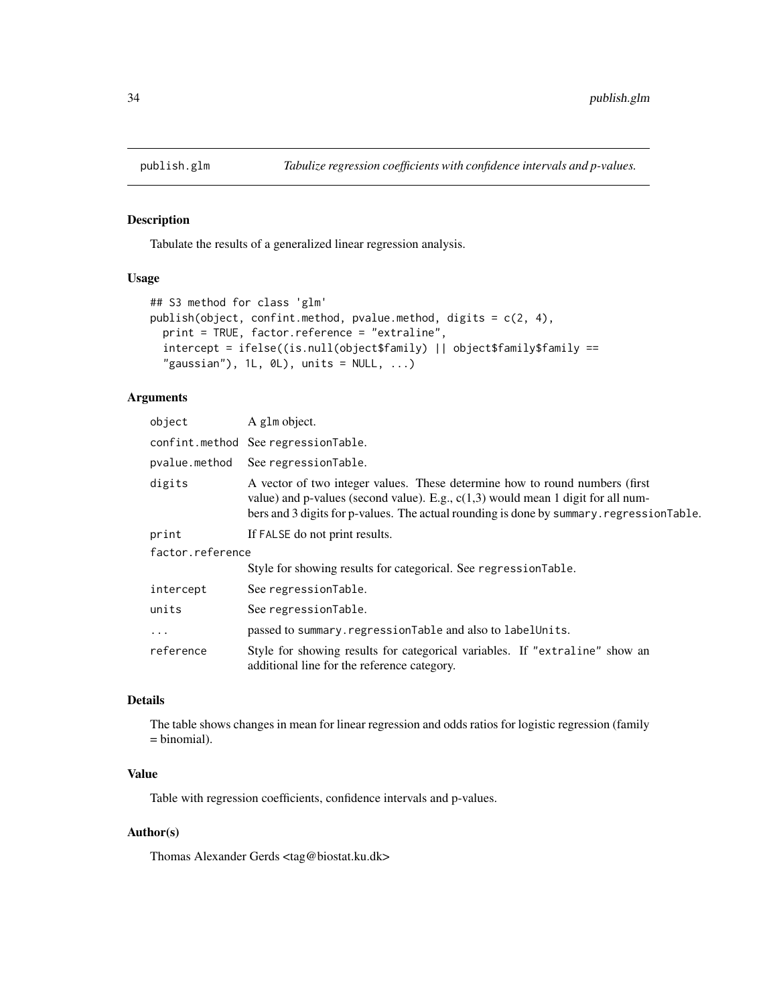<span id="page-33-0"></span>

Tabulate the results of a generalized linear regression analysis.

# Usage

```
## S3 method for class 'glm'
publish(object, confint.method, pvalue.method, digits = c(2, 4),
 print = TRUE, factor.reference = "extraline",
  intercept = ifelse((is.null(object$family) || object$family$family ==
  "gaussian"), 1L, \theta L), units = NULL, ...)
```
# Arguments

| object           | A glm object.                                                                                                                                                                                                                                                  |  |
|------------------|----------------------------------------------------------------------------------------------------------------------------------------------------------------------------------------------------------------------------------------------------------------|--|
|                  | confint.method SeeregressionTable.                                                                                                                                                                                                                             |  |
| pvalue.method    | See regressionTable.                                                                                                                                                                                                                                           |  |
| digits           | A vector of two integer values. These determine how to round numbers (first)<br>value) and p-values (second value). E.g., $c(1,3)$ would mean 1 digit for all num-<br>bers and 3 digits for p-values. The actual rounding is done by summary. regressionTable. |  |
| print            | If FALSE do not print results.                                                                                                                                                                                                                                 |  |
| factor.reference |                                                                                                                                                                                                                                                                |  |
|                  | Style for showing results for categorical. See regressionTable.                                                                                                                                                                                                |  |
| intercept        | See regressionTable.                                                                                                                                                                                                                                           |  |
| units            | See regressionTable.                                                                                                                                                                                                                                           |  |
| $\cdots$         | passed to summary.regressionTable and also to labelUnits.                                                                                                                                                                                                      |  |
| reference        | Style for showing results for categorical variables. If "extraline" show an<br>additional line for the reference category.                                                                                                                                     |  |

# Details

The table shows changes in mean for linear regression and odds ratios for logistic regression (family = binomial).

# Value

Table with regression coefficients, confidence intervals and p-values.

#### Author(s)

Thomas Alexander Gerds <tag@biostat.ku.dk>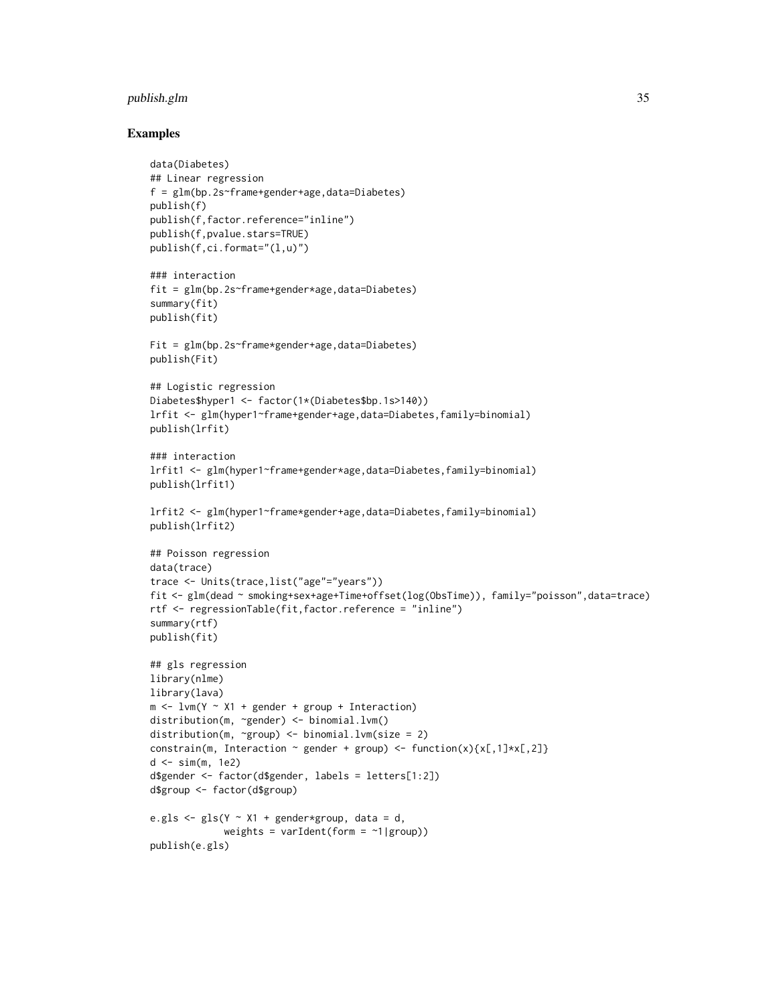# publish.glm 35

```
data(Diabetes)
## Linear regression
f = glm(bp.2s~frame+gender+age,data=Diabetes)
publish(f)
publish(f,factor.reference="inline")
publish(f,pvalue.stars=TRUE)
publish(f,ci.format="(l,u)")
### interaction
fit = glm(bp.2s~frame+gender*age,data=Diabetes)
summary(fit)
publish(fit)
Fit = glm(bp.2s~frame*gender+age,data=Diabetes)
publish(Fit)
## Logistic regression
Diabetes$hyper1 <- factor(1*(Diabetes$bp.1s>140))
lrfit <- glm(hyper1~frame+gender+age,data=Diabetes,family=binomial)
publish(lrfit)
### interaction
lrfit1 <- glm(hyper1~frame+gender*age,data=Diabetes,family=binomial)
publish(lrfit1)
lrfit2 <- glm(hyper1~frame*gender+age,data=Diabetes,family=binomial)
publish(lrfit2)
## Poisson regression
data(trace)
trace <- Units(trace,list("age"="years"))
fit <- glm(dead ~ smoking+sex+age+Time+offset(log(ObsTime)), family="poisson",data=trace)
rtf <- regressionTable(fit,factor.reference = "inline")
summary(rtf)
publish(fit)
## gls regression
library(nlme)
library(lava)
m \le -1vm(Y ~ X1 + gender + group + Interaction)
distribution(m, ~gender) <- binomial.lvm()
distribution(m, ~group) <- binomial.lvm(size = 2)
constrain(m, Interaction \sim gender + group) <- function(x){x[,1]*x[,2]}
d \le -\sin(m, 1e2)d$gender <- factor(d$gender, labels = letters[1:2])
d$group <- factor(d$group)
e.gls \leq gls(Y \sim X1 + gender*group, data = d,
             weights = varIdent(form = \sim1|group))
publish(e.gls)
```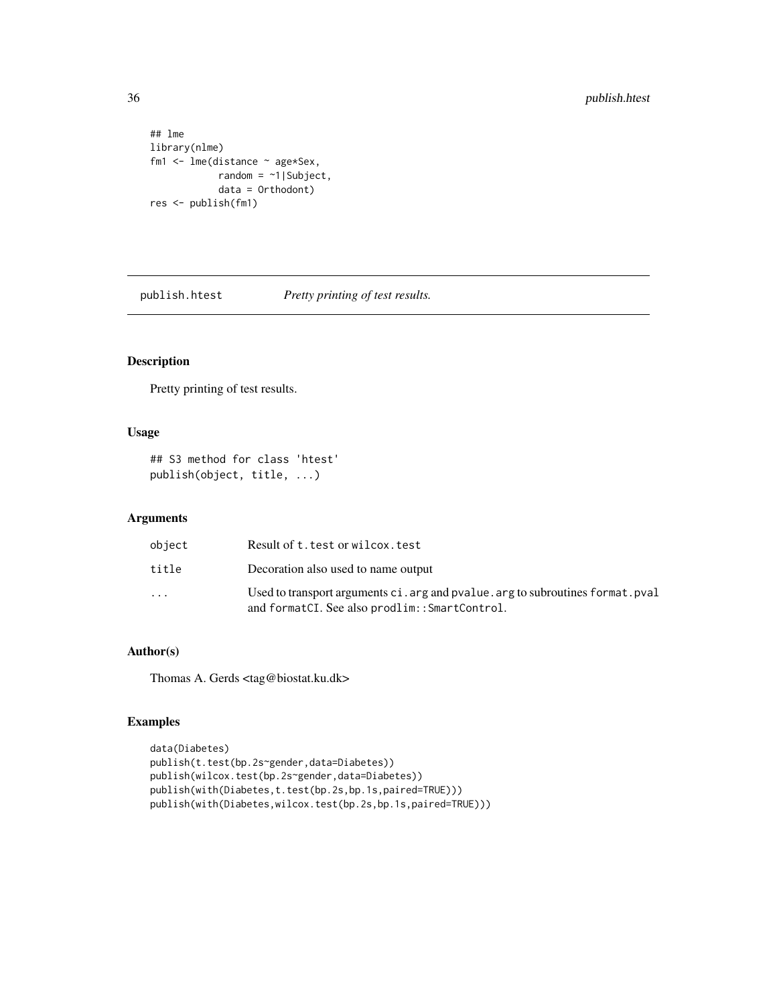```
## lme
library(nlme)
fm1 <- lme(distance ~ age*Sex,
            random = \sim1|Subject,
            data = Orthodont)
res <- publish(fm1)
```
publish.htest *Pretty printing of test results.*

# Description

Pretty printing of test results.

# Usage

## S3 method for class 'htest' publish(object, title, ...)

# Arguments

| object                  | Result of t. test or wilcox. test                                                                                                |
|-------------------------|----------------------------------------------------------------------------------------------------------------------------------|
| title                   | Decoration also used to name output                                                                                              |
| $\cdot$ $\cdot$ $\cdot$ | Used to transport arguments ci. arg and pvalue. arg to subroutines format. pval<br>and formatCI. See also prodlim::SmartControl. |

# Author(s)

Thomas A. Gerds <tag@biostat.ku.dk>

```
data(Diabetes)
publish(t.test(bp.2s~gender,data=Diabetes))
publish(wilcox.test(bp.2s~gender,data=Diabetes))
publish(with(Diabetes,t.test(bp.2s,bp.1s,paired=TRUE)))
publish(with(Diabetes,wilcox.test(bp.2s,bp.1s,paired=TRUE)))
```
<span id="page-35-0"></span>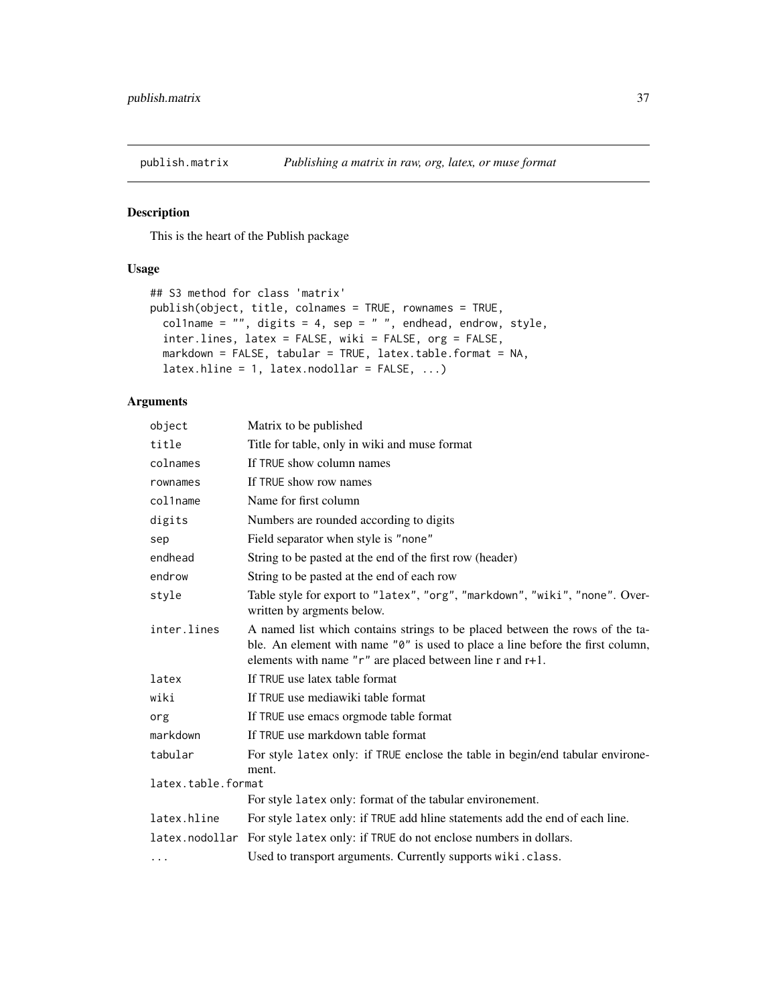<span id="page-36-1"></span><span id="page-36-0"></span>

This is the heart of the Publish package

# Usage

```
## S3 method for class 'matrix'
publish(object, title, colnames = TRUE, rownames = TRUE,
 col1name = ", digits = 4, sep = ", endhead, endrow, style,
  inter.lines, latex = FALSE, wiki = FALSE, org = FALSE,
 markdown = FALSE, tabular = TRUE, latex.table.format = NA,
  lates.hline = 1, lates.nodollar = FALSE, ...)
```
# Arguments

| object                      | Matrix to be published                                                                                                                                                                                                             |
|-----------------------------|------------------------------------------------------------------------------------------------------------------------------------------------------------------------------------------------------------------------------------|
| title                       | Title for table, only in wiki and muse format                                                                                                                                                                                      |
| colnames                    | If TRUE show column names                                                                                                                                                                                                          |
| rownames                    | If TRUE show row names                                                                                                                                                                                                             |
| col1name                    | Name for first column                                                                                                                                                                                                              |
| digits                      | Numbers are rounded according to digits                                                                                                                                                                                            |
| sep                         | Field separator when style is "none"                                                                                                                                                                                               |
| endhead                     | String to be pasted at the end of the first row (header)                                                                                                                                                                           |
| endrow                      | String to be pasted at the end of each row                                                                                                                                                                                         |
| style                       | Table style for export to "latex", "org", "markdown", "wiki", "none". Over-<br>written by argments below.                                                                                                                          |
| inter.lines                 | A named list which contains strings to be placed between the rows of the ta-<br>ble. An element with name "0" is used to place a line before the first column,<br>elements with name " $r$ " are placed between line r and $r+1$ . |
| latex                       | If TRUE use latex table format                                                                                                                                                                                                     |
| wiki                        | If TRUE use mediawiki table format                                                                                                                                                                                                 |
| org                         | If TRUE use emacs orgmode table format                                                                                                                                                                                             |
| markdown                    | If TRUE use markdown table format                                                                                                                                                                                                  |
| tabular                     | For style latex only: if TRUE enclose the table in begin/end tabular environe-                                                                                                                                                     |
| ment.<br>latex.table.format |                                                                                                                                                                                                                                    |
|                             | For style latex only: format of the tabular environement.                                                                                                                                                                          |
| latex.hline                 | For style latex only: if TRUE add hime statements add the end of each line.                                                                                                                                                        |
|                             | latex.nodollar For style latex only: if TRUE do not enclose numbers in dollars.                                                                                                                                                    |
| $\cdots$                    | Used to transport arguments. Currently supports wiki.class.                                                                                                                                                                        |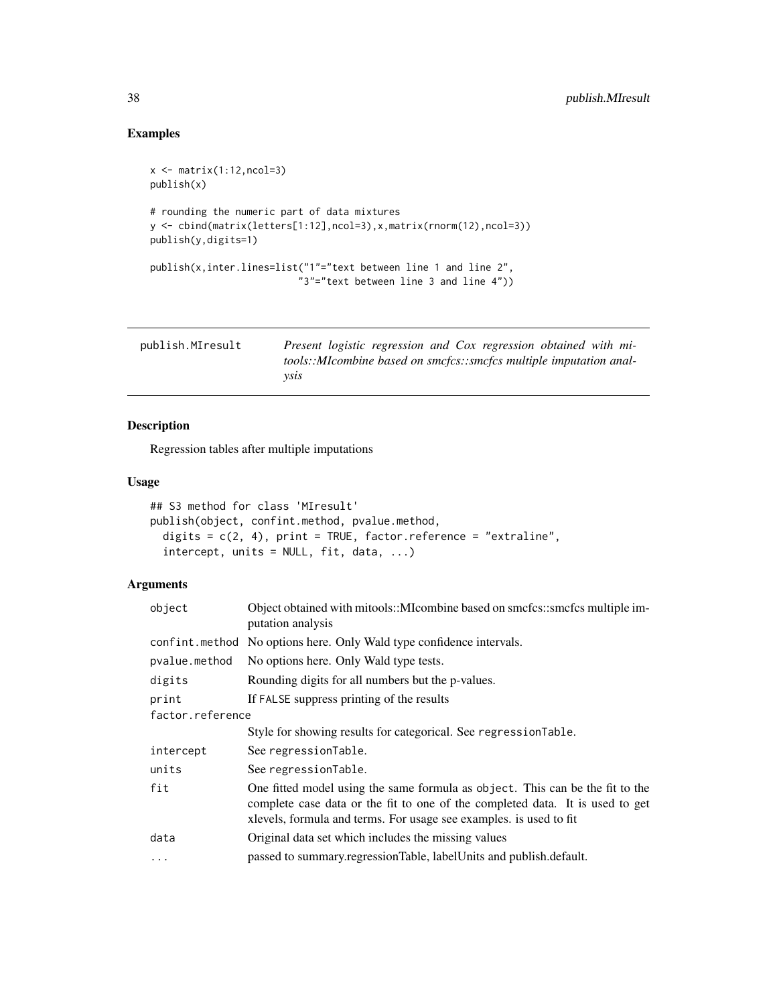# Examples

```
x <- matrix(1:12,ncol=3)
publish(x)
# rounding the numeric part of data mixtures
y <- cbind(matrix(letters[1:12],ncol=3),x,matrix(rnorm(12),ncol=3))
publish(y,digits=1)
publish(x,inter.lines=list("1"="text between line 1 and line 2",
                          "3"="text between line 3 and line 4"))
```

| publish.MIresult | Present logistic regression and Cox regression obtained with mi-   |
|------------------|--------------------------------------------------------------------|
|                  | tools::MIcombine based on smcfcs::smcfcs multiple imputation anal- |
|                  | vsıs                                                               |

# Description

Regression tables after multiple imputations

# Usage

```
## S3 method for class 'MIresult'
publish(object, confint.method, pvalue.method,
 digits = c(2, 4), print = TRUE, factor.reference = "extraline",
  intercept, units = NULL, fit, data, ...)
```
# Arguments

| object           | Object obtained with mitools::MIcombine based on smcfcs::smcfcs multiple im-<br>putation analysis                                                                                                                                    |  |
|------------------|--------------------------------------------------------------------------------------------------------------------------------------------------------------------------------------------------------------------------------------|--|
|                  | confint.method No options here. Only Wald type confidence intervals.                                                                                                                                                                 |  |
| pvalue.method    | No options here. Only Wald type tests.                                                                                                                                                                                               |  |
| digits           | Rounding digits for all numbers but the p-values.                                                                                                                                                                                    |  |
| print            | If FALSE suppress printing of the results                                                                                                                                                                                            |  |
| factor.reference |                                                                                                                                                                                                                                      |  |
|                  | Style for showing results for categorical. See regressionTable.                                                                                                                                                                      |  |
| intercept        | See regressionTable.                                                                                                                                                                                                                 |  |
| units            | See regressionTable.                                                                                                                                                                                                                 |  |
| fit              | One fitted model using the same formula as object. This can be the fit to the<br>complete case data or the fit to one of the completed data. It is used to get<br>xlevels, formula and terms. For usage see examples, is used to fit |  |
| data             | Original data set which includes the missing values                                                                                                                                                                                  |  |
| $\cdots$         | passed to summary.regressionTable, labelUnits and publish.default.                                                                                                                                                                   |  |

<span id="page-37-0"></span>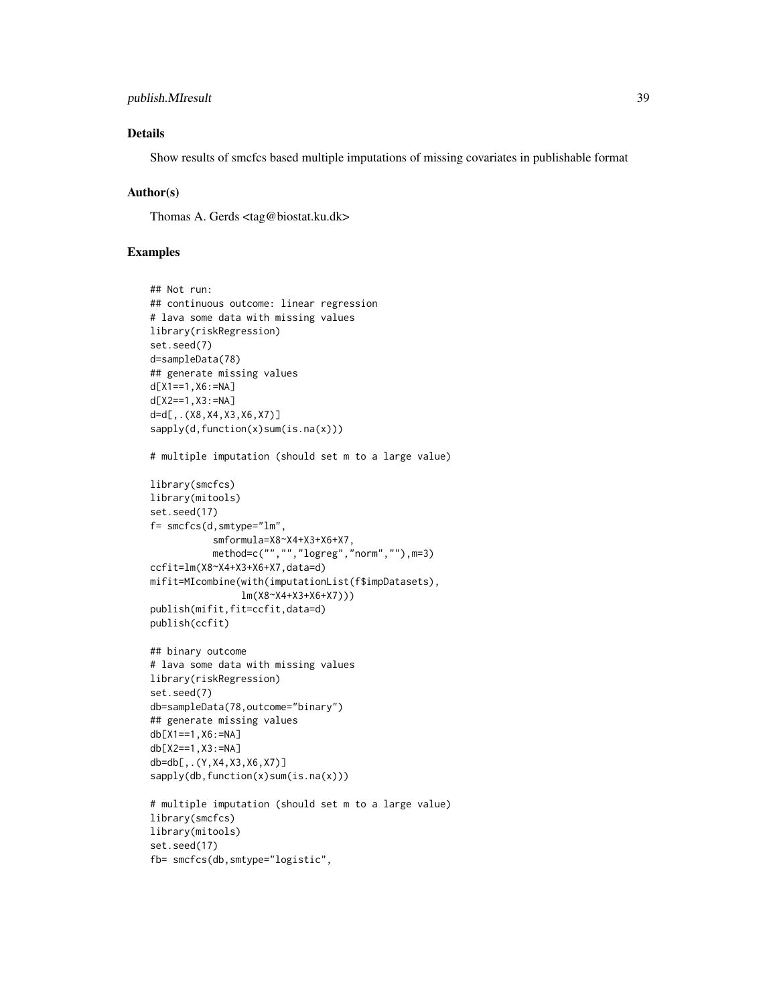# publish.MIresult 39

# Details

Show results of smcfcs based multiple imputations of missing covariates in publishable format

### Author(s)

Thomas A. Gerds <tag@biostat.ku.dk>

```
## Not run:
## continuous outcome: linear regression
# lava some data with missing values
library(riskRegression)
set.seed(7)
d=sampleData(78)
## generate missing values
d[X1==1,X6:=NA]
d[X2==1,X3:=NA]
d=d[,.(X8,X4,X3,X6,X7)]
sapply(d,function(x)sum(is.na(x)))
# multiple imputation (should set m to a large value)
library(smcfcs)
library(mitools)
set.seed(17)
f= smcfcs(d,smtype="lm",
           smformula=X8~X4+X3+X6+X7,
           method=c("","","logreg","norm",""),m=3)
ccfit=lm(X8~X4+X3+X6+X7,data=d)
mifit=MIcombine(with(imputationList(f$impDatasets),
                lm(X8~X4+X3+X6+X7)))
publish(mifit,fit=ccfit,data=d)
publish(ccfit)
## binary outcome
# lava some data with missing values
library(riskRegression)
set.seed(7)
db=sampleData(78,outcome="binary")
## generate missing values
db[X1==1,X6:=NA]
db[X2==1,X3:=NA]
db=db[,.(Y,X4,X3,X6,X7)]
sapply(db,function(x)sum(is.na(x)))
# multiple imputation (should set m to a large value)
library(smcfcs)
library(mitools)
set.seed(17)
fb= smcfcs(db,smtype="logistic",
```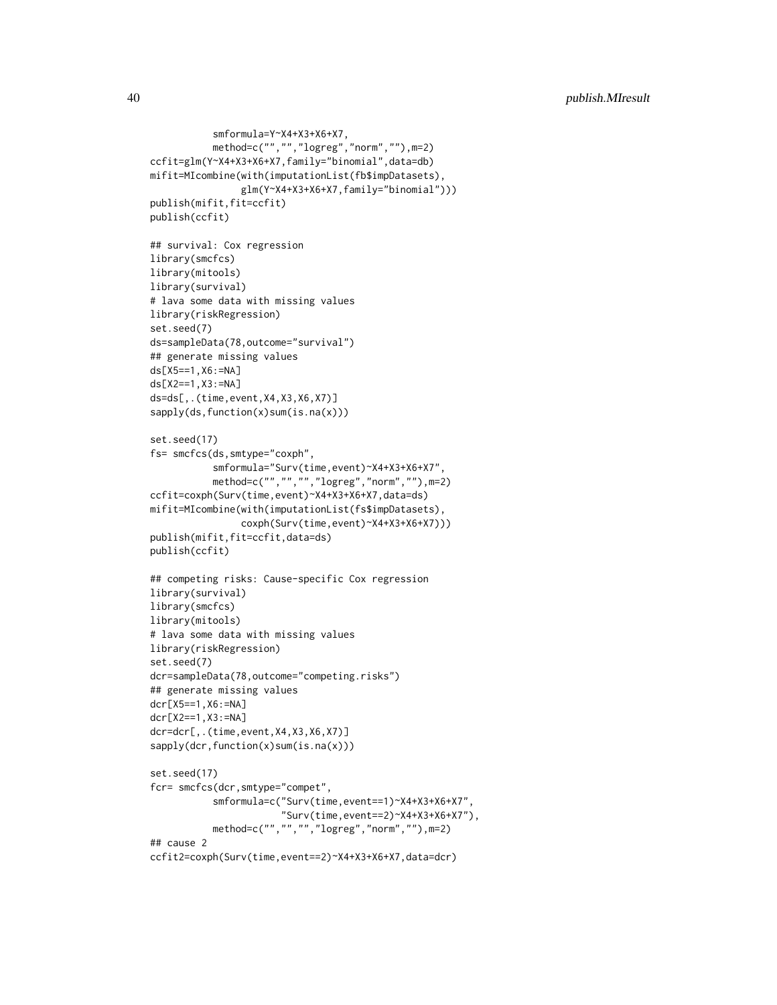```
smformula=Y~X4+X3+X6+X7,
           method=c("","","logreg","norm",""),m=2)
ccfit=glm(Y~X4+X3+X6+X7,family="binomial",data=db)
mifit=MIcombine(with(imputationList(fb$impDatasets),
                glm(Y~X4+X3+X6+X7,family="binomial")))
publish(mifit,fit=ccfit)
publish(ccfit)
## survival: Cox regression
library(smcfcs)
library(mitools)
library(survival)
# lava some data with missing values
library(riskRegression)
set.seed(7)
ds=sampleData(78,outcome="survival")
## generate missing values
ds[X5==1,X6:=NA]
ds[X2==1,X3:=NA]
ds=ds[,.(time,event,X4,X3,X6,X7)]
sapply(ds,function(x)sum(is.na(x)))
set.seed(17)
fs= smcfcs(ds,smtype="coxph",
           smformula="Surv(time,event)~X4+X3+X6+X7",
          method=c("","","","logreg","norm",""),m=2)
ccfit=coxph(Surv(time,event)~X4+X3+X6+X7,data=ds)
mifit=MIcombine(with(imputationList(fs$impDatasets),
                coxph(Surv(time,event)~X4+X3+X6+X7)))
publish(mifit,fit=ccfit,data=ds)
publish(ccfit)
## competing risks: Cause-specific Cox regression
library(survival)
library(smcfcs)
library(mitools)
# lava some data with missing values
library(riskRegression)
set.seed(7)
dcr=sampleData(78,outcome="competing.risks")
## generate missing values
dcr[X5==1,X6:=NA]
dcr[X2==1,X3:=NA]
dcr=dcr[,.(time,event,X4,X3,X6,X7)]
sapply(dcr,function(x)sum(is.na(x)))
set.seed(17)
fcr= smcfcs(dcr,smtype="compet",
           smformula=c("Surv(time,event==1)~X4+X3+X6+X7",
                       "Surv(time,event==2)~X4+X3+X6+X7"),
           method=c("","","","logreg","norm",""),m=2)
## cause 2
ccfit2=coxph(Surv(time,event==2)~X4+X3+X6+X7,data=dcr)
```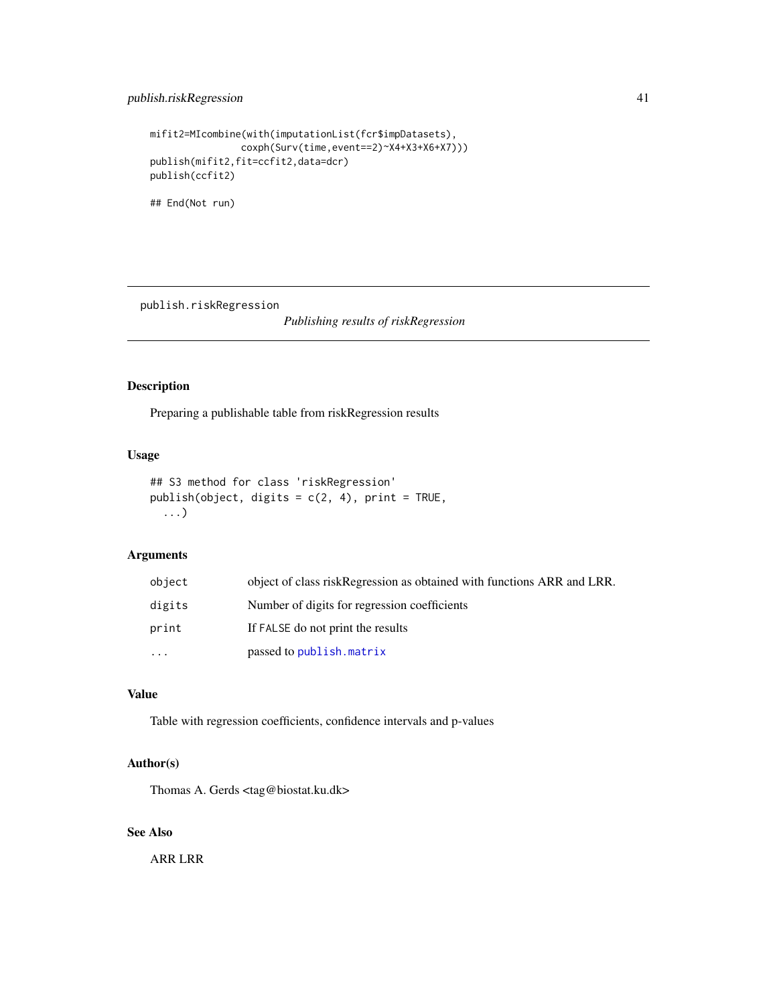```
mifit2=MIcombine(with(imputationList(fcr$impDatasets),
               coxph(Surv(time,event==2)~X4+X3+X6+X7)))
publish(mifit2,fit=ccfit2,data=dcr)
publish(ccfit2)
```
## End(Not run)

publish.riskRegression

*Publishing results of riskRegression*

#### Description

Preparing a publishable table from riskRegression results

# Usage

```
## S3 method for class 'riskRegression'
publish(object, digits = c(2, 4), print = TRUE,
  ...)
```
# Arguments

| object    | object of class riskRegression as obtained with functions ARR and LRR. |
|-----------|------------------------------------------------------------------------|
| digits    | Number of digits for regression coefficients                           |
| print     | If FALSE do not print the results                                      |
| $\ddotsc$ | passed to publish. matrix                                              |

#### Value

Table with regression coefficients, confidence intervals and p-values

#### Author(s)

Thomas A. Gerds <tag@biostat.ku.dk>

# See Also

ARR LRR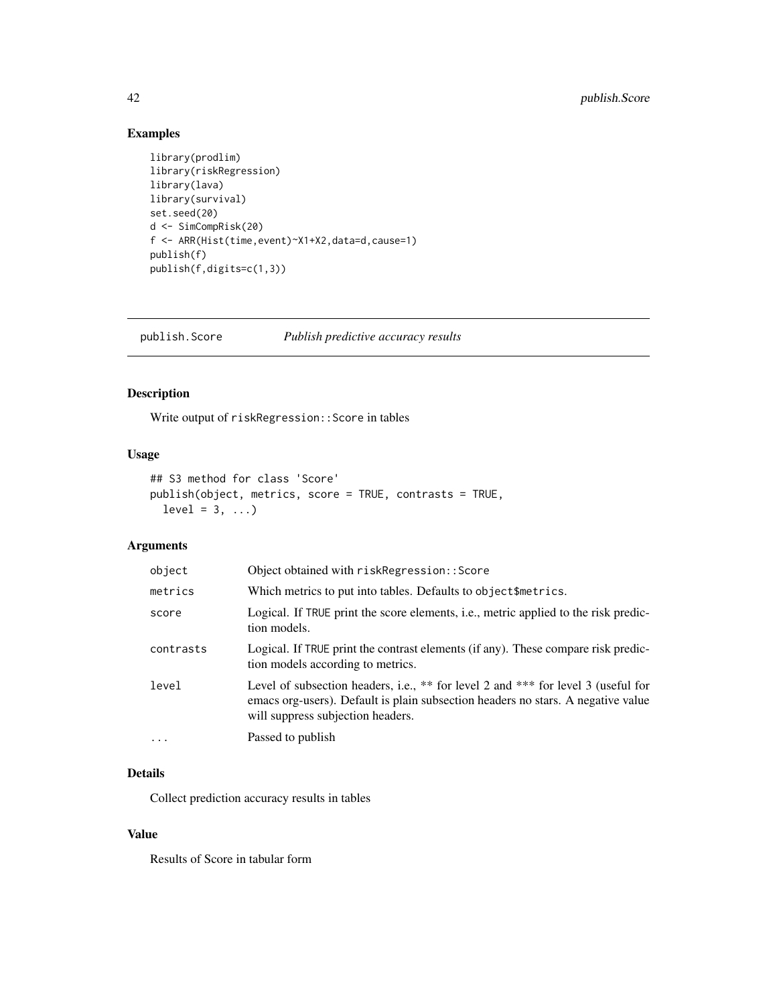# <span id="page-41-0"></span>Examples

```
library(prodlim)
library(riskRegression)
library(lava)
library(survival)
set.seed(20)
d <- SimCompRisk(20)
f <- ARR(Hist(time,event)~X1+X2,data=d,cause=1)
publish(f)
publish(f,digits=c(1,3))
```
publish.Score *Publish predictive accuracy results*

# Description

Write output of riskRegression::Score in tables

# Usage

```
## S3 method for class 'Score'
publish(object, metrics, score = TRUE, contrasts = TRUE,
 level = 3, ...
```
# Arguments

| object    | Object obtained with riskRegression:: Score                                                                                                                                                                |
|-----------|------------------------------------------------------------------------------------------------------------------------------------------------------------------------------------------------------------|
| metrics   | Which metrics to put into tables. Defaults to object\$metrics.                                                                                                                                             |
| score     | Logical. If TRUE print the score elements, i.e., metric applied to the risk predic-<br>tion models.                                                                                                        |
| contrasts | Logical. If TRUE print the contrast elements (if any). These compare risk predic-<br>tion models according to metrics.                                                                                     |
| level     | Level of subsection headers, i.e., ** for level 2 and *** for level 3 (useful for<br>emacs org-users). Default is plain subsection headers no stars. A negative value<br>will suppress subjection headers. |
| $\ddots$  | Passed to publish                                                                                                                                                                                          |

# Details

Collect prediction accuracy results in tables

#### Value

Results of Score in tabular form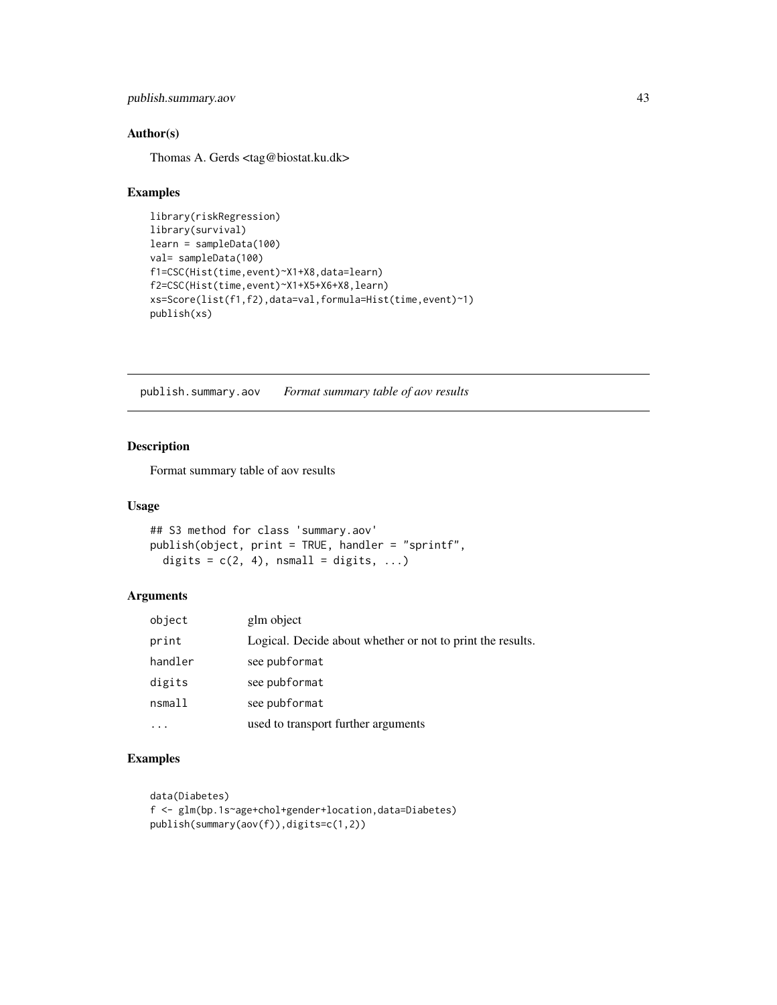<span id="page-42-0"></span>publish.summary.aov 43

# Author(s)

Thomas A. Gerds <tag@biostat.ku.dk>

#### Examples

```
library(riskRegression)
library(survival)
learn = sampleData(100)
val= sampleData(100)
f1=CSC(Hist(time,event)~X1+X8,data=learn)
f2=CSC(Hist(time,event)~X1+X5+X6+X8,learn)
xs=Score(list(f1,f2),data=val,formula=Hist(time,event)~1)
publish(xs)
```
publish.summary.aov *Format summary table of aov results*

# Description

Format summary table of aov results

#### Usage

## S3 method for class 'summary.aov' publish(object, print = TRUE, handler = "sprintf", digits =  $c(2, 4)$ , nsmall = digits, ...)

#### Arguments

| object  | glm object                                                 |
|---------|------------------------------------------------------------|
| print   | Logical. Decide about whether or not to print the results. |
| handler | see pubformat                                              |
| digits  | see pubformat                                              |
| nsmall  | see pubformat                                              |
|         | used to transport further arguments                        |

```
data(Diabetes)
f <- glm(bp.1s~age+chol+gender+location,data=Diabetes)
publish(summary(aov(f)),digits=c(1,2))
```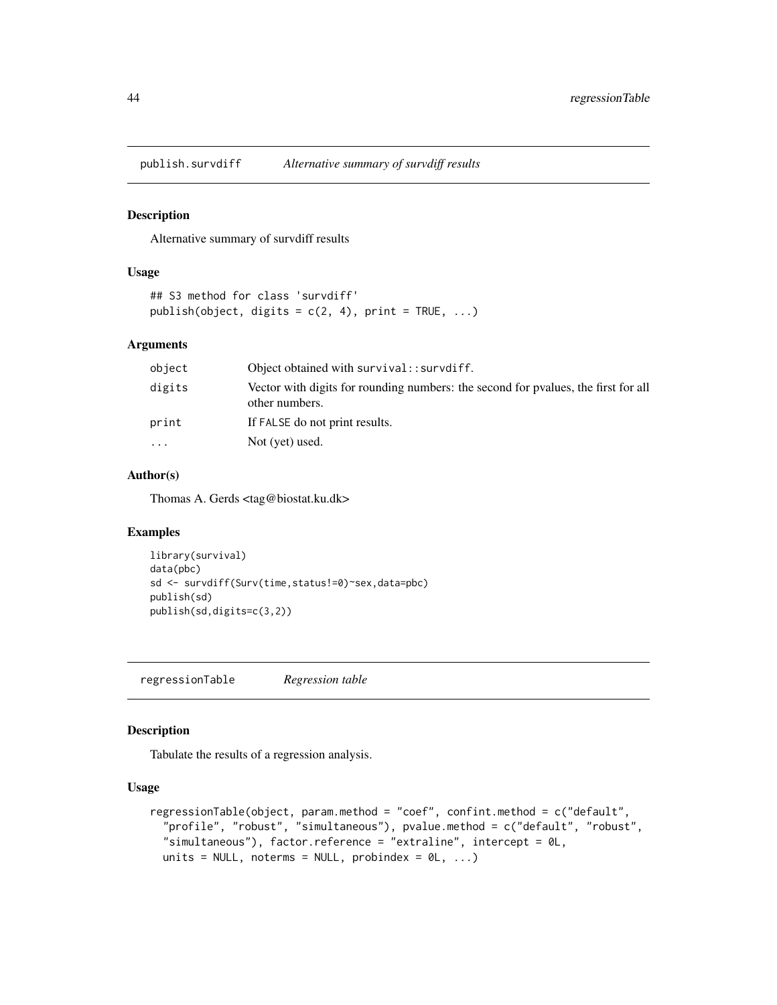<span id="page-43-0"></span>publish.survdiff *Alternative summary of survdiff results*

#### Description

Alternative summary of survdiff results

# Usage

```
## S3 method for class 'survdiff'
publish(object, digits = c(2, 4), print = TRUE, ...)
```
#### Arguments

| object | Object obtained with survival:: survdiff.                                                            |
|--------|------------------------------------------------------------------------------------------------------|
| digits | Vector with digits for rounding numbers: the second for pyalues, the first for all<br>other numbers. |
| print  | If FALSE do not print results.                                                                       |
| .      | Not (yet) used.                                                                                      |
|        |                                                                                                      |

### Author(s)

Thomas A. Gerds <tag@biostat.ku.dk>

#### Examples

```
library(survival)
data(pbc)
sd <- survdiff(Surv(time,status!=0)~sex,data=pbc)
publish(sd)
publish(sd,digits=c(3,2))
```
regressionTable *Regression table*

#### Description

Tabulate the results of a regression analysis.

#### Usage

```
regressionTable(object, param.method = "coef", confint.method = c("default",
  "profile", "robust", "simultaneous"), pvalue.method = c("default", "robust",
  "simultaneous"), factor.reference = "extraline", intercept = 0L,
  units = NULL, noterms = NULL, probindex = \emptyset L, ...)
```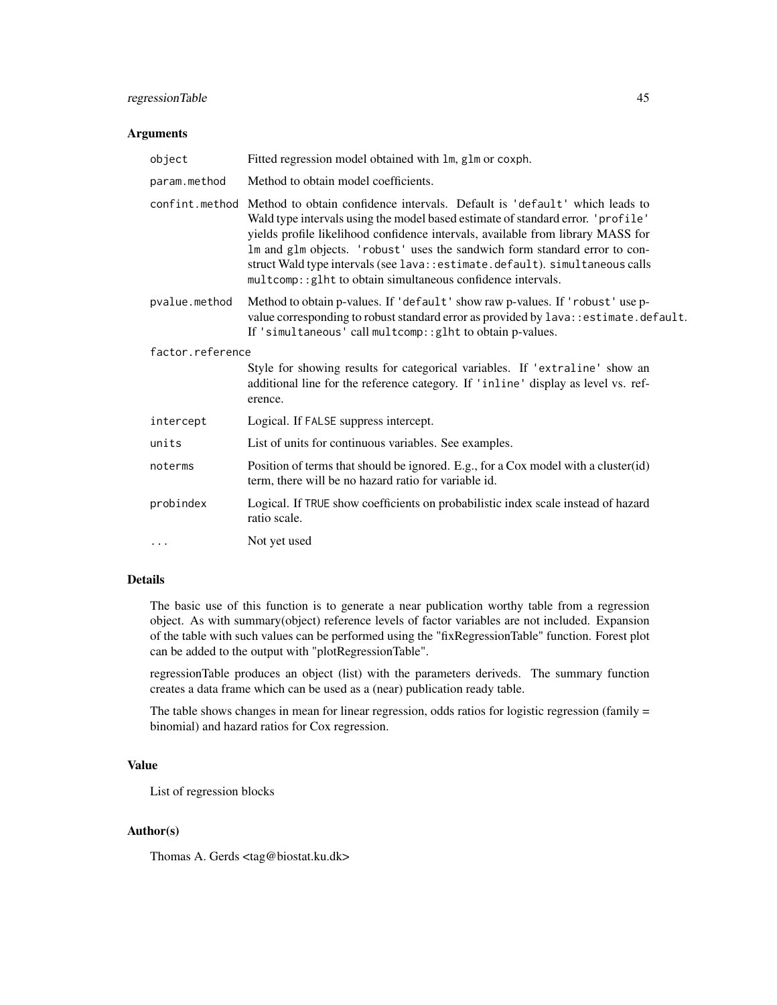# regressionTable 45

#### Arguments

| object           | Fitted regression model obtained with lm, glm or coxph.                                                                                                                                                                                                                                                                                                                                                                                                                                        |  |
|------------------|------------------------------------------------------------------------------------------------------------------------------------------------------------------------------------------------------------------------------------------------------------------------------------------------------------------------------------------------------------------------------------------------------------------------------------------------------------------------------------------------|--|
| param.method     | Method to obtain model coefficients.                                                                                                                                                                                                                                                                                                                                                                                                                                                           |  |
|                  | confint.method Method to obtain confidence intervals. Default is 'default' which leads to<br>Wald type intervals using the model based estimate of standard error. 'profile'<br>yields profile likelihood confidence intervals, available from library MASS for<br>Im and glm objects. 'robust' uses the sandwich form standard error to con-<br>struct Wald type intervals (see lava: : estimate.default). simultaneous calls<br>multcomp:: glht to obtain simultaneous confidence intervals. |  |
| pvalue.method    | Method to obtain p-values. If 'default' show raw p-values. If 'robust' use p-<br>value corresponding to robust standard error as provided by lava:: estimate.default.<br>If 'simultaneous' call multcomp:: glht to obtain p-values.                                                                                                                                                                                                                                                            |  |
| factor.reference |                                                                                                                                                                                                                                                                                                                                                                                                                                                                                                |  |
|                  | Style for showing results for categorical variables. If 'extraline' show an<br>additional line for the reference category. If 'inline' display as level vs. ref-<br>erence.                                                                                                                                                                                                                                                                                                                    |  |
| intercept        | Logical. If FALSE suppress intercept.                                                                                                                                                                                                                                                                                                                                                                                                                                                          |  |
| units            | List of units for continuous variables. See examples.                                                                                                                                                                                                                                                                                                                                                                                                                                          |  |
| noterms          | Position of terms that should be ignored. E.g., for a Cox model with a cluster(id)<br>term, there will be no hazard ratio for variable id.                                                                                                                                                                                                                                                                                                                                                     |  |
| probindex        | Logical. If TRUE show coefficients on probabilistic index scale instead of hazard<br>ratio scale.                                                                                                                                                                                                                                                                                                                                                                                              |  |
| $\cdots$         | Not yet used                                                                                                                                                                                                                                                                                                                                                                                                                                                                                   |  |
|                  |                                                                                                                                                                                                                                                                                                                                                                                                                                                                                                |  |

# Details

The basic use of this function is to generate a near publication worthy table from a regression object. As with summary(object) reference levels of factor variables are not included. Expansion of the table with such values can be performed using the "fixRegressionTable" function. Forest plot can be added to the output with "plotRegressionTable".

regressionTable produces an object (list) with the parameters deriveds. The summary function creates a data frame which can be used as a (near) publication ready table.

The table shows changes in mean for linear regression, odds ratios for logistic regression (family = binomial) and hazard ratios for Cox regression.

#### Value

List of regression blocks

# Author(s)

Thomas A. Gerds <tag@biostat.ku.dk>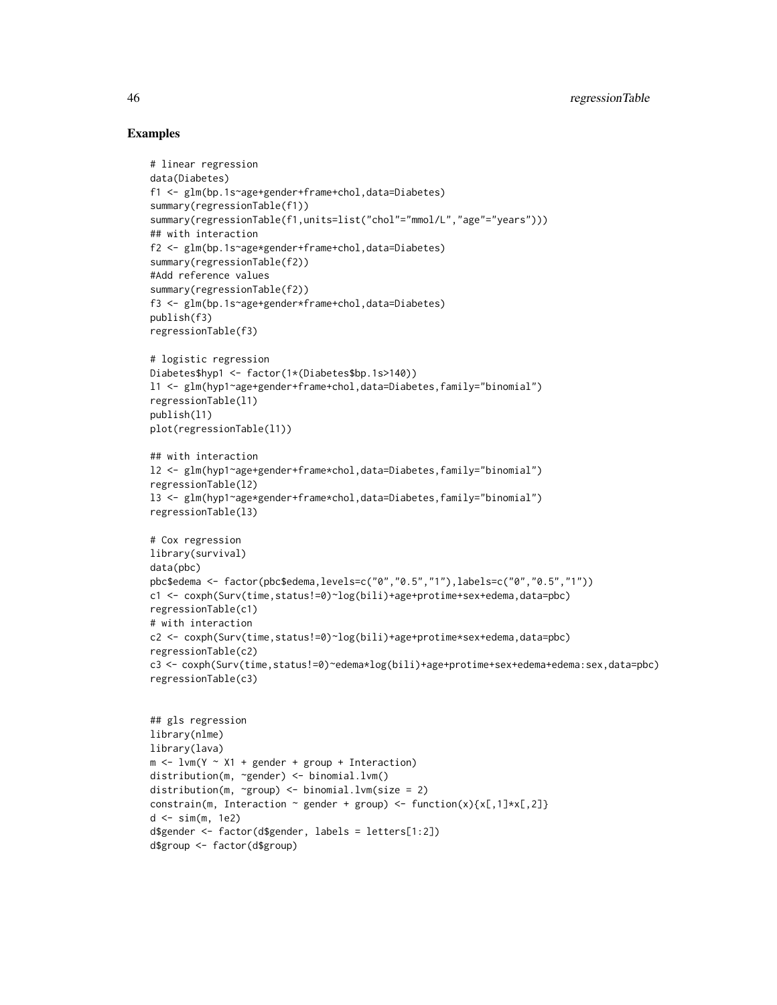#### Examples

```
# linear regression
data(Diabetes)
f1 <- glm(bp.1s~age+gender+frame+chol,data=Diabetes)
summary(regressionTable(f1))
summary(regressionTable(f1,units=list("chol"="mmol/L","age"="years")))
## with interaction
f2 <- glm(bp.1s~age*gender+frame+chol,data=Diabetes)
summary(regressionTable(f2))
#Add reference values
summary(regressionTable(f2))
f3 <- glm(bp.1s~age+gender*frame+chol,data=Diabetes)
publish(f3)
regressionTable(f3)
# logistic regression
Diabetes$hyp1 <- factor(1*(Diabetes$bp.1s>140))
l1 <- glm(hyp1~age+gender+frame+chol,data=Diabetes,family="binomial")
regressionTable(l1)
publish(l1)
plot(regressionTable(l1))
## with interaction
l2 <- glm(hyp1~age+gender+frame*chol,data=Diabetes,family="binomial")
regressionTable(l2)
l3 <- glm(hyp1~age*gender+frame*chol,data=Diabetes,family="binomial")
regressionTable(l3)
# Cox regression
library(survival)
data(pbc)
pbc$edema <- factor(pbc$edema,levels=c("0","0.5","1"),labels=c("0","0.5","1"))
c1 <- coxph(Surv(time,status!=0)~log(bili)+age+protime+sex+edema,data=pbc)
regressionTable(c1)
# with interaction
c2 <- coxph(Surv(time,status!=0)~log(bili)+age+protime*sex+edema,data=pbc)
regressionTable(c2)
c3 <- coxph(Surv(time,status!=0)~edema*log(bili)+age+protime+sex+edema+edema:sex,data=pbc)
regressionTable(c3)
## gls regression
library(nlme)
library(lava)
m \le -1vm(Y ~ X1 + gender + group + Interaction)
distribution(m, ~gender) <- binomial.lvm()
distribution(m, ~group) <- binomial.lvm(size = 2)
constrain(m, Interaction \sim gender + group) <- function(x){x[,1]*x[,2]}
d <- sim(m, 1e2)
d$gender <- factor(d$gender, labels = letters[1:2])
```
d\$group <- factor(d\$group)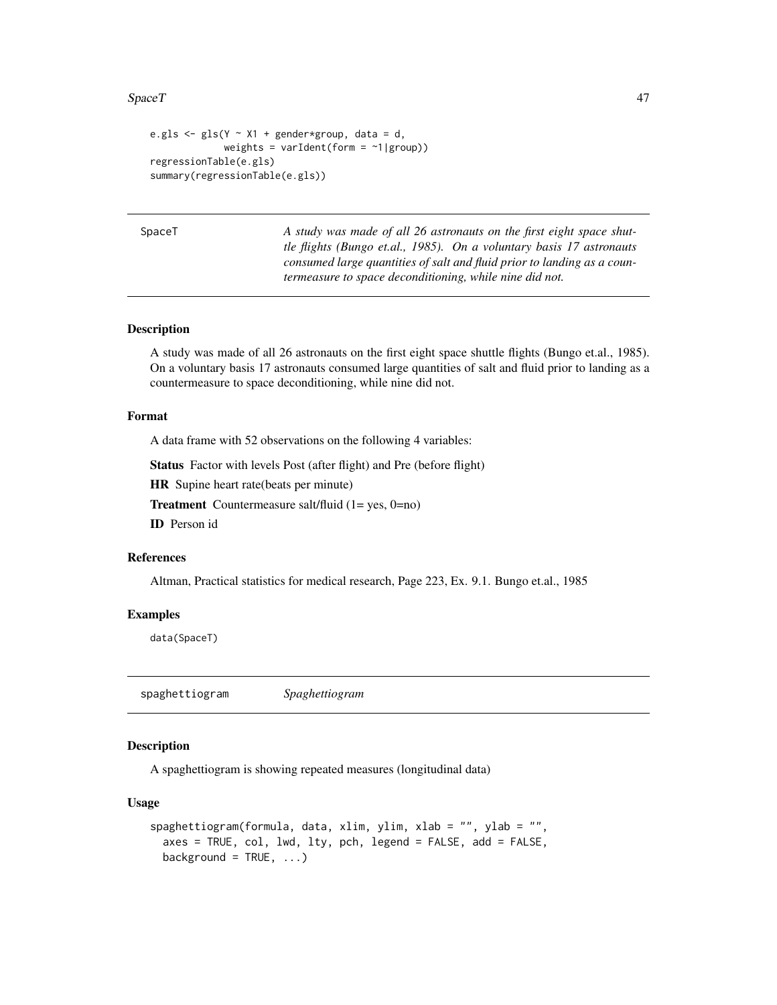#### <span id="page-46-0"></span> $SpaceT$  and  $47$

```
e.gls \leq gls(Y \sim X1 + gender*group, data = d,
             weights = varIdent(form = \sim1|group))
regressionTable(e.gls)
summary(regressionTable(e.gls))
```
SpaceT *A study was made of all 26 astronauts on the first eight space shuttle flights (Bungo et.al., 1985). On a voluntary basis 17 astronauts consumed large quantities of salt and fluid prior to landing as a countermeasure to space deconditioning, while nine did not.*

# Description

A study was made of all 26 astronauts on the first eight space shuttle flights (Bungo et.al., 1985). On a voluntary basis 17 astronauts consumed large quantities of salt and fluid prior to landing as a countermeasure to space deconditioning, while nine did not.

#### Format

A data frame with 52 observations on the following 4 variables:

Status Factor with levels Post (after flight) and Pre (before flight)

HR Supine heart rate(beats per minute)

Treatment Countermeasure salt/fluid (1= yes, 0=no)

ID Person id

# References

Altman, Practical statistics for medical research, Page 223, Ex. 9.1. Bungo et.al., 1985

#### Examples

data(SpaceT)

spaghettiogram *Spaghettiogram*

# Description

A spaghettiogram is showing repeated measures (longitudinal data)

#### Usage

```
spaghettiogram(formula, data, xlim, ylim, xlab = "", ylab = "",
 axes = TRUE, col, lwd, lty, pch, legend = FALSE, add = FALSE,
 background = TRUE, ...
```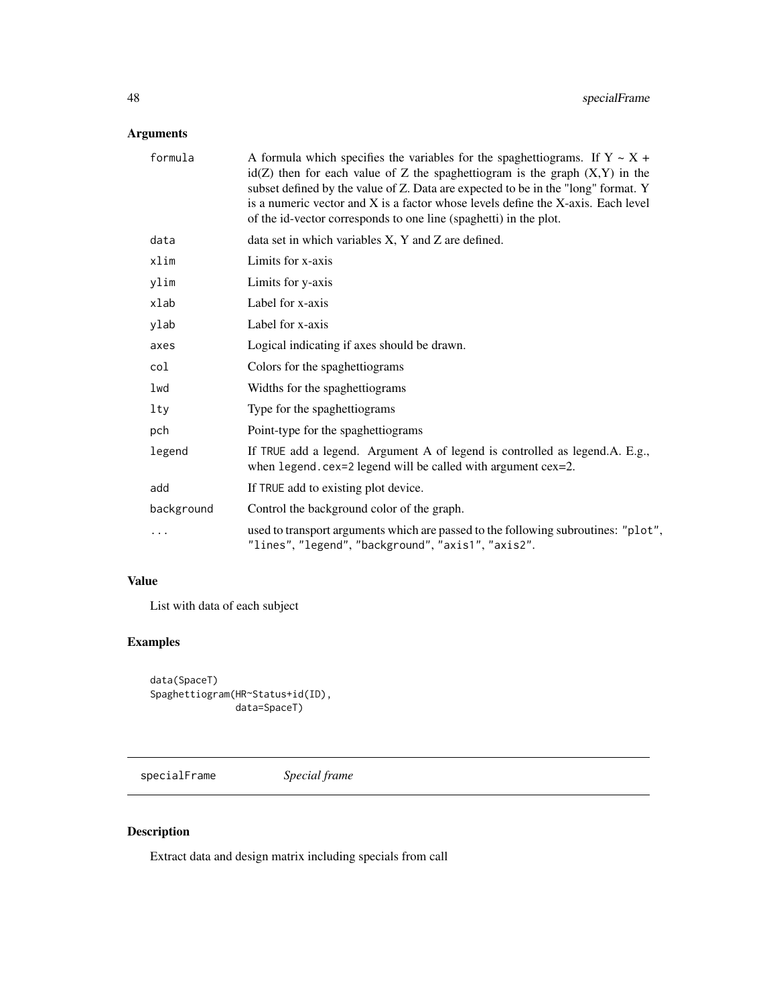# <span id="page-47-0"></span>Arguments

| formula    | A formula which specifies the variables for the spaghettiograms. If $Y \sim X +$<br>$id(Z)$ then for each value of Z the spaghettiogram is the graph $(X,Y)$ in the<br>subset defined by the value of Z. Data are expected to be in the "long" format. Y<br>is a numeric vector and X is a factor whose levels define the X-axis. Each level<br>of the id-vector corresponds to one line (spaghetti) in the plot. |
|------------|-------------------------------------------------------------------------------------------------------------------------------------------------------------------------------------------------------------------------------------------------------------------------------------------------------------------------------------------------------------------------------------------------------------------|
| data       | data set in which variables $X$ , $Y$ and $Z$ are defined.                                                                                                                                                                                                                                                                                                                                                        |
| xlim       | Limits for x-axis                                                                                                                                                                                                                                                                                                                                                                                                 |
| ylim       | Limits for y-axis                                                                                                                                                                                                                                                                                                                                                                                                 |
| xlab       | Label for x-axis                                                                                                                                                                                                                                                                                                                                                                                                  |
| ylab       | Label for x-axis                                                                                                                                                                                                                                                                                                                                                                                                  |
| axes       | Logical indicating if axes should be drawn.                                                                                                                                                                                                                                                                                                                                                                       |
| col        | Colors for the spaghettiograms                                                                                                                                                                                                                                                                                                                                                                                    |
| lwd        | Widths for the spaghettiograms                                                                                                                                                                                                                                                                                                                                                                                    |
| lty        | Type for the spaghettiograms                                                                                                                                                                                                                                                                                                                                                                                      |
| pch        | Point-type for the spaghettiograms                                                                                                                                                                                                                                                                                                                                                                                |
| legend     | If TRUE add a legend. Argument A of legend is controlled as legend.A. E.g.,<br>when $legend. cex=2 legend will be called with argument cex=2.$                                                                                                                                                                                                                                                                    |
| add        | If TRUE add to existing plot device.                                                                                                                                                                                                                                                                                                                                                                              |
| background | Control the background color of the graph.                                                                                                                                                                                                                                                                                                                                                                        |
| .          | used to transport arguments which are passed to the following subroutines: "plot",<br>"lines", "legend", "background", "axis1", "axis2".                                                                                                                                                                                                                                                                          |

# Value

List with data of each subject

# Examples

```
data(SpaceT)
Spaghettiogram(HR~Status+id(ID),
               data=SpaceT)
```
specialFrame *Special frame*

# Description

Extract data and design matrix including specials from call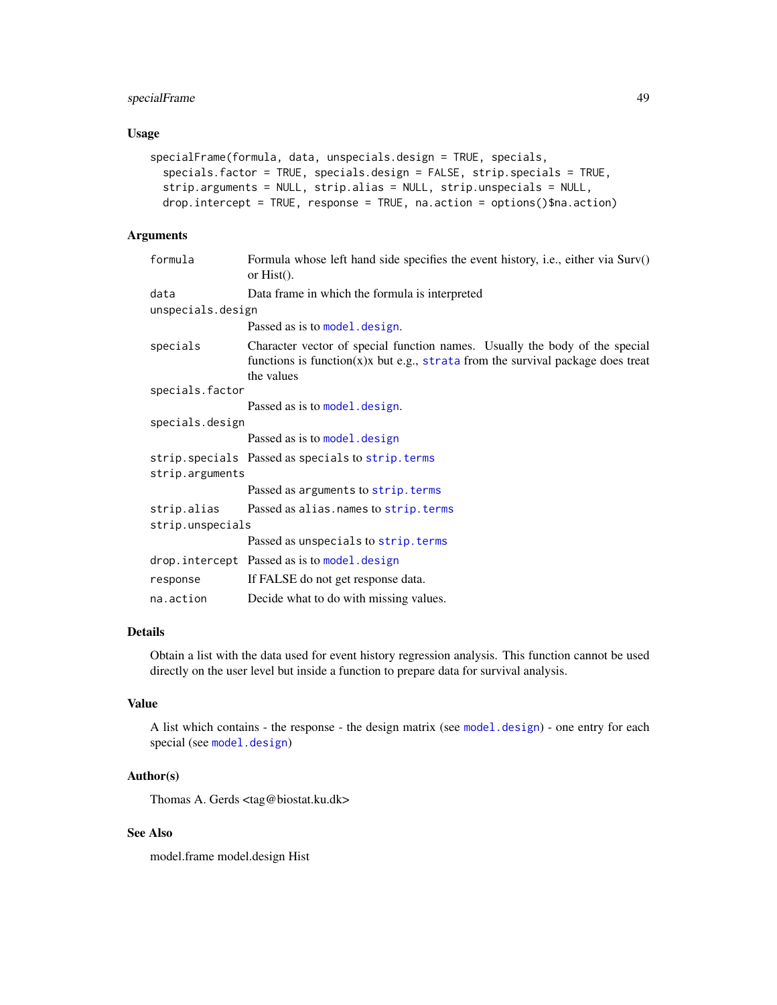# <span id="page-48-0"></span>specialFrame 49

# Usage

```
specialFrame(formula, data, unspecials.design = TRUE, specials,
  specials.factor = TRUE, specials.design = FALSE, strip.specials = TRUE,
 strip.arguments = NULL, strip.alias = NULL, strip.unspecials = NULL,
 drop.intercept = TRUE, response = TRUE, na.action = options()$na.action)
```
### Arguments

| formula           | Formula whose left hand side specifies the event history, i.e., either via Surv()<br>or $Hist()$ .                                                                              |
|-------------------|---------------------------------------------------------------------------------------------------------------------------------------------------------------------------------|
| data              | Data frame in which the formula is interpreted                                                                                                                                  |
| unspecials.design |                                                                                                                                                                                 |
|                   | Passed as is to model. design.                                                                                                                                                  |
| specials          | Character vector of special function names. Usually the body of the special<br>functions is function $(x)x$ but e.g., strata from the survival package does treat<br>the values |
| specials.factor   |                                                                                                                                                                                 |
|                   | Passed as is to model. design.                                                                                                                                                  |
| specials.design   |                                                                                                                                                                                 |
|                   | Passed as is to model. design                                                                                                                                                   |
|                   | strip. specials Passed as specials to strip. terms                                                                                                                              |
| strip.arguments   |                                                                                                                                                                                 |
|                   | Passed as arguments to strip. terms                                                                                                                                             |
| strip.alias       | Passed as alias. names to strip. terms                                                                                                                                          |
| strip.unspecials  |                                                                                                                                                                                 |
|                   | Passed as unspecials to strip. terms                                                                                                                                            |
|                   | drop.intercept Passed as is to model.design                                                                                                                                     |
| response          | If FALSE do not get response data.                                                                                                                                              |
| na.action         | Decide what to do with missing values.                                                                                                                                          |

# Details

Obtain a list with the data used for event history regression analysis. This function cannot be used directly on the user level but inside a function to prepare data for survival analysis.

# Value

A list which contains - the response - the design matrix (see [model.design](#page-0-0)) - one entry for each special (see [model.design](#page-0-0))

#### Author(s)

Thomas A. Gerds <tag@biostat.ku.dk>

# See Also

model.frame model.design Hist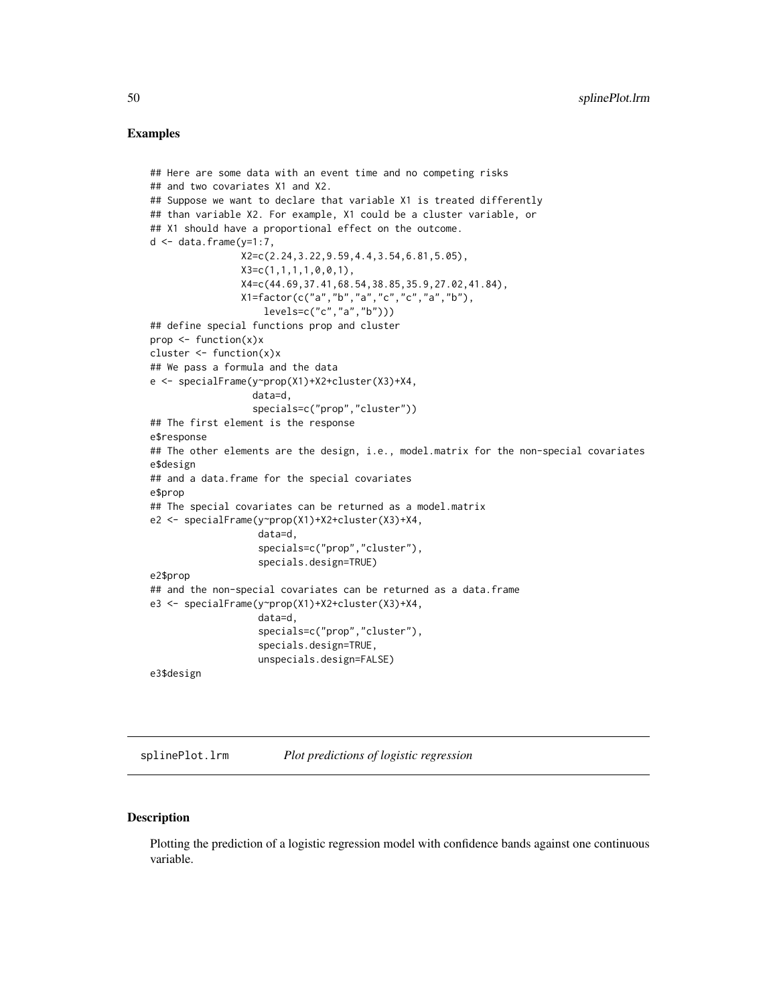#### <span id="page-49-0"></span>Examples

```
## Here are some data with an event time and no competing risks
## and two covariates X1 and X2.
## Suppose we want to declare that variable X1 is treated differently
## than variable X2. For example, X1 could be a cluster variable, or
## X1 should have a proportional effect on the outcome.
d \leq data.frame(y=1:7,
                X2=c(2.24,3.22,9.59,4.4,3.54,6.81,5.05),
                X3=c(1,1,1,1,0,0,1),
                X4=c(44.69,37.41,68.54,38.85,35.9,27.02,41.84),
                X1=factor(c("a","b","a","c","c","a","b"),
                    levels=c("c","a","b")))
## define special functions prop and cluster
prop <- function(x)x
cluster <- function(x)x
## We pass a formula and the data
e <- specialFrame(y~prop(X1)+X2+cluster(X3)+X4,
                  data=d,
                  specials=c("prop","cluster"))
## The first element is the response
e$response
## The other elements are the design, i.e., model.matrix for the non-special covariates
e$design
## and a data.frame for the special covariates
e$prop
## The special covariates can be returned as a model.matrix
e2 <- specialFrame(y~prop(X1)+X2+cluster(X3)+X4,
                   data=d,
                   specials=c("prop","cluster"),
                   specials.design=TRUE)
e2$prop
## and the non-special covariates can be returned as a data.frame
e3 <- specialFrame(y~prop(X1)+X2+cluster(X3)+X4,
                   data=d,
                   specials=c("prop","cluster"),
                   specials.design=TRUE,
                   unspecials.design=FALSE)
e3$design
```
splinePlot.lrm *Plot predictions of logistic regression*

#### Description

Plotting the prediction of a logistic regression model with confidence bands against one continuous variable.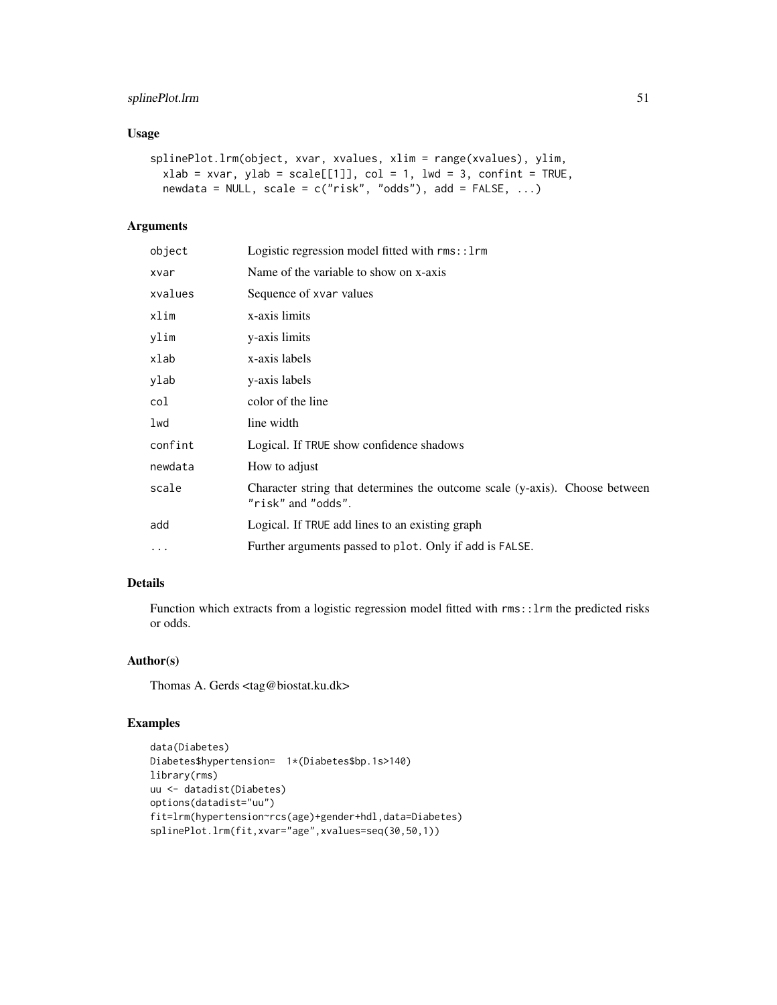# splinePlot.lrm 51

# Usage

```
splinePlot.lrm(object, xvar, xvalues, xlim = range(xvalues), ylim,
 xlab = xvar, ylab = scale[[1]], col = 1, lwd = 3, confirm in TRUE,newdata = NULL, scale = c("risk", "odds"), add = FALSE, ...)
```
# Arguments

| object    | Logistic regression model fitted with rms::1rm                                                    |
|-----------|---------------------------------------------------------------------------------------------------|
| xvar      | Name of the variable to show on x-axis                                                            |
| xvalues   | Sequence of xvar values                                                                           |
| xlim      | x-axis limits                                                                                     |
| ylim      | y-axis limits                                                                                     |
| xlab      | x-axis labels                                                                                     |
| ylab      | y-axis labels                                                                                     |
| col       | color of the line                                                                                 |
| lwd       | line width                                                                                        |
| confint   | Logical. If TRUE show confidence shadows                                                          |
| newdata   | How to adjust                                                                                     |
| scale     | Character string that determines the outcome scale (y-axis). Choose between<br>"risk" and "odds". |
| add       | Logical. If TRUE add lines to an existing graph                                                   |
| $\ddotsc$ | Further arguments passed to plot. Only if add is FALSE.                                           |
|           |                                                                                                   |

#### Details

Function which extracts from a logistic regression model fitted with rms::lrm the predicted risks or odds.

#### Author(s)

Thomas A. Gerds <tag@biostat.ku.dk>

```
data(Diabetes)
Diabetes$hypertension= 1*(Diabetes$bp.1s>140)
library(rms)
uu <- datadist(Diabetes)
options(datadist="uu")
fit=lrm(hypertension~rcs(age)+gender+hdl,data=Diabetes)
splinePlot.lrm(fit,xvar="age",xvalues=seq(30,50,1))
```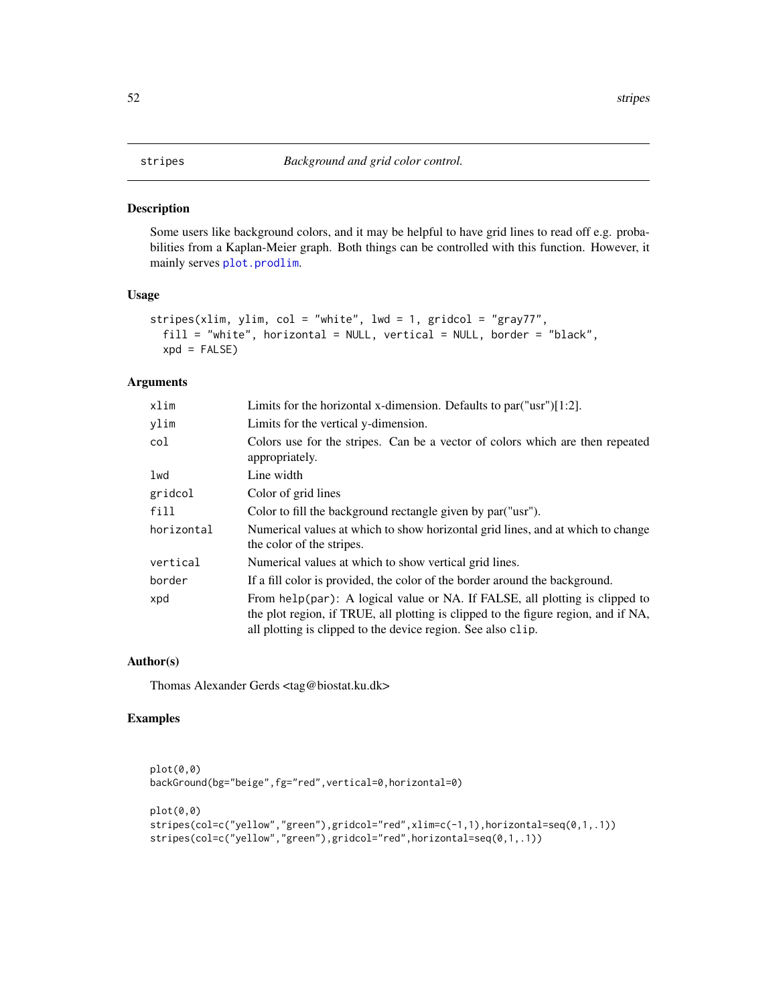<span id="page-51-0"></span>Some users like background colors, and it may be helpful to have grid lines to read off e.g. probabilities from a Kaplan-Meier graph. Both things can be controlled with this function. However, it mainly serves [plot.prodlim](#page-0-0).

### Usage

```
stripes(xlim, ylim, col = "white", lwd = 1, gridcol = "gray77",
 fill = "white", horizontal = NULL, vertical = NULL, border = "black",
 xpd = FALSE
```
#### Arguments

| xlim       | Limits for the horizontal x-dimension. Defaults to par $("usr"]$ [1:2].                                                                                                                                                           |
|------------|-----------------------------------------------------------------------------------------------------------------------------------------------------------------------------------------------------------------------------------|
| ylim       | Limits for the vertical y-dimension.                                                                                                                                                                                              |
| col        | Colors use for the stripes. Can be a vector of colors which are then repeated<br>appropriately.                                                                                                                                   |
| lwd        | Line width                                                                                                                                                                                                                        |
| gridcol    | Color of grid lines                                                                                                                                                                                                               |
| fill       | Color to fill the background rectangle given by par ("usr").                                                                                                                                                                      |
| horizontal | Numerical values at which to show horizontal grid lines, and at which to change<br>the color of the stripes.                                                                                                                      |
| vertical   | Numerical values at which to show vertical grid lines.                                                                                                                                                                            |
| border     | If a fill color is provided, the color of the border around the background.                                                                                                                                                       |
| xpd        | From help(par): A logical value or NA. If FALSE, all plotting is clipped to<br>the plot region, if TRUE, all plotting is clipped to the figure region, and if NA,<br>all plotting is clipped to the device region. See also clip. |

#### Author(s)

Thomas Alexander Gerds <tag@biostat.ku.dk>

```
plot(0,0)
backGround(bg="beige",fg="red",vertical=0,horizontal=0)
plot(0,0)
stripes(col=c("yellow","green"),gridcol="red",xlim=c(-1,1),horizontal=seq(0,1,.1))
stripes(col=c("yellow","green"),gridcol="red",horizontal=seq(0,1,.1))
```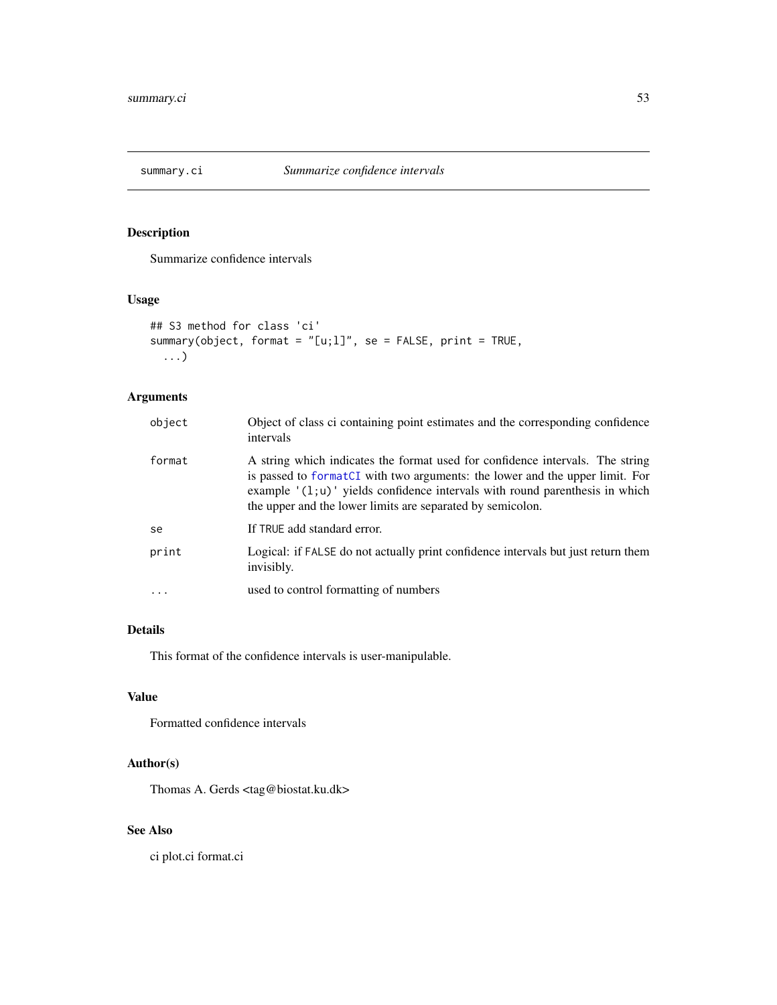<span id="page-52-0"></span>

Summarize confidence intervals

# Usage

```
## S3 method for class 'ci'
summary(object, format = "[u;1]", se = FALSE, print = TRUE,
  ...)
```
# Arguments

| object   | Object of class ci containing point estimates and the corresponding confidence<br>intervals                                                                                                                                                                                                                 |
|----------|-------------------------------------------------------------------------------------------------------------------------------------------------------------------------------------------------------------------------------------------------------------------------------------------------------------|
| format   | A string which indicates the format used for confidence intervals. The string<br>is passed to formatCI with two arguments: the lower and the upper limit. For<br>example $'(1;u)$ yields confidence intervals with round parenthesis in which<br>the upper and the lower limits are separated by semicolon. |
| se       | If TRUE add standard error.                                                                                                                                                                                                                                                                                 |
| print    | Logical: if FALSE do not actually print confidence intervals but just return them<br>invisibly.                                                                                                                                                                                                             |
| $\cdots$ | used to control formatting of numbers                                                                                                                                                                                                                                                                       |

# Details

This format of the confidence intervals is user-manipulable.

# Value

Formatted confidence intervals

# Author(s)

Thomas A. Gerds <tag@biostat.ku.dk>

# See Also

ci plot.ci format.ci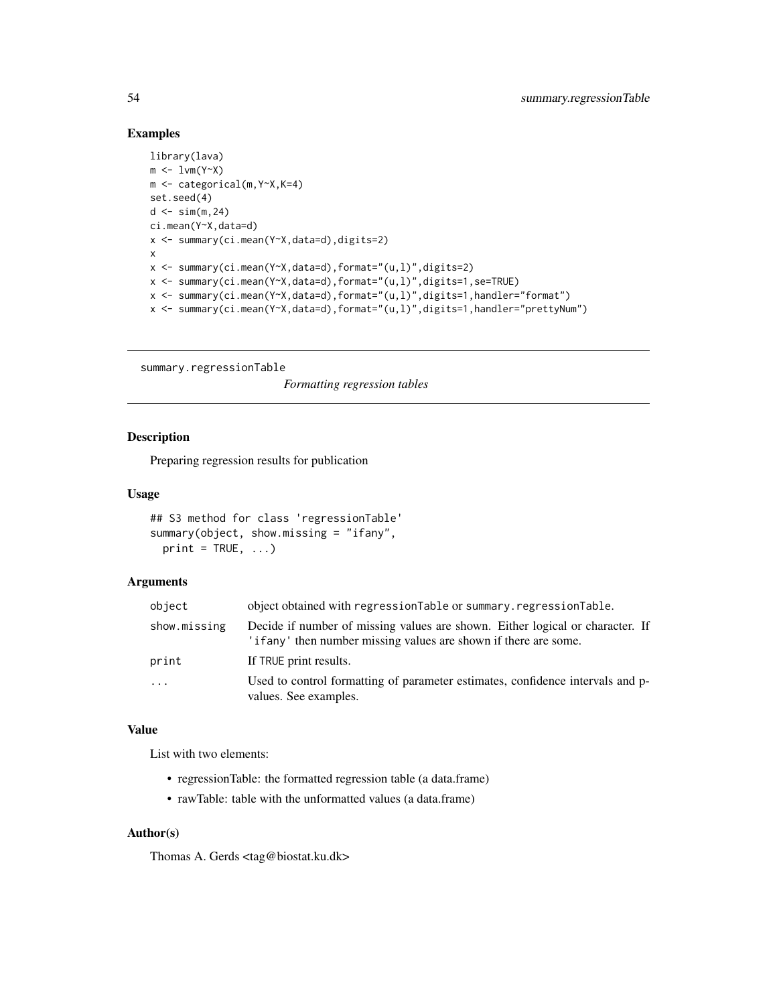#### Examples

```
library(lava)
m \leftarrow 1 \vee m(Y \sim X)m <- categorical(m,Y~X,K=4)
set.seed(4)
d \leq \sin(m, 24)ci.mean(Y~X,data=d)
x <- summary(ci.mean(Y~X,data=d),digits=2)
x
x <- summary(ci.mean(Y~X,data=d),format="(u,l)",digits=2)
x <- summary(ci.mean(Y~X,data=d),format="(u,l)",digits=1,se=TRUE)
x <- summary(ci.mean(Y~X,data=d),format="(u,l)",digits=1,handler="format")
x <- summary(ci.mean(Y~X,data=d),format="(u,l)",digits=1,handler="prettyNum")
```

```
summary.regressionTable
```
*Formatting regression tables*

# Description

Preparing regression results for publication

#### Usage

```
## S3 method for class 'regressionTable'
summary(object, show.missing = "ifany",
 print = TRUE, \ldots)
```
#### Arguments

| object       | object obtained with regression Table or summary. regression Table.                                                                               |
|--------------|---------------------------------------------------------------------------------------------------------------------------------------------------|
| show.missing | Decide if number of missing values are shown. Either logical or character. If<br>'if any' then number missing values are shown if there are some. |
| print        | If TRUE print results.                                                                                                                            |
| $\ddots$ .   | Used to control formatting of parameter estimates, confidence intervals and p-<br>values. See examples.                                           |

#### Value

List with two elements:

- regressionTable: the formatted regression table (a data.frame)
- rawTable: table with the unformatted values (a data.frame)

# Author(s)

Thomas A. Gerds <tag@biostat.ku.dk>

<span id="page-53-0"></span>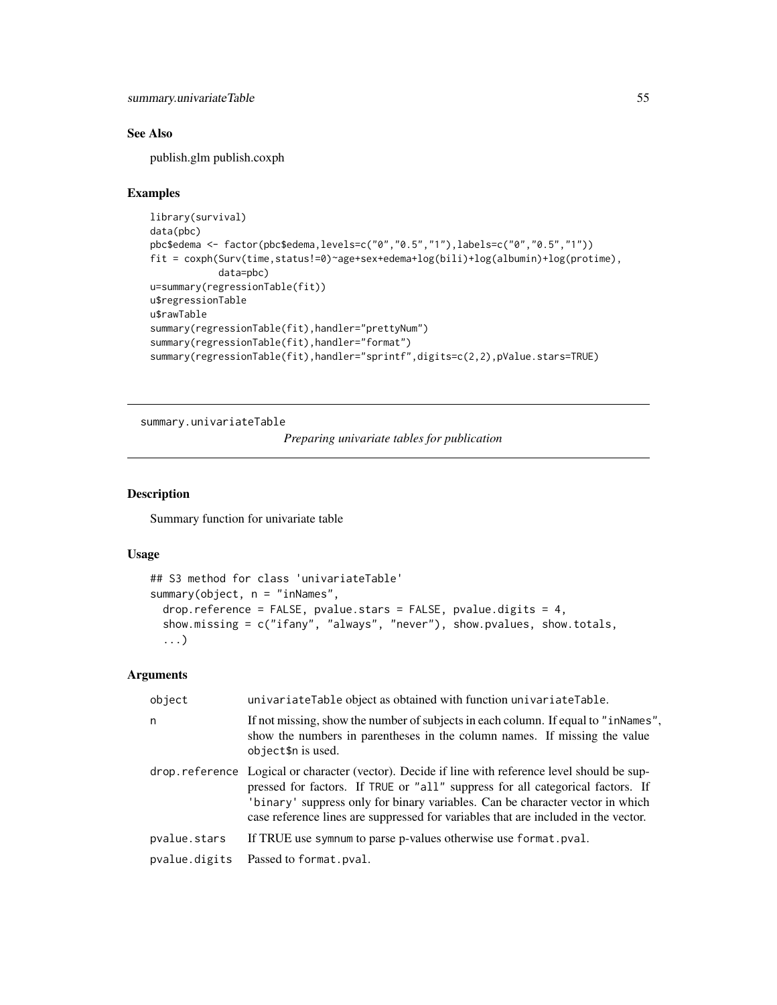# <span id="page-54-0"></span>See Also

publish.glm publish.coxph

#### Examples

```
library(survival)
data(pbc)
pbc$edema <- factor(pbc$edema,levels=c("0","0.5","1"),labels=c("0","0.5","1"))
fit = coxph(Surv(time,status!=0)~age+sex+edema+log(bili)+log(albumin)+log(protime),
            data=pbc)
u=summary(regressionTable(fit))
u$regressionTable
u$rawTable
summary(regressionTable(fit),handler="prettyNum")
summary(regressionTable(fit),handler="format")
summary(regressionTable(fit),handler="sprintf",digits=c(2,2),pValue.stars=TRUE)
```
summary.univariateTable

*Preparing univariate tables for publication*

# Description

Summary function for univariate table

#### Usage

```
## S3 method for class 'univariateTable'
summary(object, n = "inNames",
 drop.reference = FALSE, pvalue.stars = FALSE, pvalue.digits = 4,
  show.missing = c("ifany", "always", "never"), show.pvalues, show.totals,
  ...)
```
#### Arguments

| object        | univariateTable object as obtained with function univariateTable.                                                                                                                                                                                                                                                                                         |
|---------------|-----------------------------------------------------------------------------------------------------------------------------------------------------------------------------------------------------------------------------------------------------------------------------------------------------------------------------------------------------------|
| n             | If not missing, show the number of subjects in each column. If equal to "inNames",<br>show the numbers in parentheses in the column names. If missing the value<br>object\$n is used.                                                                                                                                                                     |
|               | drop.reference Logical or character (vector). Decide if line with reference level should be sup-<br>pressed for factors. If TRUE or "all" suppress for all categorical factors. If<br>'binary' suppress only for binary variables. Can be character vector in which<br>case reference lines are suppressed for variables that are included in the vector. |
| pvalue.stars  | If TRUE use symptom to parse p-values otherwise use format. pval.                                                                                                                                                                                                                                                                                         |
| pvalue.digits | Passed to format.pval.                                                                                                                                                                                                                                                                                                                                    |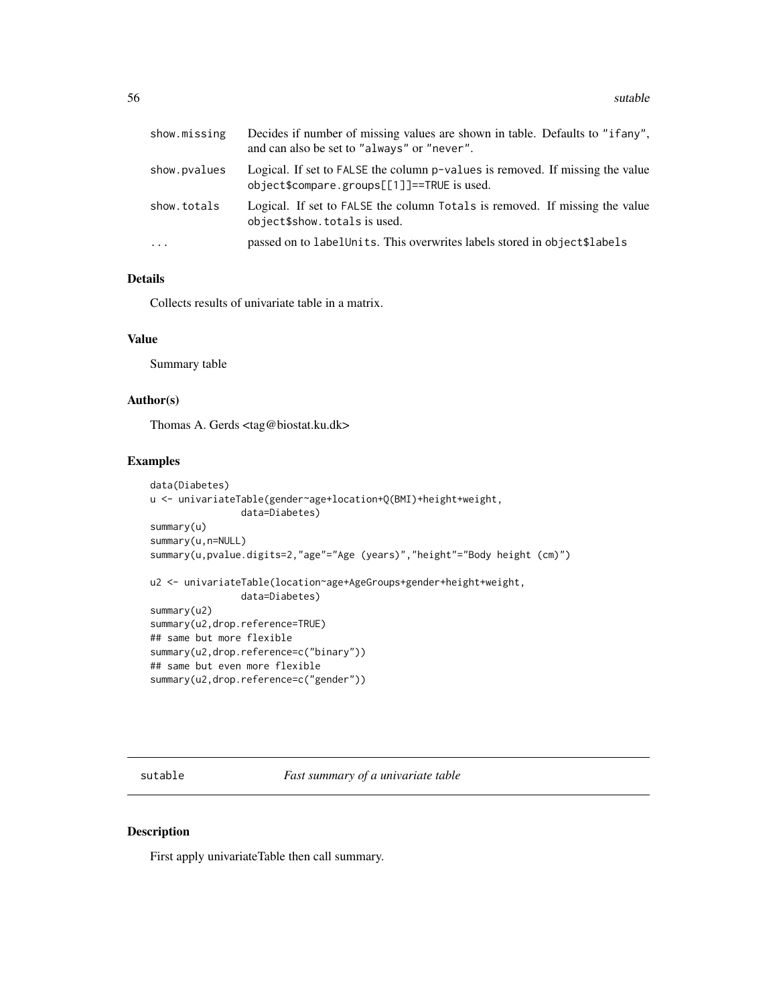<span id="page-55-0"></span>

| show.missing | Decides if number of missing values are shown in table. Defaults to "ifany",<br>and can also be set to "always" or "never". |
|--------------|-----------------------------------------------------------------------------------------------------------------------------|
| show.pvalues | Logical. If set to FALSE the column p-values is removed. If missing the value<br>object\$compare.groups[[1]]==TRUE is used. |
| show.totals  | Logical. If set to FALSE the column Totals is removed. If missing the value<br>object\$show.totals is used.                 |
| $\cdots$     | passed on to label Units. This overwrites labels stored in object \$1 abels                                                 |

# Details

Collects results of univariate table in a matrix.

#### Value

Summary table

# Author(s)

Thomas A. Gerds <tag@biostat.ku.dk>

## Examples

```
data(Diabetes)
u <- univariateTable(gender~age+location+Q(BMI)+height+weight,
                data=Diabetes)
summary(u)
summary(u,n=NULL)
summary(u,pvalue.digits=2,"age"="Age (years)","height"="Body height (cm)")
u2 <- univariateTable(location~age+AgeGroups+gender+height+weight,
                data=Diabetes)
summary(u2)
summary(u2,drop.reference=TRUE)
## same but more flexible
summary(u2,drop.reference=c("binary"))
## same but even more flexible
summary(u2,drop.reference=c("gender"))
```
sutable *Fast summary of a univariate table*

# Description

First apply univariateTable then call summary.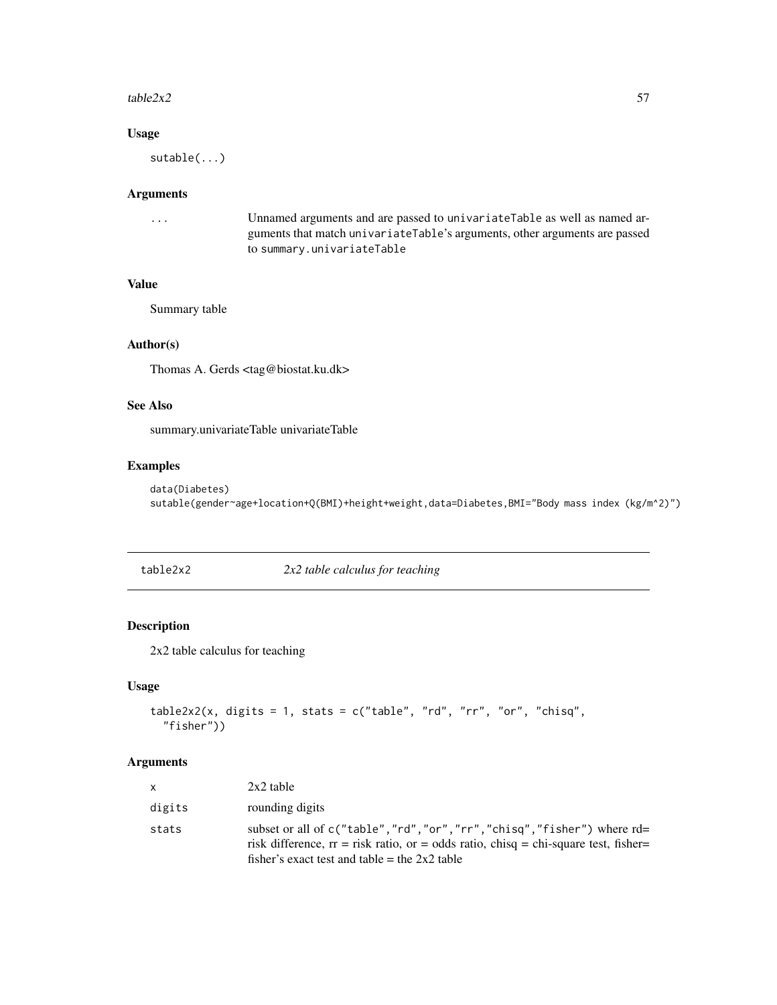#### <span id="page-56-0"></span> $table2x2$  57

# Usage

sutable(...)

#### Arguments

```
... Unnamed arguments and are passed to univariateTable as well as named ar-
                guments that match univariateTable's arguments, other arguments are passed
               to summary.univariateTable
```
#### Value

Summary table

#### Author(s)

Thomas A. Gerds <tag@biostat.ku.dk>

# See Also

summary.univariateTable univariateTable

#### Examples

```
data(Diabetes)
sutable(gender~age+location+Q(BMI)+height+weight,data=Diabetes,BMI="Body mass index (kg/m^2)")
```
2x2 *table calculus for teaching* 

# Description

2x2 table calculus for teaching

#### Usage

```
table2x2(x, digits = 1, stats = c("table", "rd", "rr", "or", "chisq","fisher"))
```
# Arguments

| X      | $2x2$ table                                                                                                                                                                                                       |
|--------|-------------------------------------------------------------------------------------------------------------------------------------------------------------------------------------------------------------------|
| digits | rounding digits                                                                                                                                                                                                   |
| stats  | subset or all of c("table","rd","or","rr","chisq","fisher") where rd=<br>risk difference, $rr =$ risk ratio, or = odds ratio, chisq = chi-square test, fisher=<br>fisher's exact test and table = the $2x2$ table |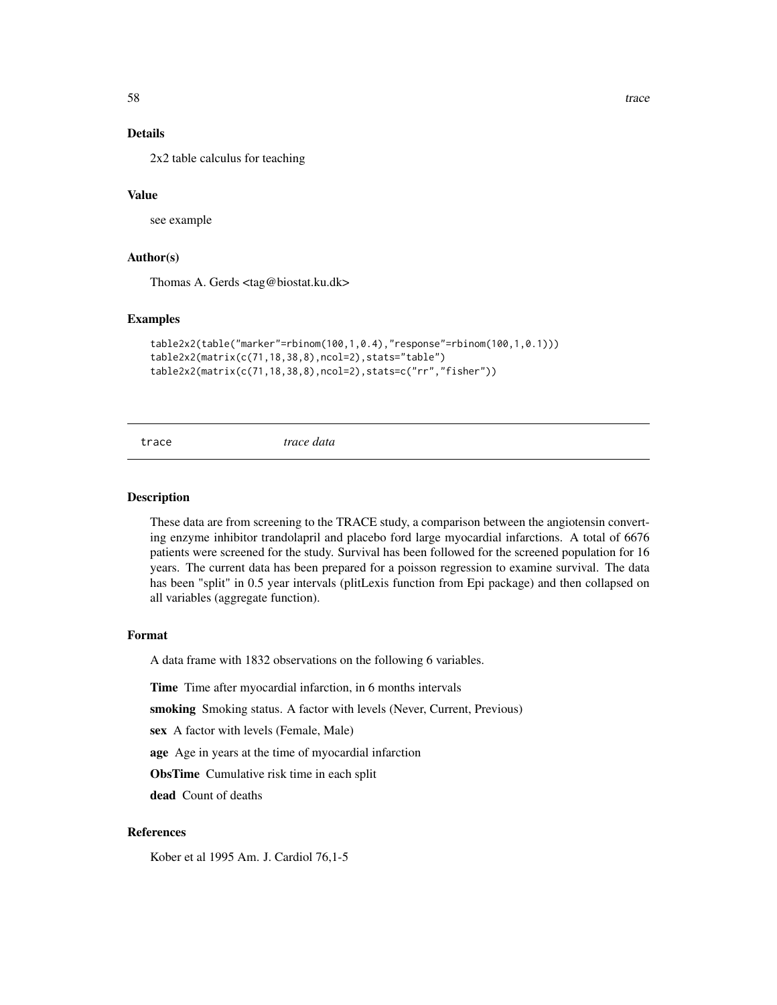<span id="page-57-0"></span>

# Details

2x2 table calculus for teaching

# Value

see example

# Author(s)

Thomas A. Gerds <tag@biostat.ku.dk>

#### Examples

```
table2x2(table("marker"=rbinom(100,1,0.4),"response"=rbinom(100,1,0.1)))
table2x2(matrix(c(71,18,38,8),ncol=2),stats="table")
table2x2(matrix(c(71,18,38,8),ncol=2),stats=c("rr","fisher"))
```
trace *trace data*

#### Description

These data are from screening to the TRACE study, a comparison between the angiotensin converting enzyme inhibitor trandolapril and placebo ford large myocardial infarctions. A total of 6676 patients were screened for the study. Survival has been followed for the screened population for 16 years. The current data has been prepared for a poisson regression to examine survival. The data has been "split" in 0.5 year intervals (plitLexis function from Epi package) and then collapsed on all variables (aggregate function).

#### Format

A data frame with 1832 observations on the following 6 variables.

Time Time after myocardial infarction, in 6 months intervals

smoking Smoking status. A factor with levels (Never, Current, Previous)

sex A factor with levels (Female, Male)

age Age in years at the time of myocardial infarction

ObsTime Cumulative risk time in each split

dead Count of deaths

#### References

Kober et al 1995 Am. J. Cardiol 76,1-5

58 trace the control of the control of the control of the control of the control of the control of the control of the control of the control of the control of the control of the control of the control of the control of the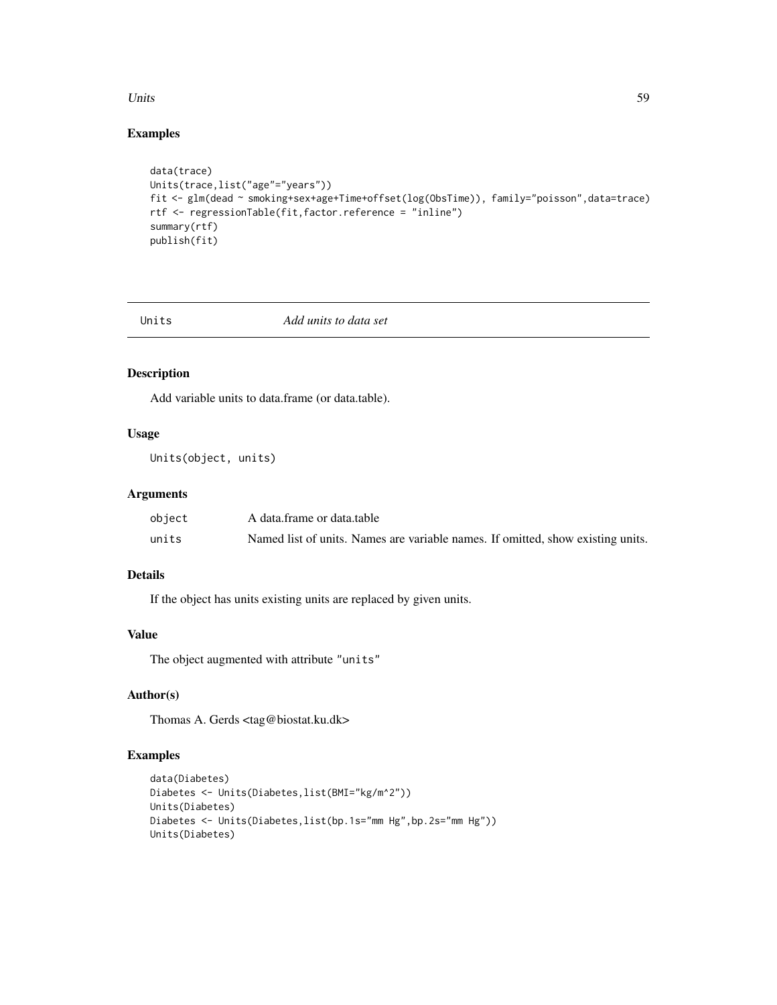#### <span id="page-58-0"></span>Units 59

# Examples

```
data(trace)
Units(trace,list("age"="years"))
fit <- glm(dead ~ smoking+sex+age+Time+offset(log(ObsTime)), family="poisson",data=trace)
rtf <- regressionTable(fit,factor.reference = "inline")
summary(rtf)
publish(fit)
```
Units *Add units to data set*

# Description

Add variable units to data.frame (or data.table).

# Usage

Units(object, units)

# Arguments

| object | A data.frame or data.table                                                      |
|--------|---------------------------------------------------------------------------------|
| units  | Named list of units. Names are variable names. If omitted, show existing units. |

# Details

If the object has units existing units are replaced by given units.

# Value

The object augmented with attribute "units"

# Author(s)

Thomas A. Gerds <tag@biostat.ku.dk>

```
data(Diabetes)
Diabetes <- Units(Diabetes,list(BMI="kg/m^2"))
Units(Diabetes)
Diabetes <- Units(Diabetes,list(bp.1s="mm Hg",bp.2s="mm Hg"))
Units(Diabetes)
```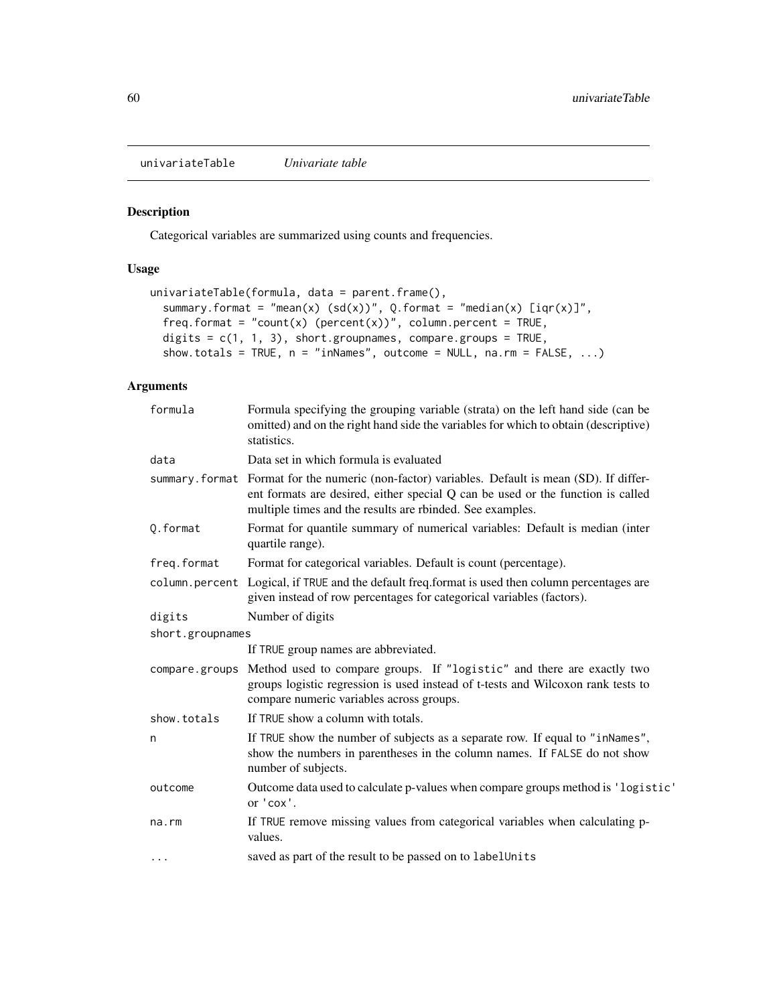<span id="page-59-0"></span>univariateTable *Univariate table*

#### <span id="page-59-1"></span>Description

Categorical variables are summarized using counts and frequencies.

# Usage

```
univariateTable(formula, data = parent.frame(),
 summary.format = "mean(x) (sd(x))", Q.format = "median(x) [iqr(x)]",
  freq.format = "count(x) (percent(x))", column.percent = TRUE,
 digits = c(1, 1, 3), short.groupnames, compare.groups = TRUE,
  show.totals = TRUE, n = "inNames", outcome = NULL, na.rm = FALSE, ...)
```
# Arguments

| formula          | Formula specifying the grouping variable (strata) on the left hand side (can be<br>omitted) and on the right hand side the variables for which to obtain (descriptive)<br>statistics.                                                           |
|------------------|-------------------------------------------------------------------------------------------------------------------------------------------------------------------------------------------------------------------------------------------------|
| data             | Data set in which formula is evaluated                                                                                                                                                                                                          |
|                  | summary. format Format for the numeric (non-factor) variables. Default is mean (SD). If differ-<br>ent formats are desired, either special Q can be used or the function is called<br>multiple times and the results are rbinded. See examples. |
| Q.format         | Format for quantile summary of numerical variables: Default is median (inter<br>quartile range).                                                                                                                                                |
| freq.format      | Format for categorical variables. Default is count (percentage).                                                                                                                                                                                |
| column.percent   | Logical, if TRUE and the default freq.format is used then column percentages are<br>given instead of row percentages for categorical variables (factors).                                                                                       |
| digits           | Number of digits                                                                                                                                                                                                                                |
| short.groupnames |                                                                                                                                                                                                                                                 |
|                  | If TRUE group names are abbreviated.                                                                                                                                                                                                            |
| compare.groups   | Method used to compare groups. If "logistic" and there are exactly two<br>groups logistic regression is used instead of t-tests and Wilcoxon rank tests to<br>compare numeric variables across groups.                                          |
| show.totals      | If TRUE show a column with totals.                                                                                                                                                                                                              |
| n                | If TRUE show the number of subjects as a separate row. If equal to "inNames",<br>show the numbers in parentheses in the column names. If FALSE do not show<br>number of subjects.                                                               |
| outcome          | Outcome data used to calculate p-values when compare groups method is 'logistic'<br>or 'cox'.                                                                                                                                                   |
| na.rm            | If TRUE remove missing values from categorical variables when calculating p-<br>values.                                                                                                                                                         |
| $\cdots$         | saved as part of the result to be passed on to labelUnits                                                                                                                                                                                       |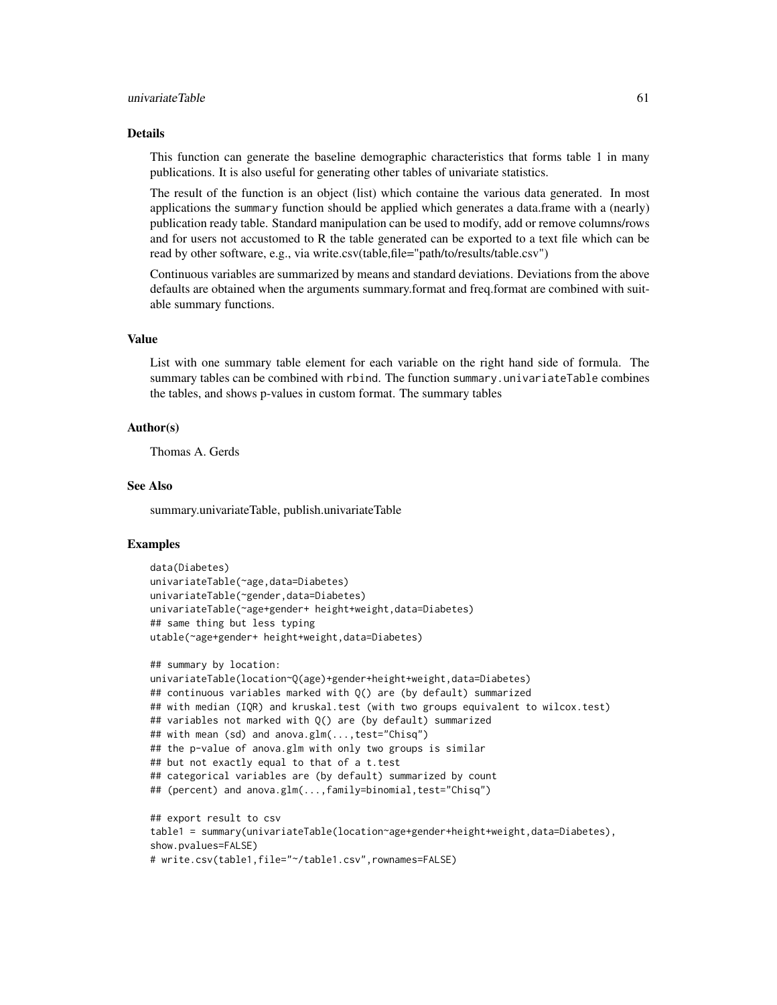#### Details

This function can generate the baseline demographic characteristics that forms table 1 in many publications. It is also useful for generating other tables of univariate statistics.

The result of the function is an object (list) which containe the various data generated. In most applications the summary function should be applied which generates a data.frame with a (nearly) publication ready table. Standard manipulation can be used to modify, add or remove columns/rows and for users not accustomed to R the table generated can be exported to a text file which can be read by other software, e.g., via write.csv(table,file="path/to/results/table.csv")

Continuous variables are summarized by means and standard deviations. Deviations from the above defaults are obtained when the arguments summary.format and freq.format are combined with suitable summary functions.

#### Value

List with one summary table element for each variable on the right hand side of formula. The summary tables can be combined with rbind. The function summary.univariateTable combines the tables, and shows p-values in custom format. The summary tables

#### Author(s)

Thomas A. Gerds

#### See Also

summary.univariateTable, publish.univariateTable

```
data(Diabetes)
univariateTable(~age,data=Diabetes)
univariateTable(~gender,data=Diabetes)
univariateTable(~age+gender+ height+weight,data=Diabetes)
## same thing but less typing
utable(~age+gender+ height+weight,data=Diabetes)
```

```
## summary by location:
univariateTable(location~Q(age)+gender+height+weight,data=Diabetes)
## continuous variables marked with Q() are (by default) summarized
## with median (IQR) and kruskal.test (with two groups equivalent to wilcox.test)
## variables not marked with Q() are (by default) summarized
## with mean (sd) and anova.glm(...,test="Chisq")
## the p-value of anova.glm with only two groups is similar
## but not exactly equal to that of a t.test
## categorical variables are (by default) summarized by count
## (percent) and anova.glm(...,family=binomial,test="Chisq")
## export result to csv
table1 = summary(univariateTable(location~age+gender+height+weight,data=Diabetes),
show.pvalues=FALSE)
```

```
# write.csv(table1,file="~/table1.csv",rownames=FALSE)
```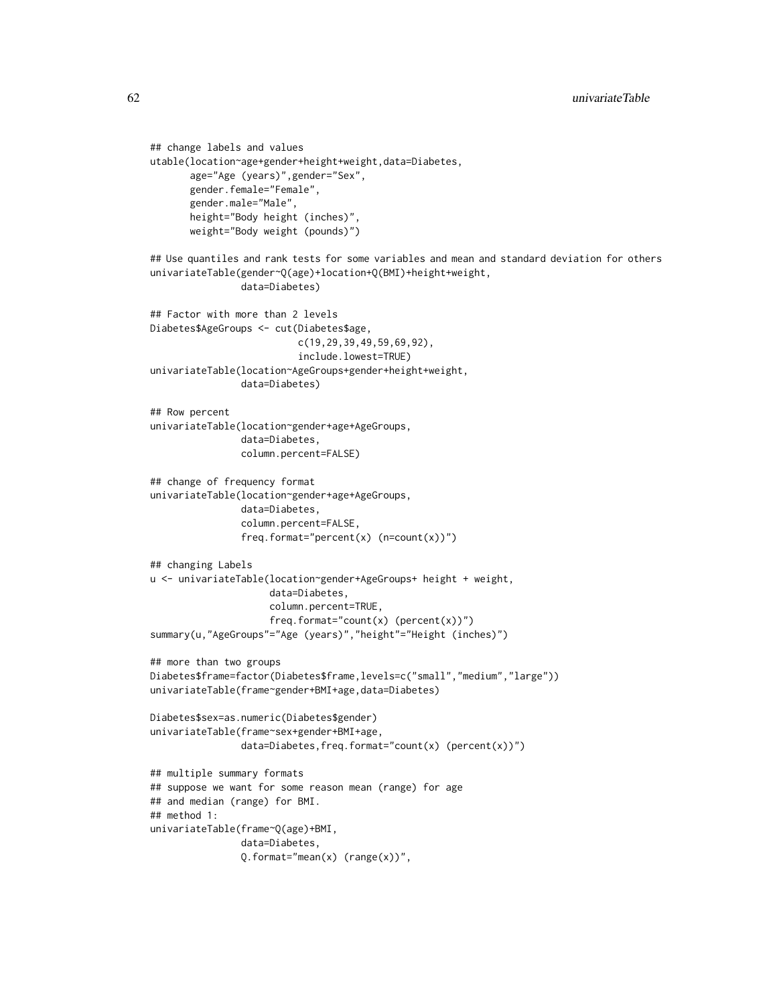```
## change labels and values
utable(location~age+gender+height+weight,data=Diabetes,
       age="Age (years)",gender="Sex",
       gender.female="Female",
       gender.male="Male",
       height="Body height (inches)",
       weight="Body weight (pounds)")
## Use quantiles and rank tests for some variables and mean and standard deviation for others
univariateTable(gender~Q(age)+location+Q(BMI)+height+weight,
                data=Diabetes)
## Factor with more than 2 levels
Diabetes$AgeGroups <- cut(Diabetes$age,
                          c(19,29,39,49,59,69,92),
                          include.lowest=TRUE)
univariateTable(location~AgeGroups+gender+height+weight,
                data=Diabetes)
## Row percent
univariateTable(location~gender+age+AgeGroups,
                data=Diabetes,
                column.percent=FALSE)
## change of frequency format
univariateTable(location~gender+age+AgeGroups,
                data=Diabetes,
                column.percent=FALSE,
                freq.format="percent(x) (n=count(x))")
## changing Labels
u <- univariateTable(location~gender+AgeGroups+ height + weight,
                     data=Diabetes,
                     column.percent=TRUE,
                     freq.format="count(x) (percent(x))")
summary(u,"AgeGroups"="Age (years)","height"="Height (inches)")
## more than two groups
Diabetes$frame=factor(Diabetes$frame,levels=c("small","medium","large"))
univariateTable(frame~gender+BMI+age,data=Diabetes)
Diabetes$sex=as.numeric(Diabetes$gender)
univariateTable(frame~sex+gender+BMI+age,
                data=Diabetes, freq.format="count(x) (percent(x))")
## multiple summary formats
## suppose we want for some reason mean (range) for age
## and median (range) for BMI.
## method 1:
univariateTable(frame~Q(age)+BMI,
                data=Diabetes,
                Q. format="mean(x) (range(x))",
```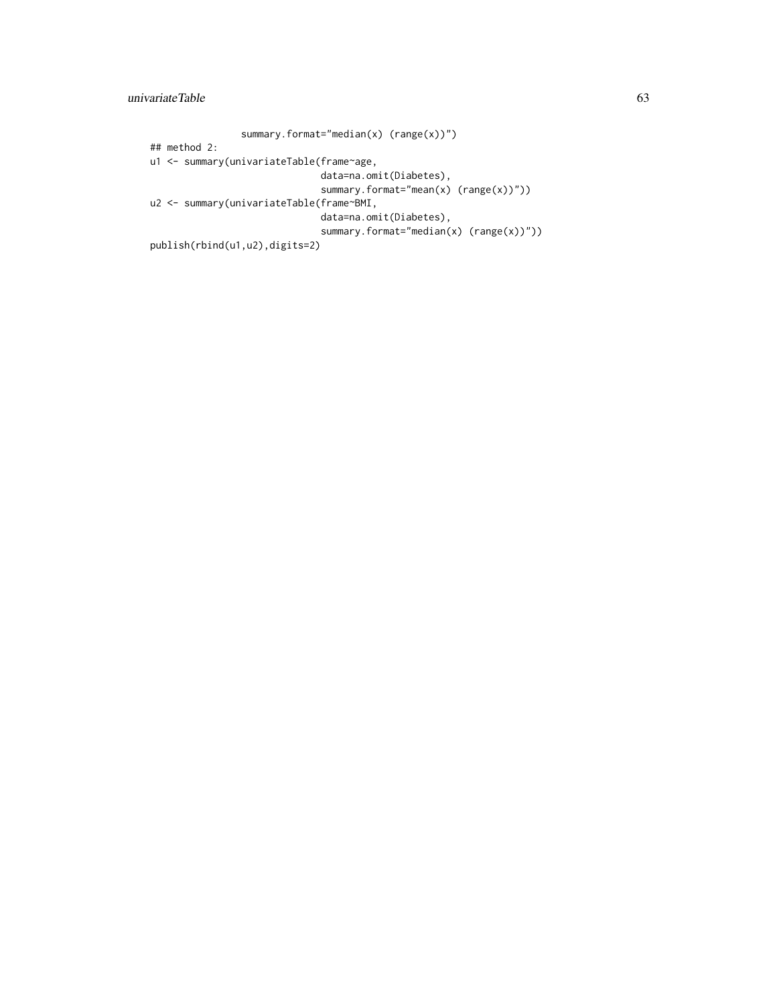```
summary.format="median(x) (range(x))")
## method 2:
u1 <- summary(univariateTable(frame~age,
                              data=na.omit(Diabetes),
                              summary.format="mean(x) (range(x))"))
u2 <- summary(univariateTable(frame~BMI,
                              data=na.omit(Diabetes),
                              summary.format="median(x) (range(x))"))
publish(rbind(u1,u2),digits=2)
```